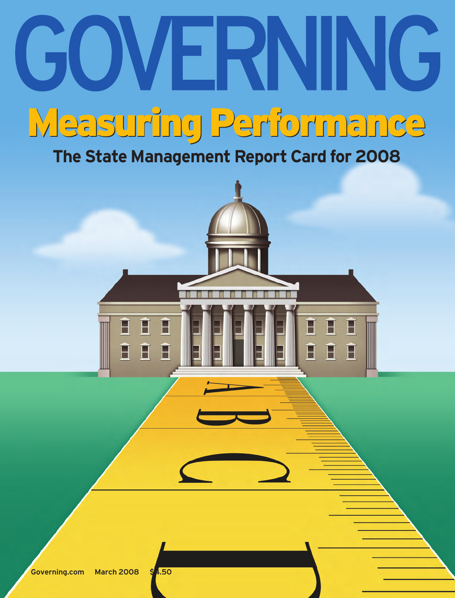# GOVERNING **Measuring Performance Measuring Performance The State Management Report Card for 2008**

ÎÎ<br>IÎ

⊟

Ê



∐

Ê

 $\mathbf{E}$ 

Ê

Β

Ê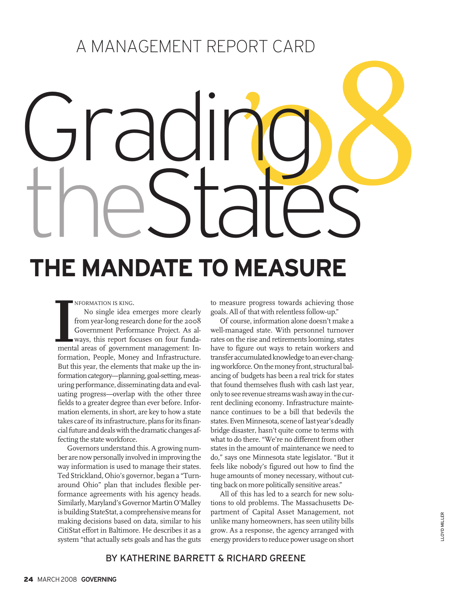### A MANAGEMENT REPORT CARD

# Grading' A MANAGEMENT REPORT CARD **THE MANDATE TO MEASURE**

NFORMATION IS KING.

No single idea emerges more clearly from year-long research done for the 2008 Government Performance Project. As always, this report focuses on four fundamental areas of government management: Information, People, Money and Infrastructure. But this year, the elements that make up the information category—planning, goal-setting, measuring performance, disseminating data and evaluating progress—overlap with the other three fields to a greater degree than ever before. Information elements, in short, are key to how a state takes care of its infrastructure, plans for its financial future and deals with the dramatic changes affecting the state workforce. **I** 

Governors understand this. A growing number are now personally involved in improving the way information is used to manage their states. Ted Strickland, Ohio's governor, began a "Turnaround Ohio" plan that includes flexible performance agreements with his agency heads. Similarly, Maryland's Governor Martin O'Malley is building StateStat, a comprehensive means for making decisions based on data, similar to his CitiStat effort in Baltimore. He describes it as a system "that actually sets goals and has the guts

to measure progress towards achieving those goals. All of that with relentless follow-up."

Of course, information alone doesn't make a well-managed state. With personnel turnover rates on the rise and retirements looming, states have to figure out ways to retain workers and transfer accumulated knowledge to an ever-changing workforce. On the money front, structural balancing of budgets has been a real trick for states that found themselves flush with cash last year, only to see revenue streams wash away in the current declining economy. Infrastructure maintenance continues to be a bill that bedevils the states. Even Minnesota, scene of last year's deadly bridge disaster, hasn't quite come to terms with what to do there. "We're no different from other states in the amount of maintenance we need to do," says one Minnesota state legislator. "But it feels like nobody's figured out how to find the huge amounts of money necessary, without cutting back on more politically sensitive areas."

All of this has led to a search for new solutions to old problems. The Massachusetts Department of Capital Asset Management, not unlike many homeowners, has seen utility bills grow. As a response, the agency arranged with energy providers to reduce power usage on short

#### BY KATHERINE BARRETT & RICHARD GREENE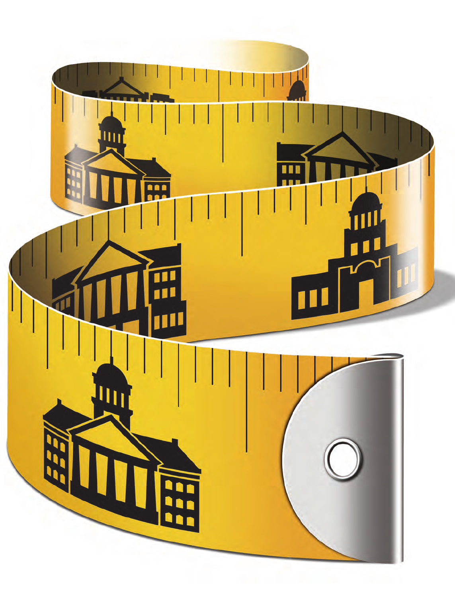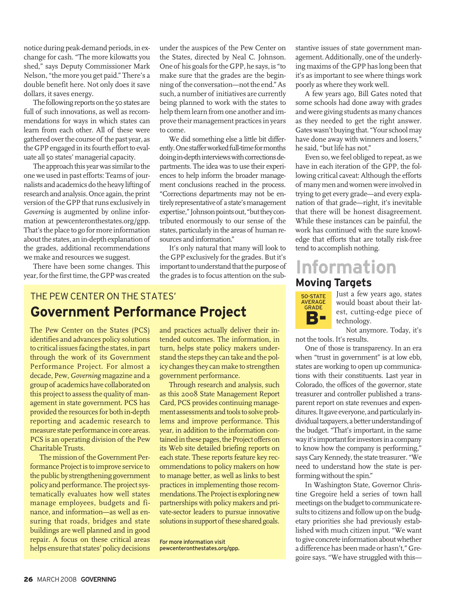notice during peak-demand periods, in exchange for cash. "The more kilowatts you shed," says Deputy Commissioner Mark Nelson, "the more you get paid." There's a double benefit here. Not only does it save dollars, it saves energy.

The following reports on the 50 states are full of such innovations, as well as recommendations for ways in which states can learn from each other. All of these were gathered over the course of the past year, as the GPP engaged in its fourth effort to evaluate all 50 states' managerial capacity.

The approach this year was similar to the one we used in past efforts: Teams of journalists and academics do the heavy lifting of research and analysis. Once again, the print version of the GPP that runs exclusively in *Governing* is augmented by online information at pewcenteronthestates.org/gpp. That's the place to go for more information about the states, an in-depth explanation of the grades, additional recommendations we make and resources we suggest.

There have been some changes. This year, for the first time, the GPP was created

under the auspices of the Pew Center on the States, directed by Neal C. Johnson. One of his goals for the GPP, he says, is "to make sure that the grades are the beginning of the conversation—not the end." As such, a number of initiatives are currently being planned to work with the states to help them learn from one another and improve their management practices in years to come.

We did something else a little bit differently. One staffer worked full-time for months doing in-depth interviews with corrections departments. The idea was to use their experiences to help inform the broader management conclusions reached in the process. "Corrections departments may not be entirely representative of a state's management expertise," Johnson points out, "but they contributed enormously to our sense of the states, particularly in the areas of human resources and information."

It's only natural that many will look to the GPP exclusively for the grades. But it's important to understand that the purpose of the grades is to focus attention on the sub-

### THE PEW CENTER ON THE STATES' **Government Performance Project**

The Pew Center on the States (PCS) identifies and advances policy solutions to critical issues facing the states, in part through the work of its Government Performance Project. For almost a decade, Pew, *Governing* magazine and a group of academics have collaborated on this project to assess the quality of management in state government. PCS has provided the resources for both in-depth reporting and academic research to measure state performance in core areas. PCS is an operating division of the Pew Charitable Trusts.

The mission of the Government Performance Project is to improve service to the public by strengthening government policy and performance. The project systematically evaluates how well states manage employees, budgets and finance, and information—as well as ensuring that roads, bridges and state buildings are well planned and in good repair. A focus on these critical areas helps ensure that states' policy decisions and practices actually deliver their intended outcomes. The information, in turn, helps state policy makers understand the steps they can take and the policy changes they can make to strengthen government performance.

Through research and analysis, such as this 2008 State Management Report Card, PCS provides continuing management assessments and tools to solve problems and improve performance. This year, in addition to the information contained in these pages, the Project offers on its Web site detailed briefing reports on each state. These reports feature key recommendations to policy makers on how to manage better, as well as links to best practices in implementing those recommendations. The Project is exploring new partnerships with policy makers and private-sector leaders to pursue innovative solutions in support of these shared goals.

For more information visit pewcenteronthestates.org/gpp. stantive issues of state government management. Additionally, one of the underlying maxims of the GPP has long been that it's as important to see where things work poorly as where they work well.

A few years ago, Bill Gates noted that some schools had done away with grades and were giving students as many chances as they needed to get the right answer. Gates wasn't buying that. "Your school may have done away with winners and losers," he said, "but life has not."

Even so, we feel obliged to repeat, as we have in each iteration of the GPP, the following critical caveat: Although the efforts of many men and women were involved in trying to get every grade—and every explanation of that grade—right, it's inevitable that there will be honest disagreement. While these instances can be painful, the work has continued with the sure knowledge that efforts that are totally risk-free tend to accomplish nothing.

### **Information**

#### **Moving Targets**



Just a few years ago, states would boast about their latest, cutting-edge piece of technology.

Not anymore. Today, it's not the tools. It's results.

One of those is transparency. In an era when "trust in government" is at low ebb, states are working to open up communications with their constituents. Last year in Colorado, the offices of the governor, state treasurer and controller published a transparent report on state revenues and expenditures. It gave everyone, and particularly individual taxpayers, a better understanding of the budget. "That's important, in the same way it's important for investors in a company to know how the company is performing," says Cary Kennedy, the state treasurer. "We need to understand how the state is performing without the spin."

In Washington State, Governor Christine Gregoire held a series of town hall meetings on the budget to communicate results to citizens and follow up on the budgetary priorities she had previously established with much citizen input. "We want to give concrete information about whether a difference has been made or hasn't," Gregoire says. "We have struggled with this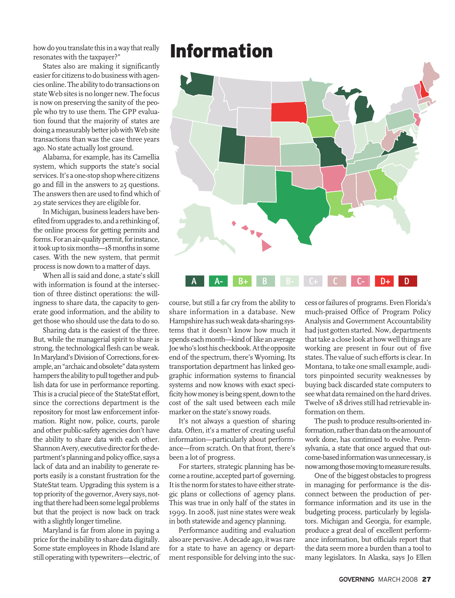how do you translate this in a way that really resonates with the taxpayer?"

States also are making it significantly easier for citizens to do business with agencies online. The ability to do transactions on state Web sites is no longer new. The focus is now on preserving the sanity of the people who try to use them. The GPP evaluation found that the majority of states are doing a measurably better job with Web site transactions than was the case three years ago. No state actually lost ground.

Alabama, for example, has its Camellia system, which supports the state's social services. It's a one-stop shop where citizens go and fill in the answers to 25 questions. The answers then are used to find which of 29 state services they are eligible for.

In Michigan, business leaders have benefited from upgrades to, and a rethinking of, the online process for getting permits and forms. For an air-quality permit, for instance, it took up to six months—18 months in some cases. With the new system, that permit process is now down to a matter of days.

When all is said and done, a state's skill with information is found at the intersection of three distinct operations: the willingness to share data, the capacity to generate good information, and the ability to get those who should use the data to do so.

Sharing data is the easiest of the three. But, while the managerial spirit to share is strong, the technological flesh can be weak. In Maryland's Division of Corrections, for example, an "archaic and obsolete" data system **D** hampers the ability to pull together and publish data for use in performance reporting. This is a crucial piece of the StateStat effort, since the corrections department is the repository for most law enforcement information. Right now, police, courts, parole and other public-safety agencies don't have the ability to share data with each other. **C+** Shannon Avery, executive director for the de-**B**partment's planning and policy office, says a lack of data and an inability to generate re-**B** ports easily is a constant frustration for the StateStat team. Upgrading this system is a **B+** top priority of the governor, Avery says, noting that there had been some legal problems **A**but that the project is now back on track with a slightly longer timeline. **A**

Maryland is far from alone in paying a price for the inability to share data digitally. Some state employees in Rhode Island are still operating with typewriters—electric, of **Information**



course, but still a far cry from the ability to share information in a database. New Hampshire has such weak data-sharing sys-**+ - +** tems that it doesn't know how much it spends each month—kind of like an average Joe who's lost his checkbook. At the opposite end of the spectrum, there's Wyoming. Its transportation department has linked geographic information systems to financial systems and now knows with exact specificity how money is being spent, down to the cost of the salt used between each mile marker on the state's snowy roads.

It's not always a question of sharing data. Often, it's a matter of creating useful information—particularly about performance—from scratch. On that front, there's been a lot of progress.

For starters, strategic planning has become a routine, accepted part of governing. It is the norm for states to have either strategic plans or collections of agency plans. This was true in only half of the states in 1999. In 2008, just nine states were weak in both statewide and agency planning.

Performance auditing and evaluation also are pervasive. A decade ago, it was rare for a state to have an agency or department responsible for delving into the success or failures of programs. Even Florida's much-praised Office of Program Policy Analysis and Government Accountability **+** had just gotten started. Now, departments that take a close look at how well things are working are present in four out of five states. The value of such efforts is clear. In Montana, to take one small example, auditors pinpointed security weaknesses by buying back discarded state computers to see what data remained on the hard drives. Twelve of 18 drives still had retrievable information on them.

The push to produce results-oriented information, rather than data on the amount of work done, has continued to evolve. Pennsylvania, a state that once argued that outcome-based information was unnecessary, is now among those moving to measure results.

One of the biggest obstacles to progress in managing for performance is the disconnect between the production of performance information and its use in the budgeting process, particularly by legislators. Michigan and Georgia, for example, produce a great deal of excellent performance information, but officials report that the data seem more a burden than a tool to many legislators. In Alaska, says Jo Ellen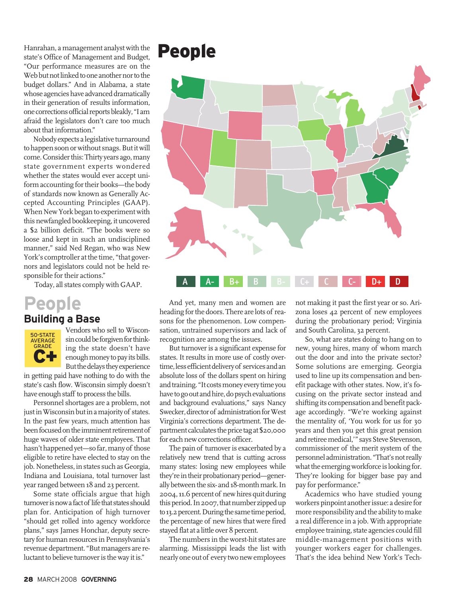Hanrahan, a management analyst with the state's Office of Management and Budget, "Our performance measures are on the Web but not linked to one another nor to the budget dollars." And in Alabama, a state whose agencies have advanced dramatically in their generation of results information, one corrections official reports bleakly, "I am afraid the legislators don't care too much about that information."

Nobody expects a legislative turnaround to happen soon or without snags. But it will come. Consider this: Thirty years ago, many state government experts wondered whether the states would ever accept uniform accounting for their books—the body of standards now known as Generally Accepted Accounting Principles (GAAP). When New York began to experiment with this newfangled bookkeeping, it uncovered a \$2 billion deficit. "The books were so loose and kept in such an undisciplined manner," said Ned Regan, who was New York's comptroller at the time, "that governors and legislators could not be held responsible for their actions."

Today, all states comply with GAAP.

### **People**

#### **Building a Base**



Vendors who sell to Wisconsin could be forgiven for thinking the state doesn't have enough money to pay its bills. But the delays they experience

in getting paid have nothing to do with the state's cash flow. Wisconsin simply doesn't **D+** have enough staff to process the bills.

Personnel shortages are a problem, not **C**just in Wisconsin but in a majority of states. In the past few years, much attention has **C** been focused on the imminent retirement of huge waves of older state employees. That **C+** hasn't happened yet—so far, many of those **B**eligible to retire have elected to stay on the job. Nonetheless, in states such as Georgia, **B** Indiana and Louisiana, total turnover last year ranged between 18 and 23 percent. **B+**

Some state officials argue that high turnover is now a fact of life that states should **A**plan for. Anticipation of high turnover "should get rolled into agency workforce **A** plans," says James Honchar, deputy secretary for human resources in Pennsylvania's revenue department. "But managers are reluctant to believe turnover is the way it is."

### **People**



And yet, many men and women are heading for the doors. There are lots of rea-**EXECUTE: FIGURE 10.5** or identified the phenomenon. Low compensation, untrained supervisors and lack of recognition are among the issues.

But turnover is a significant expense for states. It results in more use of costly overtime, less efficient delivery of services and an absolute loss of the dollars spent on hiring and training. "It costs money every time you have to go out and hire, do psych evaluations and background evaluations," says Nancy Swecker, director of administration for West Virginia's corrections department. The department calculates the price tag at \$20,000 for each new corrections officer.

The pain of turnover is exacerbated by a relatively new trend that is cutting across many states: losing new employees while they're in their probationary period—generally between the six- and 18-month mark. In 2004, 11.6 percent of new hires quit during this period. In 2007, that number zipped up to 13.2 percent. During the same time period, the percentage of new hires that were fired stayed flat at a little over 8 percent.

The numbers in the worst-hit states are alarming. Mississippi leads the list with nearly one out of every two new employees

not making it past the first year or so. Arizona loses 42 percent of new employees during the probationary period: Virginia and South Carolina, 32 percent.

So, what are states doing to hang on to new, young hires, many of whom march out the door and into the private sector? Some solutions are emerging. Georgia used to line up its compensation and benefit package with other states. Now, it's focusing on the private sector instead and shifting its compensation and benefit package accordingly. "We're working against the mentality of, 'You work for us for 30 years and then you get this great pension and retiree medical,'" says Steve Stevenson, commissioner of the merit system of the personnel administration. "That's not really what the emerging workforce is looking for. They're looking for bigger base pay and pay for performance."

Academics who have studied young workers pinpoint another issue: a desire for more responsibility and the ability to make a real difference in a job. With appropriate employee training, state agencies could fill middle-management positions with younger workers eager for challenges. That's the idea behind New York's Tech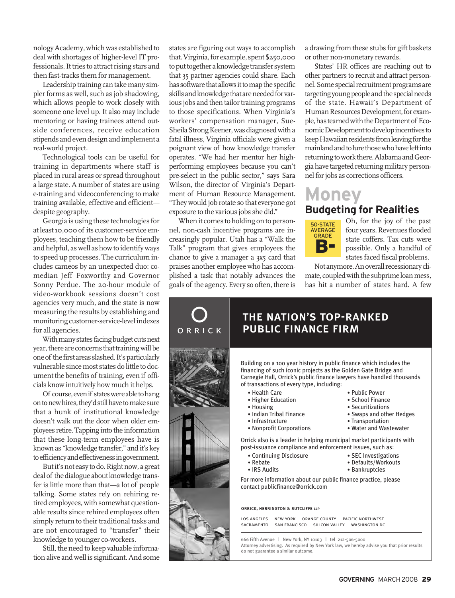nology Academy, which was established to deal with shortages of higher-level IT professionals. It tries to attract rising stars and then fast-tracks them for management.

Leadership training can take many simpler forms as well, such as job shadowing, which allows people to work closely with someone one level up. It also may include mentoring or having trainees attend outside conferences, receive education stipends and even design and implement a real-world project.

Technological tools can be useful for training in departments where staff is placed in rural areas or spread throughout a large state. A number of states are using e-training and videoconferencing to make training available, effective and efficient despite geography.

Georgia is using these technologies for at least 10,000 of its customer-service employees, teaching them how to be friendly and helpful, as well as how to identify ways to speed up processes. The curriculum includes cameos by an unexpected duo: comedian Jeff Foxworthy and Governor Sonny Perdue. The 20-hour module of video-workbook sessions doesn't cost agencies very much, and the state is now measuring the results by establishing and monitoring customer-service-level indexes for all agencies.

With many states facing budget cuts next year, there are concerns that training will be one of the first areas slashed. It's particularly vulnerable since most states do little to document the benefits of training, even if officials know intuitively how much it helps.

Of course, even if states were able to hang on to new hires, they'd still have to make sure that a hunk of institutional knowledge doesn't walk out the door when older employees retire. Tapping into the information that these long-term employees have is known as "knowledge transfer," and it's key to efficiency and effectiveness in government.

But it's not easy to do. Right now, a great deal of the dialogue about knowledge transfer is little more than that—a lot of people talking. Some states rely on rehiring retired employees, with somewhat questionable results since rehired employees often simply return to their traditional tasks and are not encouraged to "transfer" their knowledge to younger co-workers.

Still, the need to keep valuable information alive and well is significant. And some states are figuring out ways to accomplish that. Virginia, for example, spent \$250,000 to put together a knowledge transfer system that 35 partner agencies could share. Each has software that allows it to map the specific skills and knowledge that are needed for various jobs and then tailor training programs to those specifications. When Virginia's workers' compensation manager, Sue-Sheila Strong Keener, was diagnosed with a fatal illness, Virginia officials were given a poignant view of how knowledge transfer operates. "We had her mentor her highperforming employees because you can't pre-select in the public sector," says Sara Wilson, the director of Virginia's Department of Human Resource Management. "They would job rotate so that everyone got exposure to the various jobs she did."

When it comes to holding on to personnel, non-cash incentive programs are increasingly popular. Utah has a "Walk the Talk" program that gives employees the chance to give a manager a 3x5 card that praises another employee who has accomplished a task that notably advances the goals of the agency. Every so often, there is a drawing from these stubs for gift baskets or other non-monetary rewards.

States' HR offices are reaching out to other partners to recruit and attract personnel. Some special recruitment programs are targeting young people and the special needs of the state. Hawaii's Department of Human Resources Development, for example, has teamed with the Department of Economic Development to develop incentives to keep Hawaiian residents from leaving for the mainland and to lure those who have left into returning to work there. Alabama and Georgia have targeted returning military personnel for jobs as corrections officers.

### **Money Budgeting for Realities**



Oh, for the joy of the past four years. Revenues flooded state coffers. Tax cuts were possible. Only a handful of states faced fiscal problems.

Not anymore. An overall recessionary climate, coupled with the subprime loan mess, has hit a number of states hard. A few



**GOVERNING** MARCH 2008 **29**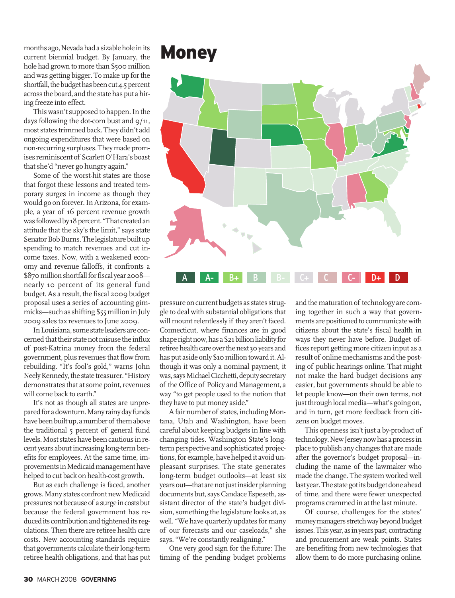months ago, Nevada had a sizable hole in its current biennial budget. By January, the hole had grown to more than \$500 million and was getting bigger. To make up for the shortfall, the budget has been cut  $4.5$  percent across the board, and the state has put a hiring freeze into effect.

This wasn't supposed to happen. In the days following the dot-com bust and  $9/11$ , most states trimmed back. They didn't add ongoing expenditures that were based on non-recurring surpluses. They made promises reminiscent of Scarlett O'Hara's boast that she'd "never go hungry again."

Some of the worst-hit states are those that forgot these lessons and treated temporary surges in income as though they would go on forever. In Arizona, for example, a year of 16 percent revenue growth was followed by 18 percent. "That created an attitude that the sky's the limit," says state Senator Bob Burns. The legislature built up spending to match revenues and cut income taxes. Now, with a weakened economy and revenue falloffs, it confronts a \$870 million shortfall for fiscal year 2008 nearly 10 percent of its general fund budget. As a result, the fiscal 2009 budget proposal uses a series of accounting gimmicks—such as shifting \$55 million in July 2009 sales tax revenues to June 2009.

In Louisiana, some state leaders are concerned that their state not misuse the influx of post-Katrina money from the federal government, plus revenues that flow from rebuilding. "It's fool's gold," warns John **D** Neely Kennedy, the state treasurer. "History **D+** demonstrates that at some point, revenues will come back to earth."

It's not as though all states are unprepared for a downturn. Many rainy day funds **C** have been built up, a number of them above the traditional 5 percent of general fund levels. Most states have been cautious in recent years about increasing long-term ben-**B**efits for employees. At the same time, improvements in Medicaid management have **B** helped to cut back on health-cost growth.

.<br>But as each challenge is faced, another grows. Many states confront new Medicaid pressures not because of a surge in costs but **A**because the federal government has reduced its contribution and tightened its reg-**A** ulations. Then there are retiree health care costs. New accounting standards require that governments calculate their long-term retiree health obligations, and that has put





pressure on current budgets as states struggle to deal with substantial obligations that will mount relentlessly if they aren't faced. **+ - +** Connecticut, where finances are in good shape right now, has a \$21 billion liability for retiree health care over the next 30 years and has put aside only \$10 million toward it. Although it was only a nominal payment, it was, says Michael Cicchetti, deputy secretary of the Office of Policy and Management, a way "to get people used to the notion that they have to put money aside."

A fair number of states, including Montana, Utah and Washington, have been careful about keeping budgets in line with changing tides. Washington State's longterm perspective and sophisticated projections, for example, have helped it avoid unpleasant surprises. The state generates long-term budget outlooks—at least six years out—that are not just insider planning documents but, says Candace Espeseth, assistant director of the state's budget division, something the legislature looks at, as well. "We have quarterly updates for many of our forecasts and our caseloads," she says. "We're constantly realigning."

One very good sign for the future: The timing of the pending budget problems

and the maturation of technology are coming together in such a way that governments are positioned to communicate with **- +**  citizens about the state's fiscal health in ways they never have before. Budget offices report getting more citizen input as a result of online mechanisms and the posting of public hearings online. That might not make the hard budget decisions any easier, but governments should be able to let people know—on their own terms, not just through local media—what's going on, and in turn, get more feedback from citizens on budget moves.

This openness isn't just a by-product of technology. New Jersey now has a process in place to publish any changes that are made after the governor's budget proposal—including the name of the lawmaker who made the change. The system worked well last year. The state got its budget done ahead of time, and there were fewer unexpected programs crammed in at the last minute.

Of course, challenges for the states' money managers stretch way beyond budget issues. This year, as in years past, contracting and procurement are weak points. States are benefiting from new technologies that allow them to do more purchasing online.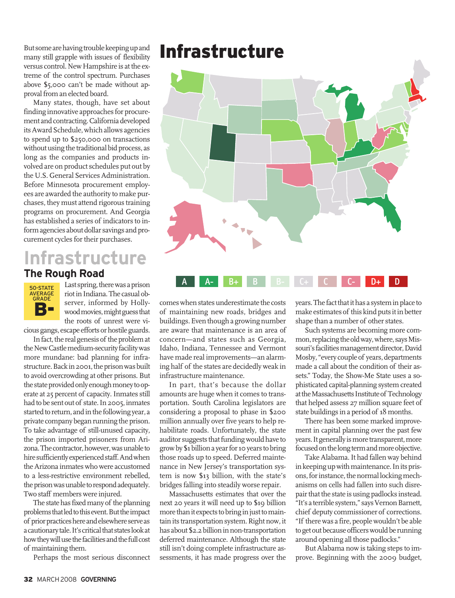But some are having trouble keeping up and many still grapple with issues of flexibility versus control. New Hampshire is at the extreme of the control spectrum. Purchases above \$5,000 can't be made without approval from an elected board.

Many states, though, have set about finding innovative approaches for procurement and contracting. California developed its Award Schedule, which allows agencies to spend up to \$250,000 on transactions without using the traditional bid process, as long as the companies and products involved are on product schedules put out by the U.S. General Services Administration. Before Minnesota procurement employees are awarded the authority to make purchases, they must attend rigorous training programs on procurement. And Georgia has established a series of indicators to inform agencies about dollar savings and procurement cycles for their purchases.

### **Infrastructure**

#### **The Rough Road**



Last spring, there was a prison riot in Indiana. The casual observer, informed by Hollywood movies, might guess that the roots of unrest were vi-

cious gangs, escape efforts or hostile guards.

In fact, the real genesis of the problem at the New Castle medium-security facility was more mundane: bad planning for infrastructure. Back in 2001, the prison was built **D** to avoid overcrowding at other prisons. But the state provided only enough money to operate at 25 percent of capacity. Inmates still had to be sent out of state. In 2005, inmates **C**started to return, and in the following year, a private company began running the prison. **C** To take advantage of still-unused capacity, the prison imported prisoners from Arizona. The contractor, however, was unable to **B**hire sufficiently experienced staff. And when the Arizona inmates who were accustomed **B** to a less-restrictive environment rebelled, the prison was unable to respond adequately. **B+** Two staff members were injured.

The state has fixed many of the planning **A**problems that led to this event. But the impact of prior practices here and elsewhere serve as **A** a cautionary tale. It's critical that states look at how they will use the facilities and the full cost of maintaining them.

Perhaps the most serious disconnect

### **Infrastructure**



comes when states underestimate the costs of maintaining new roads, bridges and buildings. Even though a growing number **+** are aware that maintenance is an area of concern—and states such as Georgia, Idaho, Indiana, Tennessee and Vermont have made real improvements—an alarming half of the states are decidedly weak in infrastructure maintenance.

In part, that's because the dollar amounts are huge when it comes to transportation. South Carolina legislators are considering a proposal to phase in \$200 million annually over five years to help rehabilitate roads. Unfortunately, the state auditor suggests that funding would have to grow by \$1 billion a year for 10 years to bring those roads up to speed. Deferred maintenance in New Jersey's transportation system is now \$13 billion, with the state's bridges falling into steadily worse repair.

Massachusetts estimates that over the next 20 years it will need up to \$19 billion more than it expects to bring in just to maintain its transportation system. Right now, it has about \$2.2 billion in non-transportation deferred maintenance. Although the state still isn't doing complete infrastructure assessments, it has made progress over the years. The fact that it has a system in place to **make estimates of this kind puts it in better** shape than a number of other states.

Such systems are becoming more common, replacing the old way, where, says Missouri's facilities management director, David Mosby, "every couple of years, departments made a call about the condition of their assets." Today, the Show-Me State uses a sophisticated capital-planning system created at the Massachusetts Institute of Technology that helped assess 27 million square feet of state buildings in a period of 18 months.

There has been some marked improvement in capital planning over the past few years. It generally is more transparent, more focused on the long term and more objective.

Take Alabama. It had fallen way behind in keeping up with maintenance. In its prisons, for instance, the normal locking mechanisms on cells had fallen into such disrepair that the state is using padlocks instead. "It's a terrible system," says Vernon Barnett, chief deputy commissioner of corrections. "If there was a fire, people wouldn't be able to get out because officers would be running around opening all those padlocks."

But Alabama now is taking steps to improve. Beginning with the 2009 budget,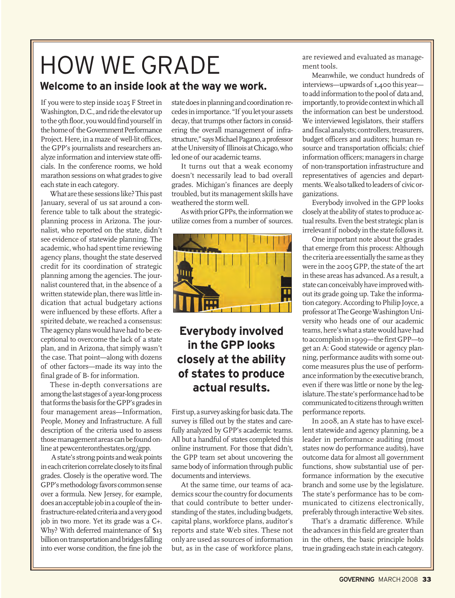### HOW WE GRADE **Welcome to an inside look at the way we work.**

If you were to step inside 1025 F Street in Washington, D.C., and ride the elevator up to the 9th floor, you would find yourself in the home of the Government Performance Project. Here, in a maze of well-lit offices, the GPP's journalists and researchers analyze information and interview state officials. In the conference rooms, we hold marathon sessions on what grades to give each state in each category.

What are these sessions like? This past January, several of us sat around a conference table to talk about the strategicplanning process in Arizona. The journalist, who reported on the state, didn't see evidence of statewide planning. The academic, who had spent time reviewing agency plans, thought the state deserved credit for its coordination of strategic planning among the agencies. The journalist countered that, in the absence of a written statewide plan, there was little indication that actual budgetary actions were influenced by these efforts. After a spirited debate, we reached a consensus: The agency plans would have had to be exceptional to overcome the lack of a state plan, and in Arizona, that simply wasn't the case. That point—along with dozens of other factors—made its way into the final grade of B- for information.

These in-depth conversations are among the last stages of a year-long process that forms the basis for the GPP's grades in four management areas—Information, People, Money and Infrastructure. A full description of the criteria used to assess those management areas can be found online at pewcenteronthestates.org/gpp.

A state's strong points and weak points in each criterion correlate closely to its final grades. Closely is the operative word. The GPP's methodology favors common sense over a formula. New Jersey, for example, does an acceptable job in a couple of the infrastructure-related criteria and a very good job in two more. Yet its grade was a C+. Why? With deferred maintenance of \$13 billion on transportation and bridges falling into ever worse condition, the fine job the

state does in planning and coordination recedes in importance. "If you let your assets decay, that trumps other factors in considering the overall management of infrastructure," says Michael Pagano, a professor at the University of Illinois at Chicago, who led one of our academic teams.

It turns out that a weak economy doesn't necessarily lead to bad overall grades. Michigan's finances are deeply troubled, but its management skills have weathered the storm well.

As with prior GPPs, the information we utilize comes from a number of sources.



### **Everybody involved in the GPP looks closely at the ability of states to produce actual results.**

First up, a survey asking for basic data. The survey is filled out by the states and carefully analyzed by GPP's academic teams. All but a handful of states completed this online instrument. For those that didn't, the GPP team set about uncovering the same body of information through public documents and interviews.

At the same time, our teams of academics scour the country for documents that could contribute to better understanding of the states, including budgets, capital plans, workforce plans, auditor's reports and state Web sites. These not only are used as sources of information but, as in the case of workforce plans,

are reviewed and evaluated as management tools.

Meanwhile, we conduct hundreds of interviews—upwards of 1,400 this year to add information to the pool of data and, importantly, to provide context in which all the information can best be understood. We interviewed legislators, their staffers and fiscal analysts; controllers, treasurers, budget officers and auditors; human resource and transportation officials; chief information officers; managers in charge of non-transportation infrastructure and representatives of agencies and departments. We also talked to leaders of civic organizations.

Everybody involved in the GPP looks closely at the ability of states to produce actual results. Even the best strategic plan is irrelevant if nobody in the state follows it.

One important note about the grades that emerge from this process: Although the criteria are essentially the same as they were in the 2005 GPP, the state of the art in these areas has advanced. As a result, a state can conceivably have improved without its grade going up. Take the information category. According to Philip Joyce, a professor at The George Washington University who heads one of our academic teams, here's what a state would have had to accomplish in 1999—the first GPP—to get an A: Good statewide or agency planning, performance audits with some outcome measures plus the use of performance information by the executive branch, even if there was little or none by the legislature. The state's performance had to be communicated to citizens through written performance reports.

In 2008, an A state has to have excellent statewide and agency planning, be a leader in performance auditing (most states now do performance audits), have outcome data for almost all government functions, show substantial use of performance information by the executive branch and some use by the legislature. The state's performance has to be communicated to citizens electronically, preferably through interactive Web sites.

That's a dramatic difference. While the advances in this field are greater than in the others, the basic principle holds true in grading each state in each category.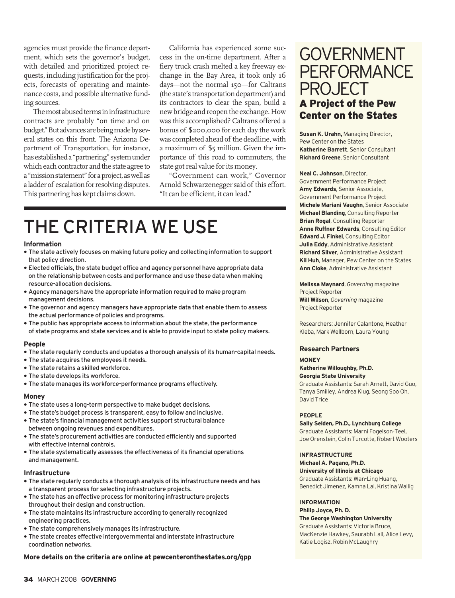agencies must provide the finance department, which sets the governor's budget, with detailed and prioritized project requests, including justification for the projects, forecasts of operating and maintenance costs, and possible alternative funding sources.

The most abused terms in infrastructure contracts are probably "on time and on budget." But advances are being made by several states on this front. The Arizona Department of Transportation, for instance, has established a "partnering" system under which each contractor and the state agree to a "mission statement" for a project, as well as a ladder of escalation for resolving disputes. This partnering has kept claims down.

California has experienced some success in the on-time department. After a fiery truck crash melted a key freeway exchange in the Bay Area, it took only 16 days—not the normal 150—for Caltrans (the state's transportation department) and its contractors to clear the span, build a new bridge and reopen the exchange. How was this accomplished? Caltrans offered a bonus of \$200,000 for each day the work was completed ahead of the deadline, with a maximum of \$5 million. Given the importance of this road to commuters, the state got real value for its money.

"Government can work," Governor Arnold Schwarzenegger said of this effort. "It can be efficient, it can lead."

### THE CRITERIA WE USE

#### **Information**

- The state actively focuses on making future policy and collecting information to support that policy direction.
- Elected officials, the state budget office and agency personnel have appropriate data on the relationship between costs and performance and use these data when making resource-allocation decisions.
- Agency managers have the appropriate information required to make program management decisions.
- The governor and agency managers have appropriate data that enable them to assess the actual performance of policies and programs.
- The public has appropriate access to information about the state, the performance of state programs and state services and is able to provide input to state policy makers.

#### **People**

- The state regularly conducts and updates a thorough analysis of its human-capital needs.
- The state acquires the employees it needs.
- The state retains a skilled workforce.
- The state develops its workforce.
- The state manages its workforce-performance programs effectively.

#### **Money**

- The state uses a long-term perspective to make budget decisions.
- The state's budget process is transparent, easy to follow and inclusive.
- The state's financial management activities support structural balance between ongoing revenues and expenditures.
- The state's procurement activities are conducted efficiently and supported with effective internal controls.
- The state systematically assesses the effectiveness of its financial operations and management.

#### **Infrastructure**

- The state regularly conducts a thorough analysis of its infrastructure needs and has a transparent process for selecting infrastructure projects.
- The state has an effective process for monitoring infrastructure projects throughout their design and construction.
- The state maintains its infrastructure according to generally recognized engineering practices.
- The state comprehensively manages its infrastructure.
- The state creates effective intergovernmental and interstate infrastructure coordination networks.

#### **More details on the criteria are online at pewcenteronthestates.org/gpp**

### GOVERNMENT **PERFORMANCE** PROJECT **A Project of the Pew Center on the States**

**Susan K. Urahn,** Managing Director, Pew Center on the States **Katherine Barrett**, Senior Consultant **Richard Greene**, Senior Consultant

**Neal C. Johnson**, Director, Government Performance Project **Amy Edwards**, Senior Associate, Government Performance Project **Michele Mariani Vaughn**, Senior Associate **Michael Blanding**, Consulting Reporter **Brian Rogal**, Consulting Reporter **Anne Ruffner Edwards**, Consulting Editor **Edward J. Finkel**, Consulting Editor **Julia Eddy**, Administrative Assistant **Richard Silver**, Administrative Assistant **Kil Huh**, Manager, Pew Center on the States **Ann Cloke**, Administrative Assistant

**Melissa Maynard**, *Governing* magazine Project Reporter **Will Wilson**, *Governing* magazine Project Reporter

Researchers: Jennifer Calantone, Heather Kleba, Mark Wellborn, Laura Young

#### **Research Partners**

#### **MONEY Katherine Willoughby, Ph.D. Georgia State University** Graduate Assistants: Sarah Arnett, David Guo, Tanya Smilley, Andrea Klug, Seong Soo Oh, David Trice

#### **PEOPLE**

**Sally Selden, Ph.D., Lynchburg College** Graduate Assistants: Marni Fogelson-Teel, Joe Orenstein, Colin Turcotte, Robert Wooters

#### **INFRASTRUCTURE**

#### **Michael A. Pagano, Ph.D. University of Illinois at Chicago**  Graduate Assistants: Wan-Ling Huang,

Benedict Jimenez, Kamna Lal, Kristina Wallig

#### **INFORMATION**

**Philip Joyce, Ph. D. The George Washington University**

Graduate Assistants: Victoria Bruce, MacKenzie Hawkey, Saurabh Lall, Alice Levy, Katie Logisz, Robin McLaughry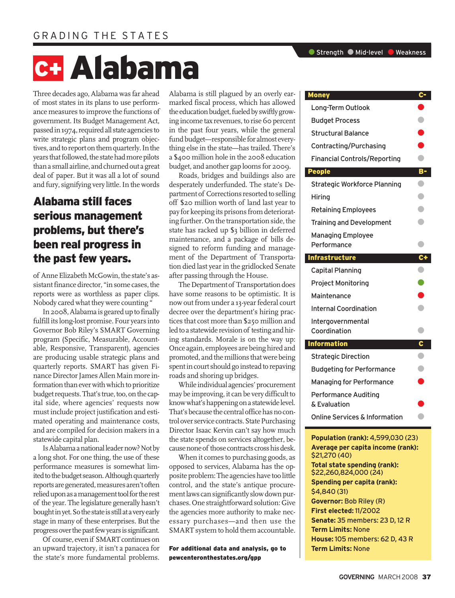### **Alabama C+**

Three decades ago, Alabama was far ahead of most states in its plans to use performance measures to improve the functions of government. Its Budget Management Act, passed in 1974, required all state agencies to write strategic plans and program objectives, and to report on them quarterly. In the years that followed, the state had more pilots than a small airline, and churned out a great deal of paper. But it was all a lot of sound and fury, signifying very little. In the words

### **Alabama still faces serious management problems, but there's been real progress in the past few years.**

of Anne Elizabeth McGowin, the state's assistant finance director, "in some cases, the reports were as worthless as paper clips. Nobody cared what they were counting "

In 2008, Alabama is geared up to finally fulfill its long-lost promise. Four years into Governor Bob Riley's SMART Governing program (Specific, Measurable, Accountable, Responsive, Transparent), agencies are producing usable strategic plans and quarterly reports. SMART has given Finance Director James Allen Main more information than ever with which to prioritize budget requests. That's true, too, on the capital side, where agencies' requests now must include project justification and estimated operating and maintenance costs, and are compiled for decision makers in a statewide capital plan.

Is Alabama a national leader now? Not by a long shot. For one thing, the use of these performance measures is somewhat limited to the budget season. Although quarterly reports are generated, measures aren't often relied upon as a management tool for the rest of the year. The legislature generally hasn't bought in yet. So the state is still at a very early stage in many of these enterprises. But the progress over the past few years is significant.

Of course, even if SMART continues on an upward trajectory, it isn't a panacea for the state's more fundamental problems.

Alabama is still plagued by an overly earmarked fiscal process, which has allowed the education budget, fueled by swiftly growing income tax revenues, to rise 60 percent in the past four years, while the general fund budget—responsible for almost everything else in the state—has trailed. There's a \$400 million hole in the 2008 education budget, and another gap looms for 2009.

Roads, bridges and buildings also are desperately underfunded. The state's Department of Corrections resorted to selling off \$20 million worth of land last year to pay for keeping its prisons from deteriorating further. On the transportation side, the state has racked up \$3 billion in deferred maintenance, and a package of bills designed to reform funding and management of the Department of Transportation died last year in the gridlocked Senate after passing through the House.

The Department of Transportation does have some reasons to be optimistic. It is now out from under a 13-year federal court decree over the department's hiring practices that cost more than \$250 million and led to a statewide revision of testing and hiring standards. Morale is on the way up: Once again, employees are being hired and promoted, and the millions that were being spent in court should go instead to repaving roads and shoring up bridges.

While individual agencies' procurement may be improving, it can be very difficult to know what's happening on a statewide level. That's because the central office has no control over service contracts. State Purchasing Director Isaac Kervin can't say how much the state spends on services altogether, because none of those contracts cross his desk.

When it comes to purchasing goods, as opposed to services, Alabama has the opposite problem: The agencies have too little control, and the state's antique procurement laws can significantly slow down purchases. One straightforward solution: Give the agencies more authority to make necessary purchases—and then use the SMART system to hold them accountable.

**For additional data and analysis, go to pewcenteronthestates.org/gpp**

| <b>Money</b>                                             | $\mathbf{c}$ - |
|----------------------------------------------------------|----------------|
| Long-Term Outlook                                        |                |
| <b>Budget Process</b>                                    |                |
| <b>Structural Balance</b>                                |                |
| Contracting/Purchasing                                   |                |
| <b>Financial Controls/Reporting</b>                      |                |
| <b>People</b>                                            | B-             |
| <b>Strategic Workforce Planning</b>                      | O              |
| Hiring                                                   | $\bullet$      |
| <b>Retaining Employees</b>                               | O              |
| <b>Training and Development</b>                          | A              |
| <b>Managing Employee</b>                                 |                |
| Performance                                              |                |
| <b>Infrastructure</b>                                    |                |
|                                                          |                |
| <b>Capital Planning</b>                                  |                |
| <b>Project Monitoring</b>                                |                |
| Maintenance                                              |                |
| <b>Internal Coordination</b>                             |                |
| Intergovernmental                                        |                |
| Coordination                                             |                |
| <b>Information</b>                                       | C              |
| <b>Strategic Direction</b>                               |                |
| <b>Budgeting for Performance</b>                         |                |
| <b>Managing for Performance</b>                          |                |
| <b>Performance Auditing</b>                              |                |
| & Evaluation<br><b>Online Services &amp; Information</b> |                |

**Population (rank):** 4,599,030 (23) **Average per capita income (rank):** \$21,270 (40) **Total state spending (rank):** \$22,260,824,000 (24) **Spending per capita (rank):** \$4,840 (31) **Governor:** Bob Riley (R) **First elected:** 11/2002 **Senate:** 35 members: 23 D, 12 R **Term Limits:** None **House:** 105 members: 62 D, 43 R **Term Limits:** None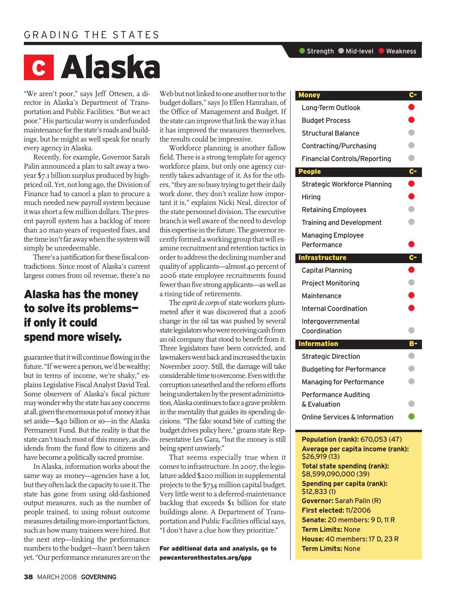#### GRADING THE STATES

### **Alaska C**

"We aren't poor," says Jeff Ottesen, a director in Alaska's Department of Transportation and Public Facilities. "But we act poor." His particular worry is underfunded maintenance for the state's roads and buildings, but he might as well speak for nearly every agency in Alaska.

Recently, for example, Governor Sarah Palin announced a plan to salt away a twoyear \$7.1 billion surplus produced by highpriced oil. Yet, not long ago, the Division of Finance had to cancel a plan to procure a much needed new payroll system because it was short a few million dollars. The present payroll system has a backlog of more than 20 man-years of requested fixes, and the time isn't far away when the system will simply be unredeemable.

There's a justification for these fiscal contradictions. Since most of Alaska's current largess comes from oil revenue, there's no

#### **Alaska has the money to solve its problems if only it could spend more wisely.**

guarantee that it will continue flowing in the future. "If we were a person, we'd be wealthy; but in terms of income, we're shaky," explains Legislative Fiscal Analyst David Teal. Some observers of Alaska's fiscal picture may wonder why the state has any concerns at all, given the enormous pot of money it has set aside—\$40 billion or so—in the Alaska Permanent Fund. But the reality is that the state can't touch most of this money, as dividends from the fund flow to citizens and have become a politically sacred promise.

In Alaska, information works about the same way as money—agencies have a lot, but they often lack the capacity to use it. The state has gone from using old-fashioned output measures, such as the number of people trained, to using robust outcome measures detailing more-important factors, such as how many trainees were hired. But the next step—linking the performance numbers to the budget—hasn't been taken yet. "Our performance measures are on the

Web but not linked to one another nor to the budget dollars," says Jo Ellen Hanrahan, of the Office of Management and Budget. If the state can improve that link the way it has it has improved the measures themselves, the results could be impressive.

Workforce planning is another fallow field. There is a strong template for agency workforce plans, but only one agency currently takes advantage of it. As for the others, "they are so busy trying to get their daily work done, they don't realize how important it is," explains Nicki Neal, director of the state personnel division. The executive branch is well aware of the need to develop this expertise in the future. The governor recently formed a working group that will examine recruitment and retention tactics in order to address the declining number and quality of applicants—almost 40 percent of 2006 state employee recruitments found fewer than five strong applicants—as well as a rising tide of retirements.

The *esprit de corps* of state workers plummeted after it was discovered that a 2006 change in the oil tax was pushed by several state legislators who were receiving cash from an oil company that stood to benefit from it. Three legislators have been convicted, and lawmakers went back and increased the tax in November 2007. Still, the damage will take considerable time to overcome. Even with the corruption unearthed and the reform efforts being undertaken by the present administration, Alaska continues to face a grave problem in the mentality that guides its spending decisions. "The fake sound bite of cutting the budget drives policy here," groans state Representative Les Gara, "but the money is still being spent unwisely."

That seems especially true when it comes to infrastructure. In 2007, the legislature added \$200 million in supplemental projects to the \$734 million capital budget. Very little went to a deferred-maintenance backlog that exceeds \$1 billion for state buildings alone. A Department of Transportation and Public Facilities official says, "I don't have a clue how they prioritize."

**For additional data and analysis, go to pewcenteronthestates.org/gpp**

● Strength ● Mid-level ● Weakness

| <b>Money</b>                                                                          | c-           |
|---------------------------------------------------------------------------------------|--------------|
| Long-Term Outlook                                                                     | o<br>O       |
| <b>Budget Process</b>                                                                 |              |
| <b>Structural Balance</b>                                                             |              |
| Contracting/Purchasing                                                                | Ê            |
| <b>Financial Controls/Reporting</b>                                                   | $\bullet$    |
| <b>People</b>                                                                         | C.           |
| <b>Strategic Workforce Planning</b>                                                   |              |
| Hiring                                                                                |              |
| <b>Retaining Employees</b>                                                            |              |
| <b>Training and Development</b>                                                       | ń            |
| Managing Employee                                                                     |              |
| Performance                                                                           | Т            |
| Infrastructure                                                                        | $\mathbf{c}$ |
| <b>Capital Planning</b>                                                               |              |
| <b>Project Monitoring</b>                                                             |              |
| Maintenance                                                                           |              |
| <b>Internal Coordination</b>                                                          |              |
| Intergovernmental                                                                     |              |
| Coordination                                                                          | a            |
| <b>Information</b>                                                                    | B            |
| <b>Strategic Direction</b>                                                            | O            |
| <b>Budgeting for Performance</b>                                                      | m            |
| <b>Managing for Performance</b>                                                       | O            |
| Performance Auditing                                                                  |              |
| & Evaluation                                                                          |              |
| <b>Online Services &amp; Information</b>                                              |              |
| Population (rank): 670,053 (47)<br>Average per capita income (rank):<br>\$26,919 (13) |              |
| <b>Total state spending (rank):</b>                                                   |              |

**Spending per capita (rank):**  \$12,833 (1) **Governor:** Sarah Palin (R) **First elected:** 11/2006 **Senate:** 20 members: 9 D, 11 R **Term Limits:** None **House:** 40 members: 17 D, 23 R **Term Limits:** None

\$8,599,090,000 (39)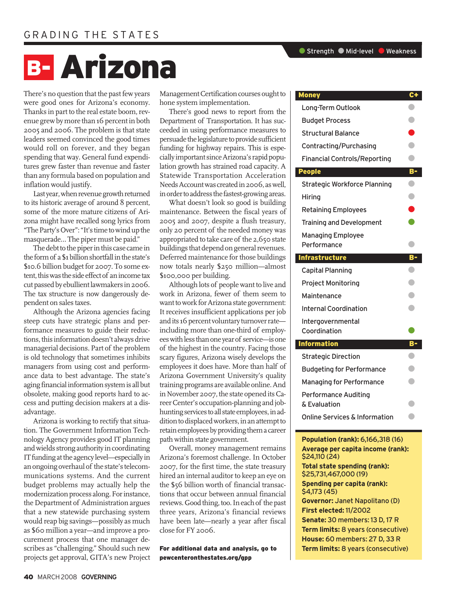# **Arizona B-**

There's no question that the past few years were good ones for Arizona's economy. Thanks in part to the real estate boom, revenue grew by more than 16 percent in both 2005 and 2006. The problem is that state leaders seemed convinced the good times would roll on forever, and they began spending that way. General fund expenditures grew faster than revenue and faster than any formula based on population and inflation would justify.

Last year, when revenue growth returned to its historic average of around 8 percent, some of the more mature citizens of Arizona might have recalled song lyrics from "The Party's Over": "It's time to wind up the masquerade… The piper must be paid."

The debt to the piper in this case came in the form of a \$1 billion shortfall in the state's \$10.6 billion budget for 2007. To some extent, this was the side effect of an income tax cut passed by ebullient lawmakers in 2006. The tax structure is now dangerously dependent on sales taxes.

Although the Arizona agencies facing steep cuts have strategic plans and performance measures to guide their reductions, this information doesn't always drive managerial decisions. Part of the problem is old technology that sometimes inhibits managers from using cost and performance data to best advantage. The state's aging financial information system is all but obsolete, making good reports hard to access and putting decision makers at a disadvantage.

Arizona is working to rectify that situation. The Government Information Technology Agency provides good IT planning and wields strong authority in coordinating IT funding at the agency level—especially in an ongoing overhaul of the state's telecommunications systems. And the current budget problems may actually help the modernization process along. For instance, the Department of Administration argues that a new statewide purchasing system would reap big savings—possibly as much as \$60 million a year—and improve a procurement process that one manager describes as "challenging." Should such new projects get approval, GITA's new Project Management Certification courses ought to hone system implementation.

There's good news to report from the Department of Transportation. It has succeeded in using performance measures to persuade the legislature to provide sufficient funding for highway repairs. This is especially important since Arizona's rapid population growth has strained road capacity. A Statewide Transportation Acceleration Needs Account was created in 2006, as well, in order to address the fastest-growing areas.

What doesn't look so good is building maintenance. Between the fiscal years of 2005 and 2007, despite a flush treasury, only 20 percent of the needed money was appropriated to take care of the 2,650 state buildings that depend on general revenues. Deferred maintenance for those buildings now totals nearly \$250 million—almost \$100,000 per building.

Although lots of people want to live and work in Arizona, fewer of them seem to want to work for Arizona state government: It receives insufficient applications per job and its 16 percent voluntary turnover rate including more than one-third of employees with less than one year of service—is one of the highest in the country. Facing those scary figures, Arizona wisely develops the employees it does have. More than half of Arizona Government University's quality training programs are available online. And in November 2007, the state opened its Career Center's occupation-planning and jobhunting services to all state employees, in addition to displaced workers, in an attempt to retain employees by providing them a career path within state government.

Overall, money management remains Arizona's foremost challenge. In October 2007, for the first time, the state treasury hired an internal auditor to keep an eye on the \$56 billion worth of financial transactions that occur between annual financial reviews. Good thing, too. In each of the past three years, Arizona's financial reviews have been late—nearly a year after fiscal close for FY 2006.

**For additional data and analysis, go to pewcenteronthestates.org/gpp**

| Long-lerm Outlook                        |           |
|------------------------------------------|-----------|
| <b>Budget Process</b>                    | 0         |
| <b>Structural Balance</b>                | Ò         |
| Contracting/Purchasing                   | $\bullet$ |
| <b>Financial Controls/Reporting</b>      | $\bullet$ |
| <b>People</b>                            | в-        |
| <b>Strategic Workforce Planning</b>      | $\bullet$ |
| Hiring                                   | $\bullet$ |
| <b>Retaining Employees</b>               | O         |
| <b>Training and Development</b>          | Ô         |
| <b>Managing Employee</b>                 |           |
| Performance                              |           |
| <b>Infrastructure</b>                    | в٠        |
| <b>Capital Planning</b>                  | $\bullet$ |
| <b>Project Monitoring</b>                | $\bullet$ |
| Maintenance                              | $\bullet$ |
| <b>Internal Coordination</b>             | Ô         |
| Intergovernmental                        |           |
| Coordination                             |           |
| <b>Information</b>                       | B٠        |
| <b>Strategic Direction</b>               | $\bullet$ |
| <b>Budgeting for Performance</b>         | $\bullet$ |
| <b>Managing for Performance</b>          | $\bullet$ |
| <b>Performance Auditing</b>              |           |
| & Evaluation                             |           |
| <b>Online Services &amp; Information</b> |           |
|                                          |           |

**Population (rank):** 6,166,318 (16) **Average per capita income (rank):** \$24,110 (24) **Total state spending (rank):** \$25,731,467,000 (19) **Spending per capita (rank):**  \$4,173 (45) **Governor:** Janet Napolitano (D) **First elected:** 11/2002 **Senate:** 30 members: 13 D, 17 R **Term limits:** 8 years (consecutive) **House:** 60 members: 27 D, 33 R **Term limits:** 8 years (consecutive)

**Money C+**

Long-Term Outlook ●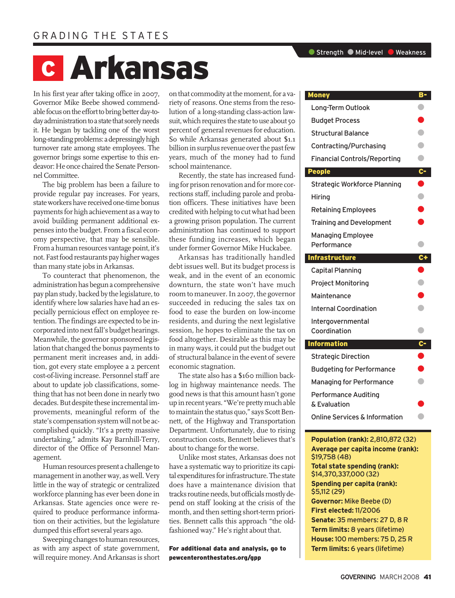# **Arkansas C**

In his first year after taking office in 2007, Governor Mike Beebe showed commendable focus on the effort to bring better day-today administration to a state that sorely needs it. He began by tackling one of the worst long-standing problems: a depressingly high turnover rate among state employees. The governor brings some expertise to this endeavor: He once chaired the Senate Personnel Committee.

The big problem has been a failure to provide regular pay increases. For years, state workers have received one-time bonus payments for high achievement as a way to avoid building permanent additional expenses into the budget. From a fiscal economy perspective, that may be sensible. From a human resources vantage point, it's not. Fast food restaurants pay higher wages than many state jobs in Arkansas.

To counteract that phenomenon, the administration has begun a comprehensive pay plan study, backed by the legislature, to identify where low salaries have had an especially pernicious effect on employee retention. The findings are expected to be incorporated into next fall's budget hearings. Meanwhile, the governor sponsored legislation that changed the bonus payments to permanent merit increases and, in addition, got every state employee a 2 percent cost-of-living increase. Personnel staff are about to update job classifications, something that has not been done in nearly two decades. But despite these incremental improvements, meaningful reform of the state's compensation system will not be accomplished quickly. "It's a pretty massive undertaking," admits Kay Barnhill-Terry, director of the Office of Personnel Management.

Human resources present a challenge to management in another way, as well. Very little in the way of strategic or centralized workforce planning has ever been done in Arkansas. State agencies once were required to produce performance information on their activities, but the legislature dumped this effort several years ago.

Sweeping changes to human resources, as with any aspect of state government, will require money. And Arkansas is short on that commodity at the moment, for a variety of reasons. One stems from the resolution of a long-standing class-action lawsuit, which requires the state to use about 50 percent of general revenues for education. So while Arkansas generated about \$1.1 billion in surplus revenue over the past few years, much of the money had to fund school maintenance.

Recently, the state has increased funding for prison renovation and for more corrections staff, including parole and probation officers. These initiatives have been credited with helping to cut what had been a growing prison population. The current administration has continued to support these funding increases, which began under former Governor Mike Huckabee.

Arkansas has traditionally handled debt issues well. But its budget process is weak, and in the event of an economic downturn, the state won't have much room to maneuver. In 2007, the governor succeeded in reducing the sales tax on food to ease the burden on low-income residents, and during the next legislative session, he hopes to eliminate the tax on food altogether. Desirable as this may be in many ways, it could put the budget out of structural balance in the event of severe economic stagnation.

The state also has a \$160 million backlog in highway maintenance needs. The good news is that this amount hasn't gone up in recent years. "We're pretty much able to maintain the status quo," says Scott Bennett, of the Highway and Transportation Department. Unfortunately, due to rising construction costs, Bennett believes that's about to change for the worse.

Unlike most states, Arkansas does not have a systematic way to prioritize its capital expenditures for infrastructure. The state does have a maintenance division that tracks routine needs, but officials mostly depend on staff looking at the crisis of the month, and then setting short-term priorities. Bennett calls this approach "the oldfashioned way." He's right about that.

**For additional data and analysis, go to pewcenteronthestates.org/gpp**

| <b>Money</b>                                             | B-                      |
|----------------------------------------------------------|-------------------------|
| Long-Term Outlook                                        |                         |
| <b>Budget Process</b>                                    | l                       |
| Structural Balance                                       | Ó                       |
| Contracting/Purchasing                                   |                         |
| <b>Financial Controls/Reporting</b>                      | Û                       |
| <b>People</b>                                            | $\overline{\mathbf{c}}$ |
| <b>Strategic Workforce Planning</b>                      |                         |
| Hiring                                                   |                         |
| <b>Retaining Employees</b>                               |                         |
| <b>Training and Development</b>                          |                         |
| <b>Managing Employee</b>                                 |                         |
| Performance                                              |                         |
|                                                          |                         |
| <b>Infrastructure</b>                                    |                         |
| <b>Capital Planning</b>                                  |                         |
| <b>Project Monitoring</b>                                |                         |
| Maintenance                                              |                         |
| <b>Internal Coordination</b>                             |                         |
| Intergovernmental                                        |                         |
| Coordination                                             |                         |
| <b>Information</b>                                       |                         |
| <b>Strategic Direction</b>                               |                         |
| <b>Budgeting for Performance</b>                         | C<br>O<br>O             |
| <b>Managing for Performance</b>                          |                         |
| <b>Performance Auditing</b>                              |                         |
| & Evaluation<br><b>Online Services &amp; Information</b> |                         |

**Population (rank):** 2,810,872 (32) **Average per capita income (rank):** \$19,758 (48) **Total state spending (rank):** \$14,370,337,000 (32) **Spending per capita (rank):**  \$5,112 (29) **Governor:** Mike Beebe (D) **First elected:** 11/2006 **Senate:** 35 members: 27 D, 8 R **Term limits:** 8 years (lifetime) **House:** 100 members: 75 D, 25 R **Term limits:** 6 years (lifetime)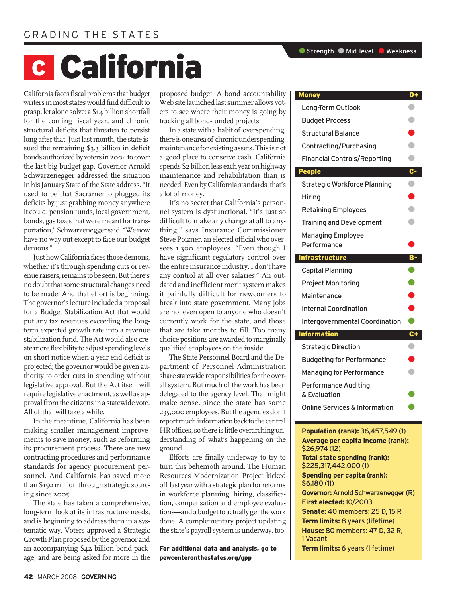# **California C**

California faces fiscal problems that budget writers in most states would find difficult to grasp, let alone solve: a \$14 billion shortfall for the coming fiscal year, and chronic structural deficits that threaten to persist long after that. Just last month, the state issued the remaining \$3.3 billion in deficit bonds authorized by voters in 2004 to cover the last big budget gap. Governor Arnold Schwarzenegger addressed the situation in his January State of the State address. "It used to be that Sacramento plugged its deficits by just grabbing money anywhere it could: pension funds, local government, bonds, gas taxes that were meant for transportation," Schwarzenegger said. "We now have no way out except to face our budget demons."

Just how California faces those demons, whether it's through spending cuts or revenue raisers, remains to be seen. But there's no doubt that some structural changes need to be made. And that effort is beginning. The governor's lecture included a proposal for a Budget Stabilization Act that would put any tax revenues exceeding the longterm expected growth rate into a revenue stabilization fund. The Act would also create more flexibility to adjust spending levels on short notice when a year-end deficit is projected; the governor would be given authority to order cuts in spending without legislative approval. But the Act itself will require legislative enactment, as well as approval from the citizens in a statewide vote. All of that will take a while.

In the meantime, California has been making smaller management improvements to save money, such as reforming its procurement process. There are new contracting procedures and performance standards for agency procurement personnel. And California has saved more than \$150 million through strategic sourcing since 2005.

The state has taken a comprehensive, long-term look at its infrastructure needs, and is beginning to address them in a systematic way. Voters approved a Strategic Growth Plan proposed by the governor and an accompanying \$42 billion bond package, and are being asked for more in the proposed budget. A bond accountability Web site launched last summer allows voters to see where their money is going by tracking all bond-funded projects.

In a state with a habit of overspending, there is one area of chronic underspending: maintenance for existing assets. This is not a good place to conserve cash. California spends \$2 billion less each year on highway maintenance and rehabilitation than is needed. Even by California standards, that's a lot of money.

It's no secret that California's personnel system is dysfunctional. "It's just so difficult to make any change at all to anything," says Insurance Commissioner Steve Poizner, an elected official who oversees 1,300 employees. "Even though I have significant regulatory control over the entire insurance industry, I don't have any control at all over salaries." An outdated and inefficient merit system makes it painfully difficult for newcomers to break into state government. Many jobs are not even open to anyone who doesn't currently work for the state, and those that are take months to fill. Too many choice positions are awarded to marginally qualified employees on the inside.

The State Personnel Board and the Department of Personnel Administration share statewide responsibilities for the overall system. But much of the work has been delegated to the agency level. That might make sense, since the state has some 235,000 employees. But the agencies don't report much information back to the central HR offices, so there is little overarching understanding of what's happening on the ground.

Efforts are finally underway to try to turn this behemoth around. The Human Resources Modernization Project kicked off last year with a strategic plan for reforms in workforce planning, hiring, classification, compensation and employee evaluations—and a budget to actually get the work done. A complementary project updating the state's payroll system is underway, too.

**For additional data and analysis, go to pewcenteronthestates.org/gpp**

| <b>Money</b>                                             | D+        |
|----------------------------------------------------------|-----------|
| Long-Term Outlook                                        |           |
|                                                          |           |
| <b>Budget Process</b>                                    |           |
| <b>Structural Balance</b>                                | $\bullet$ |
| Contracting/Purchasing                                   | Ó         |
| <b>Financial Controls/Reporting</b>                      |           |
| <b>People</b>                                            | C.        |
| <b>Strategic Workforce Planning</b>                      | $\bullet$ |
| Hiring                                                   | Ċ         |
| <b>Retaining Employees</b>                               | $\bullet$ |
| <b>Training and Development</b>                          |           |
| <b>Managing Employee</b>                                 |           |
| Performance                                              |           |
|                                                          |           |
| <b>Infrastructure</b>                                    | в-        |
| <b>Capital Planning</b>                                  | $\bullet$ |
| <b>Project Monitoring</b>                                |           |
| Maintenance                                              |           |
| <b>Internal Coordination</b>                             |           |
| <b>Intergovernmental Coordination</b>                    |           |
| <b>Information</b>                                       | $c+$      |
| <b>Strategic Direction</b>                               | $\bullet$ |
| <b>Budgeting for Performance</b>                         | ń         |
| <b>Managing for Performance</b>                          | Ê         |
| <b>Performance Auditing</b>                              |           |
| & Evaluation<br><b>Online Services &amp; Information</b> |           |

**Population (rank):** 36,457,549 (1) **Average per capita income (rank):** \$26,974 (12) **Total state spending (rank):** \$225,317,442,000 (1) **Spending per capita (rank):** \$6,180 (11) **Governor:** Arnold Schwarzenegger (R) **First elected:** 10/2003 **Senate:** 40 members: 25 D, 15 R **Term limits:** 8 years (lifetime) **House:** 80 members: 47 D, 32 R, 1 Vacant **Term limits:** 6 years (lifetime)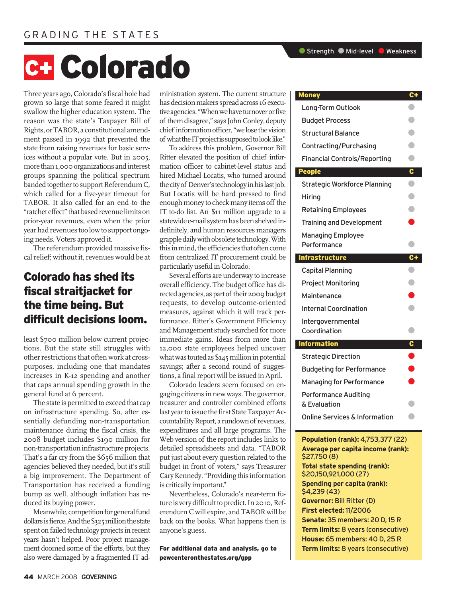# **Colorado C+**

Three years ago, Colorado's fiscal hole had grown so large that some feared it might swallow the higher education system. The reason was the state's Taxpayer Bill of Rights, or TABOR, a constitutional amendment passed in 1992 that prevented the state from raising revenues for basic services without a popular vote. But in 2005, more than 1,000 organizations and interest groups spanning the political spectrum banded together to support Referendum C, which called for a five-year timeout for TABOR. It also called for an end to the "ratchet effect" that based revenue limits on prior-year revenues, even when the prior year had revenues too low to support ongoing needs. Voters approved it.

The referendum provided massive fiscal relief; without it, revenues would be at

### **Colorado has shed its fiscal straitjacket for the time being. But difficult decisions loom.**

least \$700 million below current projections. But the state still struggles with other restrictions that often work at crosspurposes, including one that mandates increases in K-12 spending and another that caps annual spending growth in the general fund at 6 percent.

The state is permitted to exceed that cap on infrastructure spending. So, after essentially defunding non-transportation maintenance during the fiscal crisis, the 2008 budget includes \$190 million for non-transportation infrastructure projects. That's a far cry from the \$656 million that agencies believed they needed, but it's still a big improvement. The Department of Transportation has received a funding bump as well, although inflation has reduced its buying power.

Meanwhile, competition for general fund dollars is fierce. And the \$325 million the state spent on failed technology projects in recent years hasn't helped. Poor project management doomed some of the efforts, but they also were damaged by a fragmented IT administration system. The current structure has decision makers spread across 16 executive agencies. "When we have turnover or five of them disagree," says John Conley, deputy chief information officer, "we lose the vision of what the IT project is supposed to look like."

To address this problem, Governor Bill Ritter elevated the position of chief information officer to cabinet-level status and hired Michael Locatis, who turned around the city of Denver's technology in his last job. But Locatis will be hard pressed to find enough money to check many items off the IT to-do list. An \$11 million upgrade to a statewide e-mail system has been shelved indefinitely, and human resources managers grapple daily with obsolete technology. With this in mind, the efficiencies that often come from centralized IT procurement could be particularly useful in Colorado.

Several efforts are underway to increase overall efficiency. The budget office has directed agencies, as part of their 2009 budget requests, to develop outcome-oriented measures, against which it will track performance. Ritter's Government Efficiency and Management study searched for more immediate gains. Ideas from more than 12,000 state employees helped uncover what was touted as \$145 million in potential savings; after a second round of suggestions, a final report will be issued in April.

Colorado leaders seem focused on engaging citizens in new ways. The governor, treasurer and controller combined efforts last year to issue the first State Taxpayer Accountability Report, a rundown of revenues, expenditures and all large programs. The Web version of the report includes links to detailed spreadsheets and data. "TABOR put just about every question related to the budget in front of voters," says Treasurer Cary Kennedy. "Providing this information is critically important."

Nevertheless, Colorado's near-term future is very difficult to predict. In 2010, Referendum C will expire, and TABOR will be back on the books. What happens then is anyone's guess.

**For additional data and analysis, go to pewcenteronthestates.org/gpp**

| <b>Money</b>                                             | $c+$         |
|----------------------------------------------------------|--------------|
| Long-Term Outlook                                        | 0            |
| <b>Budget Process</b>                                    | O            |
| <b>Structural Balance</b>                                | $\bullet$    |
| Contracting/Purchasing                                   | O            |
| <b>Financial Controls/Reporting</b>                      | O            |
| <b>People</b>                                            | C            |
| <b>Strategic Workforce Planning</b>                      | $\bullet$    |
| Hiring                                                   | $\bullet$    |
| <b>Retaining Employees</b>                               | $\bullet$    |
| <b>Training and Development</b>                          | Ċ            |
| <b>Managing Employee</b>                                 |              |
| Performance                                              | n            |
|                                                          |              |
| <b>Infrastructure</b>                                    | C۱           |
| <b>Capital Planning</b>                                  | 0            |
| <b>Project Monitoring</b>                                |              |
| Maintenance                                              | $\bullet$    |
| <b>Internal Coordination</b>                             | Ê            |
| Intergovernmental                                        |              |
| Coordination                                             | O            |
| <b>Information</b>                                       |              |
| <b>Strategic Direction</b>                               | $\mathbf{c}$ |
| <b>Budgeting for Performance</b>                         | $\bullet$    |
| Managing for Performance                                 | ė            |
| <b>Performance Auditing</b>                              |              |
| & Evaluation<br><b>Online Services &amp; Information</b> |              |

**Population (rank):** 4,753,377 (22) **Average per capita income (rank):** \$27,750 (8) **Total state spending (rank):** \$20,150,921,000 (27) **Spending per capita (rank):**  \$4,239 (43) **Governor:** Bill Ritter (D) **First elected:** 11/2006 **Senate:** 35 members: 20 D, 15 R **Term limits:** 8 years (consecutive) **House:** 65 members: 40 D, 25 R **Term limits:** 8 years (consecutive)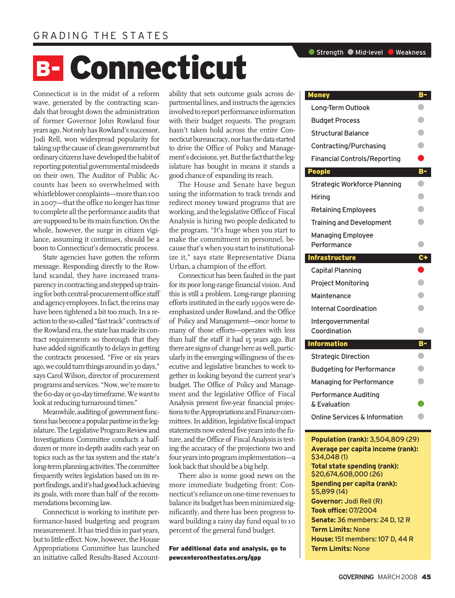### **Connecticut B-**

Connecticut is in the midst of a reform wave, generated by the contracting scandals that brought down the administration of former Governor John Rowland four years ago. Not only has Rowland's successor, Jodi Rell, won widespread popularity for taking up the cause of clean government but ordinary citizens have developed the habit of reporting potential governmental misdeeds on their own. The Auditor of Public Accounts has been so overwhelmed with whistleblower complaints—more than 100 in 2007—that the office no longer has time to complete all the performance audits that are supposed to be its main function. On the whole, however, the surge in citizen vigilance, assuming it continues, should be a boon to Connecticut's democratic process.

State agencies have gotten the reform message. Responding directly to the Rowland scandal, they have increased transparency in contracting and stepped up training for both central-procurement office staff and agency employees. In fact, the reins may have been tightened a bit too much. In a reaction to the so-called "fast track" contracts of the Rowland era, the state has made its contract requirements so thorough that they have added significantly to delays in getting the contracts processed. "Five or six years ago, we could turn things around in 30 days," says Carol Wilson, director of procurement programs and services. "Now, we're more to the 60-day or 90-day timeframe. We want to look at reducing turnaround times."

Meanwhile, auditing of government functions has become a popular pastime in the legislature. The Legislative Program Review and Investigations Committee conducts a halfdozen or more in-depth audits each year on topics such as the tax system and the state's long-term planning activities. The committee frequently writes legislation based on its report findings, and it's had good luck achieving its goals, with more than half of the recommendations becoming law.

Connecticut is working to institute performance-based budgeting and program measurement. It has tried this in past years, but to little effect. Now, however, the House Appropriations Committee has launched an initiative called Results-Based Accountability that sets outcome goals across departmental lines, and instructs the agencies involved to report performance information with their budget requests. The program hasn't taken hold across the entire Connecticut bureaucracy, nor has the data started to drive the Office of Policy and Management's decisions, yet. But the fact that the legislature has bought in means it stands a good chance of expanding its reach.

The House and Senate have begun using the information to track trends and redirect money toward programs that are working, and the legislative Office of Fiscal Analysis is hiring two people dedicated to the program. "It's huge when you start to make the commitment in personnel, because that's when you start to institutionalize it," says state Representative Diana Urban, a champion of the effort.

Connecticut has been faulted in the past for its poor long-range financial vision. And this is still a problem. Long-range planning efforts instituted in the early 1990s were deemphasized under Rowland, and the Office of Policy and Management—once home to many of those efforts—operates with less than half the staff it had 15 years ago. But there are signs of change here as well, particularly in the emerging willingness of the executive and legislative branches to work together in looking beyond the current year's budget. The Office of Policy and Management and the legislative Office of Fiscal Analysis present five-year financial projections to the Appropriations and Finance committees. In addition, legislative fiscal-impact statements now extend five years into the future, and the Office of Fiscal Analysis is testing the accuracy of the projections two and four years into program implementation—a look back that should be a big help.

There also is some good news on the more immediate budgeting front: Connecticut's reliance on one-time revenues to balance its budget has been minimized significantly, and there has been progress toward building a rainy day fund equal to 10 percent of the general fund budget.

**For additional data and analysis, go to pewcenteronthestates.org/gpp**

● Strength ● Mid-level ● Weakness

| <b>Money</b>                             | в-        |
|------------------------------------------|-----------|
| Long-Term Outlook                        | O         |
| <b>Budget Process</b>                    | O         |
| <b>Structural Balance</b>                | $\bullet$ |
| Contracting/Purchasing                   | $\bullet$ |
| <b>Financial Controls/Reporting</b>      | 0         |
| <b>People</b>                            | B-        |
| <b>Strategic Workforce Planning</b>      | $\bullet$ |
| Hiring                                   | $\bullet$ |
| <b>Retaining Employees</b>               | 0         |
| <b>Training and Development</b>          | o         |
| <b>Managing Employee</b>                 |           |
| Performance                              |           |
| <b>Infrastructure</b>                    |           |
|                                          |           |
| <b>Capital Planning</b>                  | O         |
| <b>Project Monitoring</b>                | $\bullet$ |
| Maintenance                              | $\bullet$ |
| <b>Internal Coordination</b>             | Ô         |
| Intergovernmental                        |           |
| Coordination                             |           |
| <b>Information</b>                       | B٠        |
| <b>Strategic Direction</b>               | O         |
| <b>Budgeting for Performance</b>         | $\bullet$ |
| <b>Managing for Performance</b>          | O         |
| <b>Performance Auditing</b>              |           |
| & Evaluation                             |           |
| <b>Online Services &amp; Information</b> |           |

**Population (rank):** 3,504,809 (29) **Average per capita income (rank):** \$34,048 (1) **Total state spending (rank):** \$20,674,608,000 (26) **Spending per capita (rank):**  \$5,899 (14) **Governor:** Jodi Rell (R) **Took office:** 07/2004 **Senate:** 36 members: 24 D, 12 R **Term Limits:** None **House:** 151 members: 107 D, 44 R **Term Limits:** None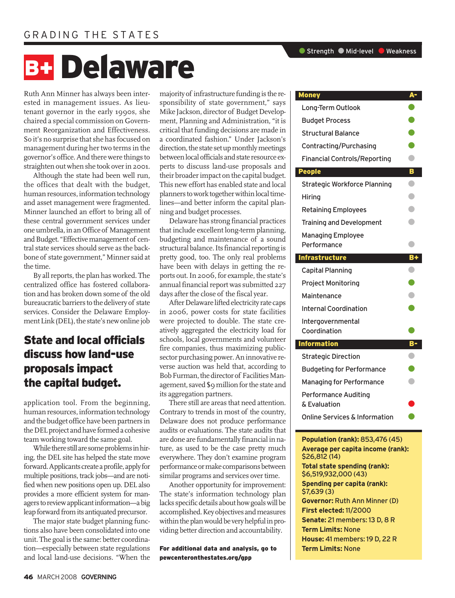### **B+** Delaware

Ruth Ann Minner has always been interested in management issues. As lieutenant governor in the early 1990s, she chaired a special commission on Government Reorganization and Effectiveness. So it's no surprise that she has focused on management during her two terms in the governor's office. And there were things to straighten out when she took over in 2001.

Although the state had been well run, the offices that dealt with the budget, human resources, information technology and asset management were fragmented. Minner launched an effort to bring all of these central government services under one umbrella, in an Office of Management and Budget. "Effective management of central state services should serve as the backbone of state government," Minner said at the time.

By all reports, the plan has worked. The centralized office has fostered collaboration and has broken down some of the old bureaucratic barriers to the delivery of state services. Consider the Delaware Employment Link (DEL), the state's new online job

#### **State and local officials discuss how land-use proposals impact the capital budget.**

application tool. From the beginning, human resources, information technology and the budget office have been partners in the DEL project and have formed a cohesive team working toward the same goal.

While there still are some problems in hiring, the DEL site has helped the state move forward. Applicants create a profile, apply for multiple positions, track jobs—and are notified when new positions open up. DEL also provides a more efficient system for managers to review applicant information—a big leap forward from its antiquated precursor.

The major state budget planning functions also have been consolidated into one unit. The goal is the same: better coordination—especially between state regulations and local land-use decisions. "When the

majority of infrastructure funding is the responsibility of state government," says Mike Jackson, director of Budget Development, Planning and Administration, "it is critical that funding decisions are made in a coordinated fashion." Under Jackson's direction, the state set up monthly meetings between local officials and state resource experts to discuss land-use proposals and their broader impact on the capital budget. This new effort has enabled state and local planners to work together within local timelines—and better inform the capital planning and budget processes.

Delaware has strong financial practices that include excellent long-term planning, budgeting and maintenance of a sound structural balance. Its financial reporting is pretty good, too. The only real problems have been with delays in getting the reports out. In 2006, for example, the state's annual financial report was submitted 227 days after the close of the fiscal year.

After Delaware lifted electricity rate caps in 2006, power costs for state facilities were projected to double. The state creatively aggregated the electricity load for schools, local governments and volunteer fire companies, thus maximizing publicsector purchasing power. An innovative reverse auction was held that, according to Bob Furman, the director of Facilities Management, saved \$9 million for the state and its aggregation partners.

There still are areas that need attention. Contrary to trends in most of the country, Delaware does not produce performance audits or evaluations. The state audits that are done are fundamentally financial in nature, as used to be the case pretty much everywhere. They don't examine program performance or make comparisons between similar programs and services over time.

Another opportunity for improvement: The state's information technology plan lacks specific details about how goals will be accomplished. Key objectives and measures within the plan would be very helpful in providing better direction and accountability.

**For additional data and analysis, go to pewcenteronthestates.org/gpp**

● Strength ● Mid-level ● Weakness

| <b>Money</b>                             | $A-$      |
|------------------------------------------|-----------|
| Long-Term Outlook                        | O         |
| <b>Budget Process</b>                    | Ŏ         |
| <b>Structural Balance</b>                | Ò         |
| Contracting/Purchasing                   | O         |
| <b>Financial Controls/Reporting</b>      | ۸         |
| <b>People</b>                            | в         |
| <b>Strategic Workforce Planning</b>      | $\bullet$ |
| Hiring                                   | O         |
| <b>Retaining Employees</b>               | a         |
| <b>Training and Development</b>          | o         |
| <b>Managing Employee</b>                 |           |
| Performance                              |           |
| <b>Infrastructure</b>                    | B+        |
|                                          |           |
| <b>Capital Planning</b>                  | O         |
| <b>Project Monitoring</b>                | O         |
| Maintenance                              |           |
| <b>Internal Coordination</b>             | C         |
| Intergovernmental                        |           |
| Coordination                             | п         |
| <b>Information</b>                       | в-        |
| <b>Strategic Direction</b>               | O         |
| <b>Budgeting for Performance</b>         | n         |
| <b>Managing for Performance</b>          | Ó         |
| Performance Auditing                     |           |
| & Evaluation                             |           |
| <b>Online Services &amp; Information</b> |           |

**Population (rank):** 853,476 (45) **Average per capita income (rank):** \$26,812 (14) **Total state spending (rank):** \$6,519,932,000 (43) **Spending per capita (rank):**  \$7,639 (3) **Governor:** Ruth Ann Minner (D) **First elected:** 11/2000 **Senate:** 21 members: 13 D, 8 R **Term Limits:** None **House:** 41 members: 19 D, 22 R **Term Limits:** None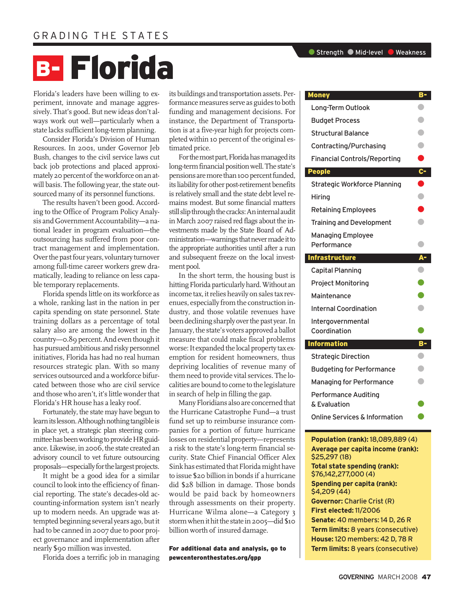# **Florida B-**

Florida's leaders have been willing to experiment, innovate and manage aggressively. That's good. But new ideas don't always work out well—particularly when a state lacks sufficient long-term planning.

Consider Florida's Division of Human Resources. In 2001, under Governor Jeb Bush, changes to the civil service laws cut back job protections and placed approximately 20 percent of the workforce on an atwill basis. The following year, the state outsourced many of its personnel functions.

The results haven't been good. According to the Office of Program Policy Analysis and Government Accountability—a national leader in program evaluation—the outsourcing has suffered from poor contract management and implementation. Over the past four years, voluntary turnover among full-time career workers grew dramatically, leading to reliance on less capable temporary replacements.

Florida spends little on its workforce as a whole, ranking last in the nation in per capita spending on state personnel. State training dollars as a percentage of total salary also are among the lowest in the country—0.89 percent. And even though it has pursued ambitious and risky personnel initiatives, Florida has had no real human resources strategic plan. With so many services outsourced and a workforce bifurcated between those who are civil service and those who aren't, it's little wonder that Florida's HR house has a leaky roof.

Fortunately, the state may have begun to learn its lesson. Although nothing tangible is in place yet, a strategic plan steering committee has been working to provide HR guidance. Likewise, in 2006, the state created an advisory council to vet future outsourcing proposals—especially for the largest projects.

It might be a good idea for a similar council to look into the efficiency of financial reporting. The state's decades-old accounting-information system isn't nearly up to modern needs. An upgrade was attempted beginning several years ago, but it had to be canned in 2007 due to poor project governance and implementation after nearly \$90 million was invested.

Florida does a terrific job in managing

its buildings and transportation assets. Performance measures serve as guides to both funding and management decisions. For instance, the Department of Transportation is at a five-year high for projects completed within 10 percent of the original estimated price.

For the most part, Florida has managed its long-term financial position well. The state's pensions are more than 100 percent funded, its liability for other post-retirement benefits is relatively small and the state debt level remains modest. But some financial matters still slip through the cracks: An internal audit in March 2007 raised red flags about the investments made by the State Board of Administration—warnings that never made it to the appropriate authorities until after a run and subsequent freeze on the local investment pool.

In the short term, the housing bust is hitting Florida particularly hard. Without an income tax, it relies heavily on sales tax revenues, especially from the construction industry, and those volatile revenues have been declining sharply over the past year. In January, the state's voters approved a ballot measure that could make fiscal problems worse: It expanded the local property tax exemption for resident homeowners, thus depriving localities of revenue many of them need to provide vital services. The localities are bound to come to the legislature in search of help in filling the gap.

Many Floridians also are concerned that the Hurricane Catastrophe Fund—a trust fund set up to reimburse insurance companies for a portion of future hurricane losses on residential property—represents a risk to the state's long-term financial security. State Chief Financial Officer Alex Sink has estimated that Florida might have to issue \$20 billion in bonds if a hurricane did \$28 billion in damage. Those bonds would be paid back by homeowners through assessments on their property. Hurricane Wilma alone—a Category 3 storm when it hit the state in 2005—did \$10 billion worth of insured damage.

**For additional data and analysis, go to pewcenteronthestates.org/gpp**

| <b>Money</b>                                             | в-        |
|----------------------------------------------------------|-----------|
| Long-Term Outlook                                        | O         |
| <b>Budget Process</b>                                    | O         |
| <b>Structural Balance</b>                                | O         |
| Contracting/Purchasing                                   |           |
| <b>Financial Controls/Reporting</b>                      | <b>.</b>  |
| <b>People</b>                                            |           |
| <b>Strategic Workforce Planning</b>                      |           |
| Hiring                                                   |           |
| <b>Retaining Employees</b>                               |           |
| <b>Training and Development</b>                          |           |
| <b>Managing Employee</b>                                 |           |
| Performance                                              | C<br>A-   |
| <b>Infrastructure</b>                                    |           |
|                                                          |           |
| <b>Capital Planning</b>                                  |           |
| <b>Project Monitoring</b>                                |           |
| Maintenance                                              |           |
| Internal Coordination                                    |           |
| Intergovernmental                                        |           |
| Coordination                                             |           |
| <b>Information</b>                                       | B-        |
| <b>Strategic Direction</b>                               | $\bullet$ |
| <b>Budgeting for Performance</b>                         | Ó         |
| <b>Managing for Performance</b>                          | ۸         |
| <b>Performance Auditing</b>                              |           |
| & Evaluation<br><b>Online Services &amp; Information</b> |           |

**Population (rank):** 18,089,889 (4) **Average per capita income (rank):** \$25,297 (18) **Total state spending (rank):** \$76,142,277,000 (4) **Spending per capita (rank):**  \$4,209 (44) **Governor:** Charlie Crist (R) **First elected:** 11/2006 **Senate:** 40 members: 14 D, 26 R **Term limits:** 8 years (consecutive) **House:** 120 members: 42 D, 78 R **Term limits:** 8 years (consecutive)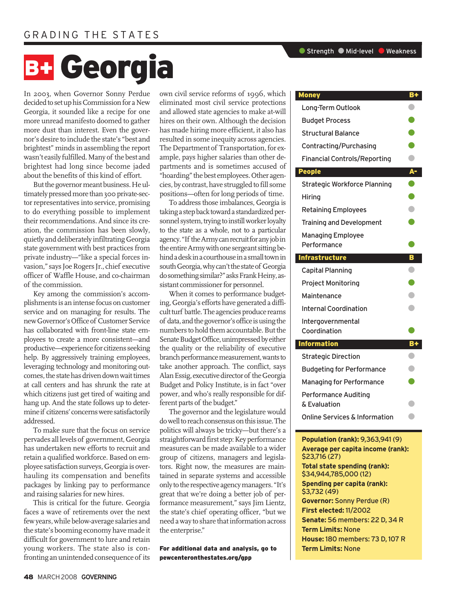# **Georgia B+**

In 2003, when Governor Sonny Perdue decided to set up his Commission for a New Georgia, it sounded like a recipe for one more unread manifesto doomed to gather more dust than interest. Even the governor's desire to include the state's "best and brightest" minds in assembling the report wasn't easily fulfilled. Many of the best and brightest had long since become jaded about the benefits of this kind of effort.

But the governor meant business. He ultimately pressed more than 300 private-sector representatives into service, promising to do everything possible to implement their recommendations. And since its creation, the commission has been slowly, quietly and deliberately infiltrating Georgia state government with best practices from private industry—"like a special forces invasion," says Joe Rogers Jr., chief executive officer of Waffle House, and co-chairman of the commission.

Key among the commission's accomplishments is an intense focus on customer service and on managing for results. The new Governor's Office of Customer Service has collaborated with front-line state employees to create a more consistent—and productive—experience for citizens seeking help. By aggressively training employees, leveraging technology and monitoring outcomes, the state has driven down wait times at call centers and has shrunk the rate at which citizens just get tired of waiting and hang up. And the state follows up to determine if citizens' concerns were satisfactorily addressed.

To make sure that the focus on service pervades all levels of government, Georgia has undertaken new efforts to recruit and retain a qualified workforce. Based on employee satisfaction surveys, Georgia is overhauling its compensation and benefits packages by linking pay to performance and raising salaries for new hires.

This is critical for the future. Georgia faces a wave of retirements over the next few years, while below-average salaries and the state's booming economy have made it difficult for government to lure and retain young workers. The state also is confronting an unintended consequence of its

own civil service reforms of 1996, which  $\|\cdot\|$ eliminated most civil service protections and allowed state agencies to make at-will hires on their own. Although the decision has made hiring more efficient, it also has resulted in some inequity across agencies. The Department of Transportation, for example, pays higher salaries than other departments and is sometimes accused of "hoarding" the best employees. Other agencies, by contrast, have struggled to fill some positions—often for long periods of time.

To address those imbalances, Georgia is taking a step back toward a standardized personnel system, trying to instill worker loyalty to the state as a whole, not to a particular agency. "If the Army can recruit for any job in the entire Army with one sergeant sitting behind a desk in a courthouse in a small town in south Georgia, why can't the state of Georgia do something similar?" asks Frank Heiny, assistant commissioner for personnel.

When it comes to performance budgeting, Georgia's efforts have generated a difficult turf battle. The agencies produce reams of data, and the governor's office is using the numbers to hold them accountable. But the Senate Budget Office, unimpressed by either the quality or the reliability of executive branch performance measurement, wants to take another approach. The conflict, says Alan Essig, executive director of the Georgia Budget and Policy Institute, is in fact "over power, and who's really responsible for different parts of the budget."

The governor and the legislature would do well to reach consensus on this issue. The politics will always be tricky—but there's a straightforward first step: Key performance measures can be made available to a wider group of citizens, managers and legislators. Right now, the measures are maintained in separate systems and accessible only to the respective agency managers. "It's great that we're doing a better job of performance measurement," says Jim Lientz, the state's chief operating officer, "but we need a way to share that information across the enterprise."

**For additional data and analysis, go to pewcenteronthestates.org/gpp**

● Strength ● Mid-level ● Weakness

| <b>Money</b>                                                                          | $B+$      |
|---------------------------------------------------------------------------------------|-----------|
| Long-Term Outlook                                                                     | $\bullet$ |
| <b>Budget Process</b>                                                                 | $\bullet$ |
| Structural Balance                                                                    | $\bullet$ |
| Contracting/Purchasing                                                                | $\bullet$ |
| <b>Financial Controls/Reporting</b>                                                   | $\bullet$ |
| <b>People</b>                                                                         | $A-$      |
| <b>Strategic Workforce Planning</b>                                                   | $\bullet$ |
| Hiring                                                                                | $\bullet$ |
| <b>Retaining Employees</b>                                                            | $\bullet$ |
| <b>Training and Development</b>                                                       | O         |
| <b>Managing Employee</b>                                                              |           |
| Performance                                                                           | O         |
| <b>Infrastructure</b>                                                                 | в         |
| <b>Capital Planning</b>                                                               | $\bullet$ |
| <b>Project Monitoring</b>                                                             | $\bullet$ |
| Maintenance                                                                           | $\bullet$ |
| <b>Internal Coordination</b>                                                          | Ô         |
| Intergovernmental                                                                     |           |
| Coordination                                                                          | r i       |
| <b>Information</b>                                                                    | B.        |
| <b>Strategic Direction</b>                                                            | O         |
| <b>Budgeting for Performance</b>                                                      | $\bullet$ |
| <b>Managing for Performance</b>                                                       | O         |
| <b>Performance Auditing</b>                                                           |           |
| & Evaluation                                                                          | 0         |
| <b>Online Services &amp; Information</b>                                              | n         |
| Population (rank): 9,363,941(9)<br>Average per capita income (rank):<br>\$23.716 (27) |           |

**Total state spending (rank):** \$34,944,785,000 (12) **Spending per capita (rank):**  \$3,732 (49) **Governor:** Sonny Perdue (R) **First elected:** 11/2002 **Senate:** 56 members: 22 D, 34 R **Term Limits:** None **House:** 180 members: 73 D, 107 R **Term Limits:** None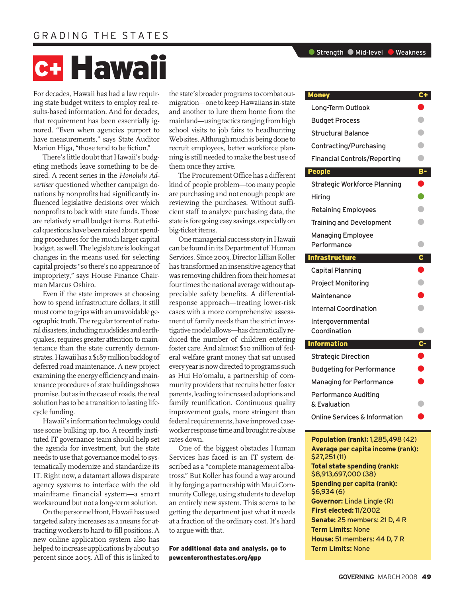

For decades, Hawaii has had a law requiring state budget writers to employ real results-based information. And for decades, that requirement has been essentially ignored. "Even when agencies purport to have measurements," says State Auditor Marion Higa, "those tend to be fiction."

There's little doubt that Hawaii's budgeting methods leave something to be desired. A recent series in the *Honolulu Advertiser* questioned whether campaign donations by nonprofits had significantly influenced legislative decisions over which nonprofits to back with state funds. Those are relatively small budget items. But ethical questions have been raised about spending procedures for the much larger capital budget, as well. The legislature is looking at changes in the means used for selecting capital projects "so there's no appearance of impropriety," says House Finance Chairman Marcus Oshiro.

Even if the state improves at choosing how to spend infrastructure dollars, it still must come to grips with an unavoidable geographic truth. The regular torrent of natural disasters, including mudslides and earthquakes, requires greater attention to maintenance than the state currently demonstrates. Hawaii has a \$187 million backlog of deferred road maintenance. A new project examining the energy efficiency and maintenance procedures of state buildings shows promise, but as in the case of roads, the real solution has to be a transition to lasting lifecycle funding.

Hawaii's information technology could use some bulking up, too. A recently instituted IT governance team should help set the agenda for investment, but the state needs to use that governance model to systematically modernize and standardize its IT. Right now, a datamart allows disparate agency systems to interface with the old mainframe financial system—a smart workaround but not a long-term solution.

On the personnel front, Hawaii has used targeted salary increases as a means for attracting workers to hard-to-fill positions. A new online application system also has helped to increase applications by about 30 percent since 2005. All of this is linked to

the state's broader programs to combat outmigration—one to keep Hawaiians in-state and another to lure them home from the mainland—using tactics ranging from high school visits to job fairs to headhunting Web sites. Although much is being done to recruit employees, better workforce planning is still needed to make the best use of them once they arrive.

The Procurement Office has a different kind of people problem—too many people are purchasing and not enough people are reviewing the purchases. Without sufficient staff to analyze purchasing data, the state is foregoing easy savings, especially on big-ticket items.

One managerial success story in Hawaii can be found in its Department of Human Services. Since 2003, Director Lillian Koller has transformed an insensitive agency that was removing children from their homes at four times the national average without appreciable safety benefits. A differentialresponse approach—treating lower-risk cases with a more comprehensive assessment of family needs than the strict investigative model allows—has dramatically reduced the number of children entering foster care. And almost \$10 million of federal welfare grant money that sat unused every year is now directed to programs such as Hui Ho'omalu, a partnership of community providers that recruits better foster parents, leading to increased adoptions and family reunification. Continuous quality improvement goals, more stringent than federal requirements, have improved caseworker response time and brought re-abuse rates down.

One of the biggest obstacles Human Services has faced is an IT system described as a "complete management albatross." But Koller has found a way around it by forging a partnership with Maui Community College, using students to develop an entirely new system. This seems to be getting the department just what it needs at a fraction of the ordinary cost. It's hard to argue with that.

**For additional data and analysis, go to pewcenteronthestates.org/gpp**

| <b>Money</b>                                             | $c+$                |
|----------------------------------------------------------|---------------------|
| Long-Term Outlook                                        |                     |
| <b>Budget Process</b>                                    | n                   |
| <b>Structural Balance</b>                                | Ê                   |
| Contracting/Purchasing                                   | O                   |
| <b>Financial Controls/Reporting</b>                      | O                   |
| <b>People</b>                                            | B-                  |
| <b>Strategic Workforce Planning</b>                      | O                   |
| Hiring                                                   | O                   |
| <b>Retaining Employees</b>                               | Ċ                   |
| <b>Training and Development</b>                          | Ê                   |
| <b>Managing Employee</b>                                 |                     |
| Performance                                              | O                   |
| <b>Infrastructure</b>                                    | $\frac{c}{\bullet}$ |
| <b>Capital Planning</b>                                  |                     |
| <b>Project Monitoring</b>                                |                     |
|                                                          |                     |
| Maintenance                                              |                     |
| <b>Internal Coordination</b>                             |                     |
| Intergovernmental                                        |                     |
| Coordination                                             |                     |
| <b>Information</b>                                       |                     |
| <b>Strategic Direction</b>                               |                     |
| <b>Budgeting for Performance</b>                         |                     |
| <b>Managing for Performance</b>                          | <b>COO</b>          |
| <b>Performance Auditing</b>                              |                     |
| & Evaluation<br><b>Online Services &amp; Information</b> |                     |

**Population (rank):** 1,285,498 (42) **Average per capita income (rank):** \$27,251 (11) **Total state spending (rank):** \$8,913,697,000 (38) **Spending per capita (rank):**  \$6,934 (6) **Governor:** Linda Lingle (R) **First elected:** 11/2002 **Senate:** 25 members: 21 D, 4 R **Term Limits:** None **House:** 51 members: 44 D, 7 R **Term Limits:** None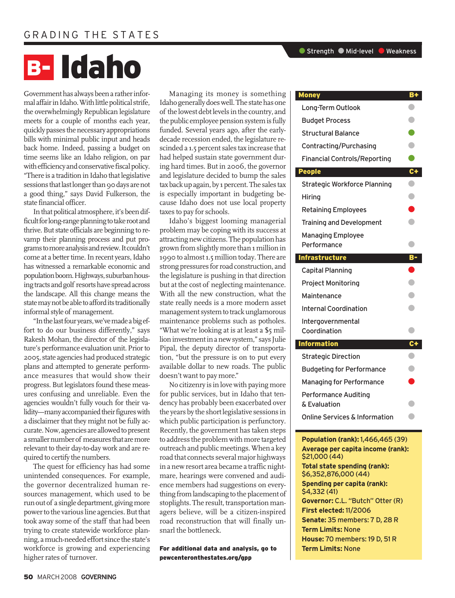#### ● Strength ● Mid-level ● Weakness

### **Idaho B-**

Government has always been a rather informal affair in Idaho. With little political strife, the overwhelmingly Republican legislature meets for a couple of months each year, quickly passes the necessary appropriations bills with minimal public input and heads back home. Indeed, passing a budget on time seems like an Idaho religion, on par with efficiency and conservative fiscal policy. "There is a tradition in Idaho that legislative sessions that last longer than 90 days are not a good thing," says David Fulkerson, the state financial officer.

In that political atmosphere, it's been difficult for long-range planning to take root and thrive. But state officials are beginning to revamp their planning process and put programs to more analysis and review. It couldn't come at a better time. In recent years, Idaho has witnessed a remarkable economic and population boom. Highways, suburban housing tracts and golf resorts have spread across the landscape. All this change means the state may not be able to afford its traditionally informal style of management.

"In the last four years, we've made a big effort to do our business differently," says Rakesh Mohan, the director of the legislature's performance evaluation unit. Prior to 2005, state agencies had produced strategic plans and attempted to generate performance measures that would show their progress. But legislators found these measures confusing and unreliable. Even the agencies wouldn't fully vouch for their validity—many accompanied their figures with a disclaimer that they might not be fully accurate. Now, agencies are allowed to present a smaller number of measures that are more relevant to their day-to-day work and are required to certify the numbers.

The quest for efficiency has had some unintended consequences. For example, the governor decentralized human resources management, which used to be run out of a single department, giving more power to the various line agencies. But that took away some of the staff that had been trying to create statewide workforce planning, a much-needed effort since the state's workforce is growing and experiencing higher rates of turnover.

Managing its money is something | Idaho generally does well. The state has one of the lowest debt levels in the country, and the public employee pension system is fully funded. Several years ago, after the earlydecade recession ended, the legislature rescinded a 1.5 percent sales tax increase that had helped sustain state government during hard times. But in 2006, the governor and legislature decided to bump the sales tax back up again, by 1 percent. The sales tax is especially important in budgeting because Idaho does not use local property taxes to pay for schools.

Idaho's biggest looming managerial problem may be coping with its success at attracting new citizens. The population has grown from slightly more than 1 million in 1990 to almost 1.5 million today. There are strong pressures for road construction, and the legislature is pushing in that direction but at the cost of neglecting maintenance. With all the new construction, what the state really needs is a more modern asset management system to track unglamorous maintenance problems such as potholes. "What we're looking at is at least a \$5 million investment in a new system," says Julie Pipal, the deputy director of transportation, "but the pressure is on to put every available dollar to new roads. The public doesn't want to pay more."

No citizenry is in love with paying more for public services, but in Idaho that tendency has probably been exacerbated over the years by the short legislative sessions in which public participation is perfunctory. Recently, the government has taken steps to address the problem with more targeted outreach and public meetings. When a key road that connects several major highways in a new resort area became a traffic nightmare, hearings were convened and audience members had suggestions on everything from landscaping to the placement of stoplights. The result, transportation managers believe, will be a citizen-inspired road reconstruction that will finally unsnarl the bottleneck.

**For additional data and analysis, go to pewcenteronthestates.org/gpp**

| <b>Money</b>                                             | B+             |
|----------------------------------------------------------|----------------|
| Long-Term Outlook                                        | 0              |
| <b>Budget Process</b>                                    | O              |
| <b>Structural Balance</b>                                | O              |
| Contracting/Purchasing                                   | 0              |
| <b>Financial Controls/Reporting</b>                      | O              |
| <b>People</b>                                            | C.             |
| <b>Strategic Workforce Planning</b>                      | O              |
| Hiring                                                   | $\bullet$      |
| <b>Retaining Employees</b>                               | ċ              |
| <b>Training and Development</b>                          |                |
| <b>Managing Employee</b>                                 |                |
| Performance                                              | O              |
| <b>Infrastructure</b>                                    | B              |
| <b>Capital Planning</b>                                  | Ō              |
|                                                          |                |
| <b>Project Monitoring</b>                                | O              |
| Maintenance                                              | Ê              |
| <b>Internal Coordination</b>                             | a              |
| Intergovernmental                                        |                |
| Coordination                                             |                |
| <b>Information</b>                                       | $\mathbf{c}$ + |
| <b>Strategic Direction</b>                               | $\bullet$      |
| <b>Budgeting for Performance</b>                         | $\bullet$      |
| <b>Managing for Performance</b>                          | ń              |
| <b>Performance Auditing</b>                              |                |
| & Evaluation<br><b>Online Services &amp; Information</b> |                |

**Population (rank):** 1,466,465 (39) **Average per capita income (rank):** \$21,000 (44) **Total state spending (rank):** \$6,352,876,000 (44) **Spending per capita (rank):**  \$4,332 (41) **Governor:** C.L. "Butch" Otter (R) **First elected:** 11/2006 **Senate:** 35 members: 7 D, 28 R **Term Limits:** None **House:** 70 members: 19 D, 51 R **Term Limits:** None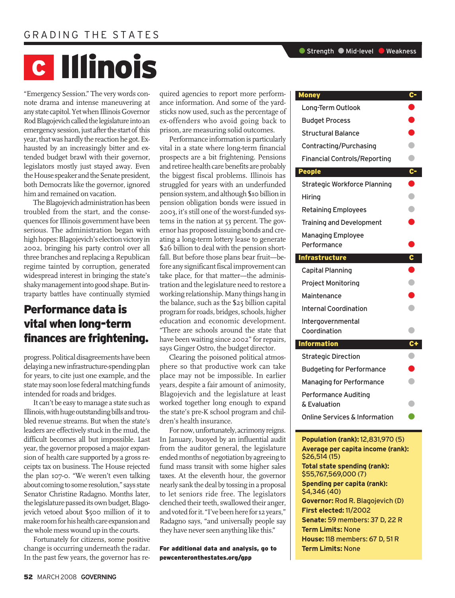#### ● Strength ● Mid-level ● Weakness

# **Illinois C**

"Emergency Session." The very words connote drama and intense maneuvering at any state capitol. Yet when Illinois Governor Rod Blagojevich called the legislature into an emergency session, just after the start of this year, that was hardly the reaction he got. Exhausted by an increasingly bitter and extended budget brawl with their governor, legislators mostly just stayed away. Even the House speaker and the Senate president, both Democrats like the governor, ignored him and remained on vacation.

The Blagojevich administration has been troubled from the start, and the consequences for Illinois government have been serious. The administration began with high hopes: Blagojevich's election victory in 2002, bringing his party control over all three branches and replacing a Republican regime tainted by corruption, generated widespread interest in bringing the state's shaky management into good shape. But intraparty battles have continually stymied

#### **Performance data is vital when long-term finances are frightening.**

progress. Political disagreements have been delaying a new infrastructure-spending plan for years, to cite just one example, and the state may soon lose federal matching funds intended for roads and bridges.

It can't be easy to manage a state such as Illinois, with huge outstanding bills and troubled revenue streams. But when the state's leaders are effectively stuck in the mud, the difficult becomes all but impossible. Last year, the governor proposed a major expansion of health care supported by a gross receipts tax on business. The House rejected the plan 107-0. "We weren't even talking about coming to some resolution," says state Senator Christine Radagno. Months later, the legislature passed its own budget, Blagojevich vetoed about \$500 million of it to make room for his health care expansion and the whole mess wound up in the courts.

Fortunately for citizens, some positive change is occurring underneath the radar. In the past few years, the governor has required agencies to report more performance information. And some of the yardsticks now used, such as the percentage of ex-offenders who avoid going back to prison, are measuring solid outcomes.

Performance information is particularly vital in a state where long-term financial prospects are a bit frightening. Pensions and retiree health care benefits are probably the biggest fiscal problems. Illinois has struggled for years with an underfunded pension system, and although \$10 billion in pension obligation bonds were issued in 2003, it's still one of the worst-funded systems in the nation at 53 percent. The governor has proposed issuing bonds and creating a long-term lottery lease to generate \$26 billion to deal with the pension shortfall. But before those plans bear fruit—before any significant fiscal improvement can take place, for that matter—the administration and the legislature need to restore a working relationship. Many things hang in the balance, such as the \$25 billion capital program for roads, bridges, schools, higher education and economic development. "There are schools around the state that have been waiting since 2002" for repairs, says Ginger Ostro, the budget director.

Clearing the poisoned political atmosphere so that productive work can take place may not be impossible. In earlier years, despite a fair amount of animosity, Blagojevich and the legislature at least worked together long enough to expand the state's pre-K school program and children's health insurance.

For now, unfortunately, acrimony reigns. In January, buoyed by an influential audit from the auditor general, the legislature ended months of negotiation by agreeing to fund mass transit with some higher sales taxes. At the eleventh hour, the governor nearly sank the deal by tossing in a proposal to let seniors ride free. The legislators clenched their teeth, swallowed their anger, and voted for it. "I've been here for 12 years," Radagno says, "and universally people say they have never seen anything like this."

**For additional data and analysis, go to pewcenteronthestates.org/gpp**

| <b>Money</b>                                | c-            |
|---------------------------------------------|---------------|
| Long-Term Outlook                           |               |
| <b>Budget Process</b>                       | <b>.</b><br>• |
| <b>Structural Balance</b>                   |               |
| Contracting/Purchasing                      |               |
| <b>Financial Controls/Reporting</b>         | n             |
| <b>People</b>                               | C.            |
| <b>Strategic Workforce Planning</b>         | 0             |
| Hiring                                      | $\bullet$     |
| <b>Retaining Employees</b>                  | $\bullet$     |
| <b>Training and Development</b>             |               |
| <b>Managing Employee</b><br>Performance     |               |
| <b>Infrastructure</b>                       |               |
|                                             |               |
|                                             |               |
| <b>Capital Planning</b>                     | C<br>O        |
| <b>Project Monitoring</b>                   |               |
| Maintenance                                 | $\bullet$     |
| Internal Coordination                       |               |
| Intergovernmental                           |               |
| Coordination                                |               |
| <b>Information</b>                          | $\mathbf{c}$  |
| <b>Strategic Direction</b>                  | $\bullet$     |
| <b>Budgeting for Performance</b>            |               |
| <b>Managing for Performance</b>             | n             |
| <b>Performance Auditing</b><br>& Evaluation |               |

**Population (rank):** 12,831,970 (5) **Average per capita income (rank):** \$26,514 (15) **Total state spending (rank):** \$55,767,569,000 (7) **Spending per capita (rank):** \$4,346 (40) **Governor:** Rod R. Blagojevich (D) **First elected:** 11/2002 **Senate:** 59 members: 37 D, 22 R **Term Limits:** None **House:** 118 members: 67 D, 51 R **Term Limits:** None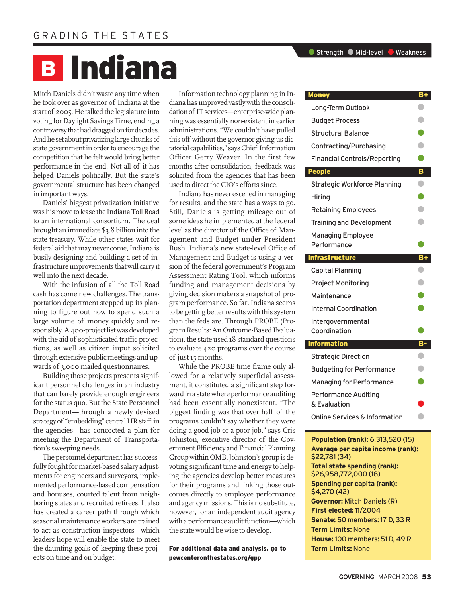# **Indiana B**

Mitch Daniels didn't waste any time when he took over as governor of Indiana at the start of 2005. He talked the legislature into voting for Daylight Savings Time, ending a controversy that had dragged on for decades. And he set about privatizing large chunks of state government in order to encourage the competition that he felt would bring better performance in the end. Not all of it has helped Daniels politically. But the state's governmental structure has been changed in important ways.

Daniels' biggest privatization initiative was his move to lease the Indiana Toll Road to an international consortium. The deal brought an immediate \$3.8 billion into the state treasury. While other states wait for federal aid that may never come, Indiana is busily designing and building a set of infrastructure improvements that will carry it well into the next decade.

With the infusion of all the Toll Road cash has come new challenges. The transportation department stepped up its planning to figure out how to spend such a large volume of money quickly and responsibly. A 400-project list was developed with the aid of sophisticated traffic projections, as well as citizen input solicited through extensive public meetings and upwards of 3,000 mailed questionnaires.

Building those projects presents significant personnel challenges in an industry that can barely provide enough engineers for the status quo. But the State Personnel Department—through a newly devised strategy of "embedding" central HR staff in the agencies—has concocted a plan for meeting the Department of Transportation's sweeping needs.

The personnel department has successfully fought for market-based salary adjustments for engineers and surveyors, implemented performance-based compensation and bonuses, courted talent from neighboring states and recruited retirees. It also has created a career path through which seasonal maintenance workers are trained to act as construction inspectors—which leaders hope will enable the state to meet the daunting goals of keeping these projects on time and on budget.

Information technology planning in Indiana has improved vastly with the consolidation of IT services—enterprise-wide planning was essentially non-existent in earlier administrations. "We couldn't have pulled this off without the governor giving us dictatorial capabilities," says Chief Information Officer Gerry Weaver. In the first few months after consolidation, feedback was solicited from the agencies that has been used to direct the CIO's efforts since.

Indiana has never excelled in managing for results, and the state has a ways to go. Still, Daniels is getting mileage out of some ideas he implemented at the federal level as the director of the Office of Management and Budget under President Bush. Indiana's new state-level Office of Management and Budget is using a version of the federal government's Program Assessment Rating Tool, which informs funding and management decisions by giving decision makers a snapshot of program performance. So far, Indiana seems to be getting better results with this system than the feds are. Through PROBE (Program Results: An Outcome-Based Evaluation), the state used 18 standard questions to evaluate 420 programs over the course of just 15 months.

While the PROBE time frame only allowed for a relatively superficial assessment, it constituted a significant step forward in a state where performance auditing had been essentially nonexistent. "The biggest finding was that over half of the programs couldn't say whether they were doing a good job or a poor job," says Cris Johnston, executive director of the Government Efficiency and Financial Planning Group within OMB. Johnston's group is devoting significant time and energy to helping the agencies develop better measures for their programs and linking those outcomes directly to employee performance and agency missions. This is no substitute, however, for an independent audit agency with a performance audit function—which the state would be wise to develop.

**For additional data and analysis, go to pewcenteronthestates.org/gpp**

| <b>Money</b>                                             | B+        |
|----------------------------------------------------------|-----------|
| Long-Term Outlook                                        | O         |
| <b>Budget Process</b>                                    | O         |
| <b>Structural Balance</b>                                | Ò         |
| Contracting/Purchasing                                   | O         |
| <b>Financial Controls/Reporting</b>                      | O         |
| <b>People</b>                                            | B         |
| <b>Strategic Workforce Planning</b>                      | $\bullet$ |
| Hiring                                                   | $\bullet$ |
| <b>Retaining Employees</b>                               | $\bullet$ |
| <b>Training and Development</b>                          | â         |
| <b>Managing Employee</b>                                 |           |
| Performance                                              | O         |
| <b>Infrastructure</b>                                    |           |
|                                                          | B         |
| <b>Capital Planning</b>                                  | $\bullet$ |
| <b>Project Monitoring</b>                                | O         |
| Maintenance                                              | O         |
| <b>Internal Coordination</b>                             | C         |
| Intergovernmental                                        |           |
| Coordination                                             | O         |
| <b>Information</b>                                       | в-        |
| <b>Strategic Direction</b>                               | $\bullet$ |
| <b>Budgeting for Performance</b>                         | $\bullet$ |
| <b>Managing for Performance</b>                          | n         |
| <b>Performance Auditing</b>                              |           |
| & Evaluation<br><b>Online Services &amp; Information</b> |           |

**Population (rank):** 6,313,520 (15) **Average per capita income (rank):** \$22,781 (34) **Total state spending (rank):** \$26,958,772,000 (18) **Spending per capita (rank):**  \$4,270 (42) **Governor:** Mitch Daniels (R) **First elected:** 11/2004 **Senate:** 50 members: 17 D, 33 R **Term Limits:** None **House:** 100 members: 51 D, 49 R **Term Limits:** None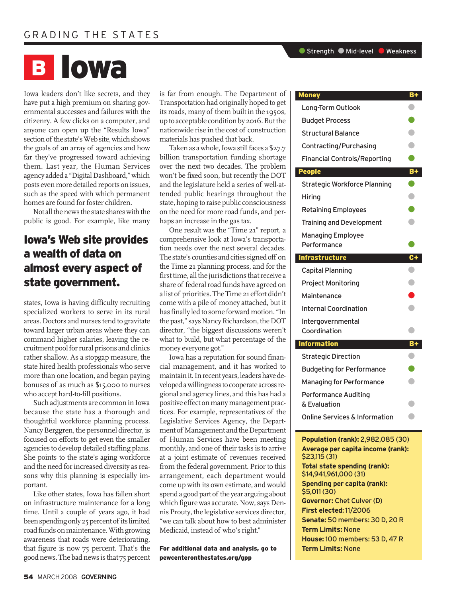### **Iowa B**

Iowa leaders don't like secrets, and they have put a high premium on sharing governmental successes and failures with the citizenry. A few clicks on a computer, and anyone can open up the "Results Iowa" section of the state's Web site, which shows the goals of an array of agencies and how far they've progressed toward achieving them. Last year, the Human Services agency added a "Digital Dashboard," which posts even more detailed reports on issues, such as the speed with which permanent homes are found for foster children.

Not all the news the state shares with the public is good. For example, like many

#### **Iowa's Web site provides a wealth of data on almost every aspect of state government.**

states, Iowa is having difficulty recruiting specialized workers to serve in its rural areas. Doctors and nurses tend to gravitate toward larger urban areas where they can command higher salaries, leaving the recruitment pool for rural prisons and clinics rather shallow. As a stopgap measure, the state hired health professionals who serve more than one location, and began paying bonuses of as much as \$15,000 to nurses who accept hard-to-fill positions.

Such adjustments are common in Iowa because the state has a thorough and thoughtful workforce planning process. Nancy Berggren, the personnel director, is focused on efforts to get even the smaller agencies to develop detailed staffing plans. She points to the state's aging workforce and the need for increased diversity as reasons why this planning is especially important.

Like other states, Iowa has fallen short on infrastructure maintenance for a long time. Until a couple of years ago, it had been spending only 25 percent of its limited road funds on maintenance. With growing awareness that roads were deteriorating, that figure is now 75 percent. That's the good news. The bad news is that 75 percent

is far from enough. The Department of  $\|\blacksquare$ Transportation had originally hoped to get its roads, many of them built in the 1950s, up to acceptable condition by 2016. But the nationwide rise in the cost of construction materials has pushed that back.

Taken as a whole, Iowa still faces a \$27.7 billion transportation funding shortage over the next two decades. The problem won't be fixed soon, but recently the DOT and the legislature held a series of well-attended public hearings throughout the state, hoping to raise public consciousness on the need for more road funds, and perhaps an increase in the gas tax.

One result was the "Time 21" report, a comprehensive look at Iowa's transportation needs over the next several decades. The state's counties and cities signed off on the Time 21 planning process, and for the first time, all the jurisdictions that receive a share of federal road funds have agreed on a list of priorities. The Time 21 effort didn't come with a pile of money attached, but it has finally led to some forward motion. "In the past," says Nancy Richardson, the DOT director, "the biggest discussions weren't what to build, but what percentage of the money everyone got."

Iowa has a reputation for sound financial management, and it has worked to maintain it. In recent years, leaders have developed a willingness to cooperate across regional and agency lines, and this has had a positive effect on many management practices. For example, representatives of the Legislative Services Agency, the Department of Management and the Department of Human Services have been meeting monthly, and one of their tasks is to arrive at a joint estimate of revenues received from the federal government. Prior to this arrangement, each department would come up with its own estimate, and would spend a good part of the year arguing about which figure was accurate. Now, says Dennis Prouty, the legislative services director, "we can talk about how to best administer Medicaid, instead of who's right."

**For additional data and analysis, go to pewcenteronthestates.org/gpp**

| <b>Money</b>                                | $B +$        |
|---------------------------------------------|--------------|
| Long-Term Outlook                           | $\bullet$    |
| <b>Budget Process</b>                       | ۸            |
| <b>Structural Balance</b>                   | $\bullet$    |
| Contracting/Purchasing                      | ۸            |
| <b>Financial Controls/Reporting</b>         | 0            |
| <b>People</b>                               | B            |
| <b>Strategic Workforce Planning</b>         | C            |
| Hiring                                      | $\bullet$    |
| <b>Retaining Employees</b>                  | $\bullet$    |
| <b>Training and Development</b>             | O            |
| <b>Managing Employee</b>                    |              |
| Performance                                 | r i          |
| <b>Infrastructure</b>                       | $\mathbf{c}$ |
| <b>Capital Planning</b>                     |              |
|                                             |              |
| <b>Project Monitoring</b>                   | $\bullet$    |
| Maintenance                                 | ă            |
| Internal Coordination                       |              |
| Intergovernmental                           |              |
| Coordination                                |              |
| <b>Information</b>                          | B+           |
| <b>Strategic Direction</b>                  | $\bullet$    |
| <b>Budgeting for Performance</b>            | ۸            |
| <b>Managing for Performance</b>             | O            |
| <b>Performance Auditing</b><br>& Evaluation | m            |

**Population (rank):** 2,982,085 (30) **Average per capita income (rank):** \$23,115 (31) **Total state spending (rank):** \$14,941,961,000 (31) **Spending per capita (rank):** \$5,011 (30) **Governor:** Chet Culver (D) **First elected**: 11/2006 **Senate:** 50 members: 30 D, 20 R **Term Limits:** None **House:** 100 members: 53 D, 47 R **Term Limits:** None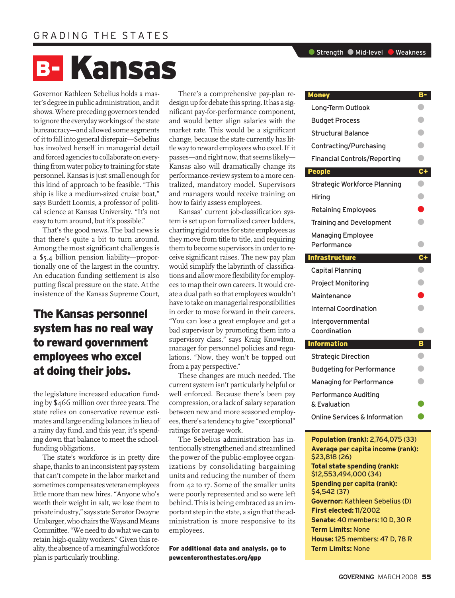# **B-** Kansas

Governor Kathleen Sebelius holds a master's degree in public administration, and it shows. Where preceding governors tended to ignore the everyday workings of the state bureaucracy—and allowed some segments of it to fall into general disrepair—Sebelius has involved herself in managerial detail and forced agencies to collaborate on everything from water policy to training for state personnel. Kansas is just small enough for this kind of approach to be feasible. "This ship is like a medium-sized cruise boat," says Burdett Loomis, a professor of political science at Kansas University. "It's not easy to turn around, but it's possible."

That's the good news. The bad news is that there's quite a bit to turn around. Among the most significant challenges is a \$5.4 billion pension liability—proportionally one of the largest in the country. An education funding settlement is also putting fiscal pressure on the state. At the insistence of the Kansas Supreme Court,

#### **The Kansas personnel system has no real way to reward government employees who excel at doing their jobs.**

the legislature increased education funding by \$466 million over three years. The state relies on conservative revenue estimates and large ending balances in lieu of a rainy day fund, and this year, it's spending down that balance to meet the schoolfunding obligations.

The state's workforce is in pretty dire shape, thanks to an inconsistent pay system that can't compete in the labor market and sometimes compensates veteran employees little more than new hires. "Anyone who's worth their weight in salt, we lose them to private industry," says state Senator Dwayne Umbarger, who chairs the Ways and Means Committee. "We need to do what we can to retain high-quality workers." Given this reality, the absence of a meaningful workforce plan is particularly troubling.

There's a comprehensive pay-plan redesign up for debate this spring. It has a significant pay-for-performance component, and would better align salaries with the market rate. This would be a significant change, because the state currently has little way to reward employees who excel. If it passes—and right now, that seems likely— Kansas also will dramatically change its performance-review system to a more centralized, mandatory model. Supervisors and managers would receive training on how to fairly assess employees.

Kansas' current job-classification system is set up on formalized career ladders, charting rigid routes for state employees as they move from title to title, and requiring them to become supervisors in order to receive significant raises. The new pay plan would simplify the labyrinth of classifications and allow more flexibility for employees to map their own careers. It would create a dual path so that employees wouldn't have to take on managerial responsibilities in order to move forward in their careers. "You can lose a great employee and get a bad supervisor by promoting them into a supervisory class," says Kraig Knowlton, manager for personnel policies and regulations. "Now, they won't be topped out from a pay perspective."

These changes are much needed. The current system isn't particularly helpful or well enforced. Because there's been pay compression, or a lack of salary separation between new and more seasoned employees, there's a tendency to give "exceptional" ratings for average work.

The Sebelius administration has intentionally strengthened and streamlined the power of the public-employee organizations by consolidating bargaining units and reducing the number of them from 42 to 17. Some of the smaller units were poorly represented and so were left behind. This is being embraced as an important step in the state, a sign that the administration is more responsive to its employees.

**For additional data and analysis, go to pewcenteronthestates.org/gpp**

| <b>Money</b>                                | в-        |
|---------------------------------------------|-----------|
| Long-Term Outlook                           | O         |
| <b>Budget Process</b>                       | Ê         |
| <b>Structural Balance</b>                   | O         |
| Contracting/Purchasing                      | O         |
| <b>Financial Controls/Reporting</b>         | O         |
| <b>People</b>                               | C.        |
| <b>Strategic Workforce Planning</b>         | 0         |
| Hiring                                      | $\bullet$ |
| <b>Retaining Employees</b>                  | ċ         |
| <b>Training and Development</b>             |           |
| <b>Managing Employee</b>                    |           |
| Performance                                 | ٦         |
| <b>Infrastructure</b>                       | C         |
| <b>Capital Planning</b>                     |           |
| <b>Project Monitoring</b>                   | $\bullet$ |
| Maintenance                                 |           |
|                                             |           |
| <b>Internal Coordination</b>                |           |
| Intergovernmental                           |           |
| Coordination                                |           |
| <b>Information</b>                          | B         |
| <b>Strategic Direction</b>                  | $\bullet$ |
| <b>Budgeting for Performance</b>            | Ô         |
| <b>Managing for Performance</b>             | O         |
| <b>Performance Auditing</b><br>& Evaluation |           |

**Population (rank):** 2,764,075 (33) **Average per capita income (rank):** \$23,818 (26) **Total state spending (rank):** \$12,553,494,000 (34) **Spending per capita (rank):**  \$4,542 (37) **Governor:** Kathleen Sebelius (D) **First elected:** 11/2002 **Senate:** 40 members: 10 D, 30 R **Term Limits:** None **House:** 125 members: 47 D, 78 R **Term Limits:** None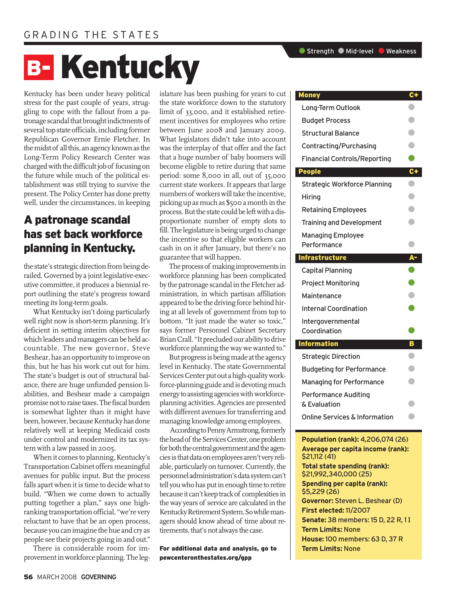GRADING THE STATES

# **B-** Kentucky

Kentucky has been under heavy political stress for the past couple of years, struggling to cope with the fallout from a patronage scandal that brought indictments of several top state officials, including former Republican Governor Ernie Fletcher. In the midst of all this, an agency known as the Long-Term Policy Research Center was charged with the difficult job of focusing on the future while much of the political establishment was still trying to survive the present. The Policy Center has done pretty well, under the circumstances, in keeping

### **A patronage scandal has set back workforce planning in Kentucky.**

the state's strategic direction from being derailed. Governed by a joint legislative-executive committee, it produces a biennial report outlining the state's progress toward meeting its long-term goals.

What Kentucky isn't doing particularly well right now is short-term planning. It's deficient in setting interim objectives for which leaders and managers can be held accountable. The new governor, Steve Beshear, has an opportunity to improve on this, but he has his work cut out for him. The state's budget is out of structural balance, there are huge unfunded pension liabilities, and Beshear made a campaign promise not to raise taxes. The fiscal burden is somewhat lighter than it might have been, however, because Kentucky has done relatively well at keeping Medicaid costs under control and modernized its tax system with a law passed in 2005.

When it comes to planning, Kentucky's Transportation Cabinet offers meaningful avenues for public input. But the process falls apart when it is time to decide what to build. "When we come down to actually putting together a plan," says one highranking transportation official, "we're very reluctant to have that be an open process, because you can imagine the hue and cry as people see their projects going in and out."

There is considerable room for improvement in workforce planning. The legislature has been pushing for years to cut | the state workforce down to the statutory limit of 33,000, and it established retirement incentives for employees who retire between June 2008 and January 2009. What legislators didn't take into account was the interplay of that offer and the fact that a huge number of baby boomers will become eligible to retire during that same period: some 8,000 in all, out of 35,000 current state workers. It appears that large numbers of workers will take the incentive, picking up as much as \$500 a month in the process. But the state could be left with a disproportionate number of empty slots to fill. The legislature is being urged to change the incentive so that eligible workers can cash in on it after January, but there's no guarantee that will happen.

The process of making improvements in workforce planning has been complicated by the patronage scandal in the Fletcher administration, in which partisan affiliation appeared to be the driving force behind hiring at all levels of government from top to bottom. "It just made the water so toxic," says former Personnel Cabinet Secretary Brian Crall. "It precluded our ability to drive workforce planning the way we wanted to."

But progress is being made at the agency level in Kentucky. The state Governmental Services Center put out a high-quality workforce-planning guide and is devoting much energy to assisting agencies with workforceplanning activities. Agencies are presented with different avenues for transferring and managing knowledge among employees.

According to Penny Armstrong, formerly the head of the Services Center, one problem for both the central government and the agencies is that data on employees aren't very reliable, particularly on turnover. Currently, the personnel administration's data system can't tell you who has put in enough time to retire because it can't keep track of complexities in the way years of service are calculated in the Kentucky Retirement System. So while managers should know ahead of time about retirements, that's not always the case.

**For additional data and analysis, go to pewcenteronthestates.org/gpp**

● Strength ● Mid-level ● Weakness

| <b>Money</b>                                                                           | $\mathbf{c}$ + |
|----------------------------------------------------------------------------------------|----------------|
| Long-Term Outlook                                                                      | $\bullet$      |
| <b>Budget Process</b>                                                                  | $\bullet$      |
| <b>Structural Balance</b>                                                              | $\bullet$      |
| Contracting/Purchasing                                                                 | $\bullet$      |
| <b>Financial Controls/Reporting</b>                                                    | $\bullet$      |
| <b>People</b>                                                                          | C+             |
| <b>Strategic Workforce Planning</b>                                                    | $\bullet$      |
| Hiring                                                                                 | $\bullet$      |
| <b>Retaining Employees</b>                                                             | $\bullet$      |
| <b>Training and Development</b>                                                        | $\bullet$      |
| <b>Managing Employee</b>                                                               |                |
| Performance                                                                            | 0              |
| <b>Infrastructure</b>                                                                  | A·             |
| <b>Capital Planning</b>                                                                | $\bullet$      |
| <b>Project Monitoring</b>                                                              | $\bullet$      |
| Maintenance                                                                            | $\bullet$      |
| <b>Internal Coordination</b>                                                           | $\bullet$      |
| Intergovernmental                                                                      |                |
| Coordination                                                                           | O              |
| <b>Information</b>                                                                     | в              |
| <b>Strategic Direction</b>                                                             | $\bullet$      |
| <b>Budgeting for Performance</b>                                                       | $\bullet$      |
| <b>Managing for Performance</b>                                                        | $\bullet$      |
| <b>Performance Auditing</b>                                                            |                |
| & Evaluation                                                                           | $\bullet$      |
| <b>Online Services &amp; Information</b>                                               | $\bullet$      |
| Population (rank): 4,206,074 (26)<br>Average per capita income (rank):<br>S21.112 (41) |                |

**Total state spending (rank):** \$21,992,340,000 (25) **Spending per capita (rank):** \$5,229 (26) **Governor:** Steven L. Beshear (D) **First elected:** 11/2007 **Senate:** 38 members: 15 D, 22 R, 1 I **Term Limits:** None **House:** 100 members: 63 D, 37 R **Term Limits:** None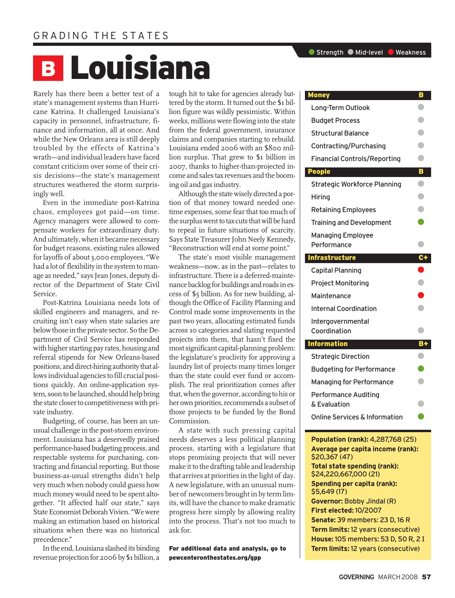### **Louisiana B**

Rarely has there been a better test of a state's management systems than Hurricane Katrina. It challenged Louisiana's capacity in personnel, infrastructure, finance and information, all at once. And while the New Orleans area is still deeply troubled by the effects of Katrina's wrath—and individual leaders have faced constant criticism over some of their crisis decisions—the state's management structures weathered the storm surprisingly well.

Even in the immediate post-Katrina chaos, employees got paid—on time. Agency managers were allowed to compensate workers for extraordinary duty. And ultimately, when it became necessary for budget reasons, existing rules allowed for layoffs of about 3,000 employees. "We had a lot of flexibility in the system to manage as needed," says Jean Jones, deputy director of the Department of State Civil Service.

Post-Katrina Louisiana needs lots of skilled engineers and managers, and recruiting isn't easy when state salaries are below those in the private sector. So the Department of Civil Service has responded with higher starting pay rates, housing and referral stipends for New Orleans-based positions, and direct-hiring authority that allows individual agencies to fill crucial positions quickly. An online-application system, soon to be launched, should help bring the state closer to competitiveness with private industry.

Budgeting, of course, has been an unusual challenge in the post-storm environment. Louisiana has a deservedly praised performance-based budgeting process, and respectable systems for purchasing, contracting and financial reporting. But those business-as-usual strengths didn't help very much when nobody could guess how much money would need to be spent altogether. "It affected half our state," says State Economist Deborah Vivien. "We were making an estimation based on historical situations when there was no historical precedence."

In the end, Louisiana slashed its binding revenue projection for 2006 by \$1 billion, a

tough hit to take for agencies already battered by the storm. It turned out the \$1 billion figure was wildly pessimistic. Within weeks, millions were flowing into the state from the federal government, insurance claims and companies starting to rebuild. Louisiana ended 2006 with an \$800 million surplus. That grew to \$1 billion in 2007, thanks to higher-than-projected income and sales tax revenues and the booming oil and gas industry.

Although the state wisely directed a portion of that money toward needed onetime expenses, some fear that too much of the surplus went to tax cuts that will be hard to repeal in future situations of scarcity. Says State Treasurer John Neely Kennedy, "Reconstruction will end at some point."

The state's most visible management weakness—now, as in the past—relates to infrastructure. There is a deferred-maintenance backlog for buildings and roads in excess of \$5 billion. As for new building, although the Office of Facility Planning and Control made some improvements in the past two years, allocating estimated funds across 10 categories and slating requested projects into them, that hasn't fixed the most significant capital-planning problem: the legislature's proclivity for approving a laundry list of projects many times longer than the state could ever fund or accomplish. The real prioritization comes after that, when the governor, according to his or her own priorities, recommends a subset of those projects to be funded by the Bond Commission.

A state with such pressing capital needs deserves a less political planning process, starting with a legislature that stops promising projects that will never make it to the drafting table and leadership that arrives at priorities in the light of day. A new legislature, with an unusual number of newcomers brought in by term limits, will have the chance to make dramatic progress here simply by allowing reality into the process. That's not too much to ask for.

**For additional data and analysis, go to pewcenteronthestates.org/gpp**

● Strength ● Mid-level ● Weakness

| <b>Money</b>                        | в         |
|-------------------------------------|-----------|
| Long-Term Outlook                   | o         |
| <b>Budget Process</b>               | O         |
| Structural Balance                  | $\bullet$ |
| Contracting/Purchasing              | O         |
| <b>Financial Controls/Reporting</b> | $\bullet$ |
| <b>People</b>                       | в         |
| <b>Strategic Workforce Planning</b> | $\bullet$ |
| Hiring                              | $\bullet$ |
| <b>Retaining Employees</b>          | ۸         |
| <b>Training and Development</b>     | ۹         |
| <b>Managing Employee</b>            |           |
| Performance                         |           |
| <b>Infrastructure</b>               | c٠        |
|                                     |           |
| <b>Capital Planning</b>             | $\bullet$ |
| <b>Project Monitoring</b>           |           |
| Maintenance                         |           |
| <b>Internal Coordination</b>        |           |
| Intergovernmental                   |           |
| Coordination                        |           |
| <b>Information</b>                  | в÷        |
| <b>Strategic Direction</b>          | D         |
| <b>Budgeting for Performance</b>    | O         |
| <b>Managing for Performance</b>     | A         |
| <b>Performance Auditing</b>         |           |
| & Evaluation                        |           |
| Online Services & Information       |           |

**Population (rank):** 4,287,768 (25) **Average per capita income (rank):** \$20,367 (47) **Total state spending (rank):** \$24,220,667,000 (21) **Spending per capita (rank):**  \$5,649 (17) **Governor:** Bobby Jindal (R) **First elected:** 10/2007 **Senate:** 39 members: 23 D, 16 R **Term limits:** 12 years (consecutive) **House:** 105 members: 53 D, 50 R, 2 I **Term limits:** 12 years (consecutive)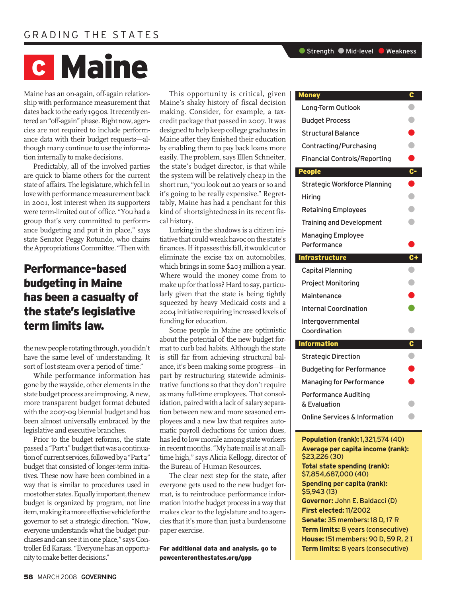GRADING THE STATES

### **c** Maine

Maine has an on-again, off-again relationship with performance measurement that dates back to the early 1990s. It recently entered an "off-again" phase. Right now, agencies are not required to include performance data with their budget requests—although many continue to use the information internally to make decisions.

Predictably, all of the involved parties are quick to blame others for the current state of affairs. The legislature, which fell in love with performance measurement back in 2001, lost interest when its supporters were term-limited out of office. "You had a group that's very committed to performance budgeting and put it in place," says state Senator Peggy Rotundo, who chairs the Appropriations Committee. "Then with

### **Performance-based budgeting in Maine has been a casualty of the state's legislative term limits law.**

the new people rotating through, you didn't have the same level of understanding. It sort of lost steam over a period of time."

While performance information has gone by the wayside, other elements in the state budget process are improving. A new, more transparent budget format debuted with the 2007-09 biennial budget and has been almost universally embraced by the legislative and executive branches.

Prior to the budget reforms, the state passed a "Part 1" budget that was a continuation of current services, followed by a "Part 2" budget that consisted of longer-term initiatives. These now have been combined in a way that is similar to procedures used in most other states. Equally important, the new budget is organized by program, not line item, making it a more effective vehicle for the governor to set a strategic direction. "Now, everyone understands what the budget purchases and can see it in one place," says Controller Ed Karass. "Everyone has an opportunity to make better decisions."

This opportunity is critical, given Maine's shaky history of fiscal decision making. Consider, for example, a taxcredit package that passed in 2007. It was designed to help keep college graduates in Maine after they finished their education by enabling them to pay back loans more easily. The problem, says Ellen Schneiter, the state's budget director, is that while the system will be relatively cheap in the short run, "you look out 20 years or so and it's going to be really expensive." Regrettably, Maine has had a penchant for this kind of shortsightedness in its recent fiscal history.

Lurking in the shadows is a citizen initiative that could wreak havoc on the state's finances. If it passes this fall, it would cut or eliminate the excise tax on automobiles, which brings in some \$203 million a year. Where would the money come from to make up for that loss? Hard to say, particularly given that the state is being tightly squeezed by heavy Medicaid costs and a 2004 initiative requiring increased levels of funding for education.

Some people in Maine are optimistic about the potential of the new budget format to curb bad habits. Although the state is still far from achieving structural balance, it's been making some progress—in part by restructuring statewide administrative functions so that they don't require as many full-time employees. That consolidation, paired with a lack of salary separation between new and more seasoned employees and a new law that requires automatic payroll deductions for union dues, has led to low morale among state workers in recent months. "My hate mail is at an alltime high," says Alicia Kellogg, director of the Bureau of Human Resources.

The clear next step for the state, after everyone gets used to the new budget format, is to reintroduce performance information into the budget process in a way that makes clear to the legislature and to agencies that it's more than just a burdensome paper exercise.

**For additional data and analysis, go to pewcenteronthestates.org/gpp**

● Strength ● Mid-level ● Weakness

| <b>Money</b>                             | C                 |
|------------------------------------------|-------------------|
| Long-Term Outlook                        |                   |
| <b>Budget Process</b>                    | $\bullet$         |
| Structural Balance                       | $\bullet$         |
| Contracting/Purchasing                   |                   |
| <b>Financial Controls/Reporting</b>      | Ō                 |
| <b>People</b>                            | $rac{c}{\bullet}$ |
| <b>Strategic Workforce Planning</b>      |                   |
| Hiring                                   | $\bullet$         |
| <b>Retaining Employees</b>               | Ô                 |
| <b>Training and Development</b>          | e                 |
| <b>Managing Employee</b>                 |                   |
| Performance                              |                   |
| <b>Infrastructure</b>                    | $\mathbf{c}$      |
| <b>Capital Planning</b>                  |                   |
| <b>Project Monitoring</b>                | $\bullet$         |
| Maintenance                              |                   |
|                                          |                   |
| <b>Internal Coordination</b>             |                   |
| Intergovernmental                        |                   |
| Coordination                             | o                 |
| <b>Information</b>                       | C                 |
| <b>Strategic Direction</b>               | $\bullet$         |
| <b>Budgeting for Performance</b>         | Ò                 |
| <b>Managing for Performance</b>          |                   |
| <b>Performance Auditing</b>              |                   |
| & Evaluation                             |                   |
| <b>Online Services &amp; Information</b> |                   |

**Population (rank):** 1,321,574 (40) **Average per capita income (rank):** \$23,226 (30) **Total state spending (rank):** \$7,854,687,000 (40) **Spending per capita (rank):**  \$5,943 (13) **Governor:** John E. Baldacci (D) **First elected:** 11/2002 **Senate:** 35 members: 18 D, 17 R **Term limits:** 8 years (consecutive) **House:** 151 members: 90 D, 59 R, 2 I **Term limits:** 8 years (consecutive)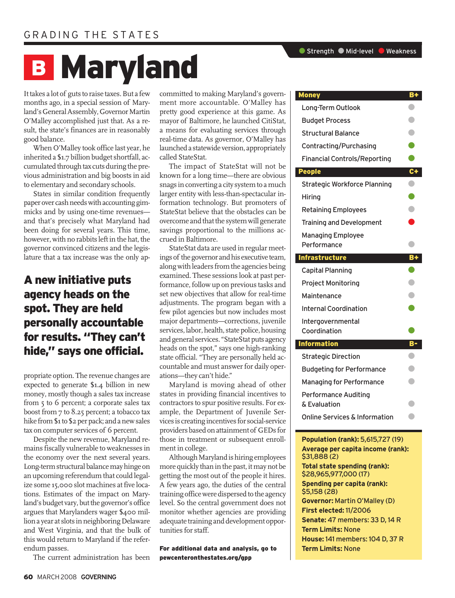# **B** Maryland

It takes a lot of guts to raise taxes. But a few months ago, in a special session of Maryland's General Assembly, Governor Martin O'Malley accomplished just that. As a result, the state's finances are in reasonably good balance.

When O'Malley took office last year, he inherited a \$1.7 billion budget shortfall, accumulated through tax cuts during the previous administration and big boosts in aid to elementary and secondary schools.

States in similar condition frequently paper over cash needs with accounting gimmicks and by using one-time revenues and that's precisely what Maryland had been doing for several years. This time, however, with no rabbits left in the hat, the governor convinced citizens and the legislature that a tax increase was the only ap-

### **A new initiative puts agency heads on the spot. They are held personally accountable for results. "They can't hide," says one official.**

propriate option. The revenue changes are expected to generate \$1.4 billion in new money, mostly though a sales tax increase from 5 to 6 percent; a corporate sales tax boost from 7 to 8.25 percent; a tobacco tax hike from \$1 to \$2 per pack; and a new sales tax on computer services of 6 percent.

Despite the new revenue, Maryland remains fiscally vulnerable to weaknesses in the economy over the next several years. Long-term structural balance may hinge on an upcoming referendum that could legalize some 15,000 slot machines at five locations. Estimates of the impact on Maryland's budget vary, but the governor's office argues that Marylanders wager \$400 million a year at slots in neighboring Delaware and West Virginia, and that the bulk of this would return to Maryland if the referendum passes.

The current administration has been

committed to making Maryland's government more accountable. O'Malley has pretty good experience at this game. As mayor of Baltimore, he launched CitiStat, a means for evaluating services through real-time data. As governor, O'Malley has launched a statewide version, appropriately called StateStat.

The impact of StateStat will not be known for a long time—there are obvious snags in converting a city system to a much larger entity with less-than-spectacular information technology. But promoters of StateStat believe that the obstacles can be overcome and that the system will generate savings proportional to the millions accrued in Baltimore.

StateStat data are used in regular meetings of the governor and his executive team, along with leaders from the agencies being examined. These sessions look at past performance, follow up on previous tasks and set new objectives that allow for real-time adjustments. The program began with a few pilot agencies but now includes most major departments—corrections, juvenile services, labor, health, state police, housing and general services. "StateStat puts agency heads on the spot," says one high-ranking state official. "They are personally held accountable and must answer for daily operations—they can't hide."

Maryland is moving ahead of other states in providing financial incentives to contractors to spur positive results. For example, the Department of Juvenile Services is creating incentives for social-service providers based on attainment of GEDs for those in treatment or subsequent enrollment in college.

Although Maryland is hiring employees more quickly than in the past, it may not be getting the most out of the people it hires. A few years ago, the duties of the central training office were dispersed to the agency level. So the central government does not monitor whether agencies are providing adequate training and development opportunities for staff.

**For additional data and analysis, go to pewcenteronthestates.org/gpp**

● Strength ● Mid-level ● Weakness

| <b>Money</b>                             | $B+$                      |
|------------------------------------------|---------------------------|
| Long-Term Outlook                        | o                         |
| <b>Budget Process</b>                    | $\bullet$                 |
| Structural Balance                       | $\bullet$                 |
| Contracting/Purchasing                   | 0                         |
| <b>Financial Controls/Reporting</b>      | $\bullet$                 |
| <b>People</b>                            | $\overline{\mathbf{c}}$ + |
| <b>Strategic Workforce Planning</b>      | $\bullet$                 |
| Hiring                                   | $\bullet$                 |
| <b>Retaining Employees</b>               | $\bullet$                 |
| <b>Training and Development</b>          | ė                         |
| <b>Managing Employee</b>                 |                           |
| Performance                              | a                         |
| <b>Infrastructure</b>                    | B                         |
| <b>Capital Planning</b>                  | O                         |
| <b>Project Monitoring</b>                | $\bullet$                 |
| Maintenance                              | Ô                         |
| <b>Internal Coordination</b>             | $\bullet$                 |
| Intergovernmental                        |                           |
| Coordination                             |                           |
| <b>Information</b>                       | B٠                        |
| <b>Strategic Direction</b>               | $\bullet$                 |
| <b>Budgeting for Performance</b>         | $\bullet$                 |
| <b>Managing for Performance</b>          | $\bullet$                 |
| <b>Performance Auditing</b>              |                           |
| & Evaluation                             |                           |
| <b>Online Services &amp; Information</b> |                           |
|                                          |                           |
| Benulation (sept): E C1E 707 (10)        |                           |

**Population (rank):** 5,615,727 (19) **Average per capita income (rank):** \$31,888 (2) **Total state spending (rank):** \$28,965,977,000 (17) **Spending per capita (rank):**  \$5,158 (28) **Governor:** Martin O'Malley (D) **First elected:** 11/2006 **Senate:** 47 members: 33 D, 14 R **Term Limits:** None **House:** 141 members: 104 D, 37 R **Term Limits:** None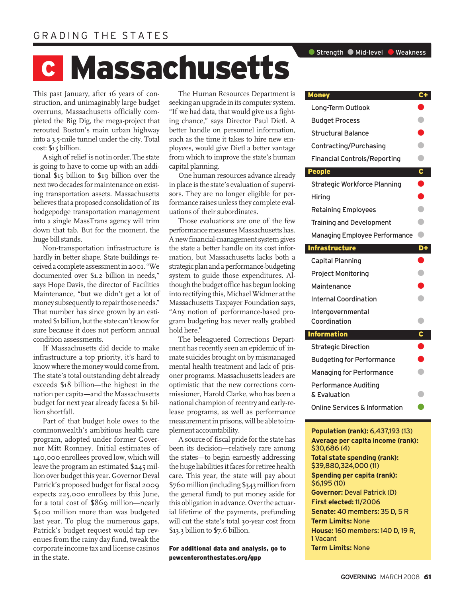# **Massachusetts C**

This past January, after 16 years of construction, and unimaginably large budget overruns, Massachusetts officially completed the Big Dig, the mega-project that rerouted Boston's main urban highway into a 3.5-mile tunnel under the city. Total cost: \$15 billion.

A sigh of relief is not in order. The state is going to have to come up with an additional \$15 billion to \$19 billion over the next two decades for maintenance on existing transportation assets. Massachusetts believes that a proposed consolidation of its hodgepodge transportation management into a single MassTrans agency will trim down that tab. But for the moment, the huge bill stands.

Non-transportation infrastructure is hardly in better shape. State buildings received a complete assessment in 2001. "We documented over \$1.2 billion in needs," says Hope Davis, the director of Facilities Maintenance, "but we didn't get a lot of money subsequently to repair those needs." That number has since grown by an estimated \$1 billion, but the state can't know for sure because it does not perform annual condition assessments.

If Massachusetts did decide to make infrastructure a top priority, it's hard to know where the money would come from. The state's total outstanding debt already exceeds \$18 billion—the highest in the nation per capita—and the Massachusetts budget for next year already faces a \$1 billion shortfall.

Part of that budget hole owes to the commonwealth's ambitious health care program, adopted under former Governor Mitt Romney. Initial estimates of 140,000 enrollees proved low, which will leave the program an estimated \$245 million over budget this year. Governor Deval Patrick's proposed budget for fiscal 2009 expects 225,000 enrollees by this June, for a total cost of \$869 million—nearly \$400 million more than was budgeted last year. To plug the numerous gaps, Patrick's budget request would tap revenues from the rainy day fund, tweak the corporate income tax and license casinos in the state.

The Human Resources Department is seeking an upgrade in its computer system. "If we had data, that would give us a fighting chance," says Director Paul Dietl. A better handle on personnel information, such as the time it takes to hire new employees, would give Dietl a better vantage from which to improve the state's human capital planning.

One human resources advance already in place is the state's evaluation of supervisors. They are no longer eligible for performance raises unless they complete evaluations of their subordinates.

Those evaluations are one of the few performance measures Massachusetts has. A new financial-management system gives the state a better handle on its cost information, but Massachusetts lacks both a strategic plan and a performance-budgeting system to guide those expenditures. Although the budget office has begun looking into rectifying this, Michael Widmer at the Massachusetts Taxpayer Foundation says, "Any notion of performance-based program budgeting has never really grabbed hold here."

The beleaguered Corrections Department has recently seen an epidemic of inmate suicides brought on by mismanaged mental health treatment and lack of prisoner programs. Massachusetts leaders are optimistic that the new corrections commissioner, Harold Clarke, who has been a national champion of reentry and early-release programs, as well as performance measurement in prisons, will be able to implement accountability.

A source of fiscal pride for the state has been its decision—relatively rare among the states—to begin earnestly addressing the huge liabilities it faces for retiree health care. This year, the state will pay about \$760 million (including \$343 million from the general fund) to put money aside for this obligation in advance. Over the actuarial lifetime of the payments, prefunding will cut the state's total 30-year cost from \$13.3 billion to \$7.6 billion.

**For additional data and analysis, go to pewcenteronthestates.org/gpp**

**Infrastructure D+** Capital Planning Project Monitoring ● **Maintenance** Internal Coordination ● Intergovernmental  $Coordination$ **Information C Strategic Direction** Budgeting for Performance Managing for Performance

Performance Auditing  $&$  Evaluation Online Services & Information ●

**Population (rank):** 6,437,193 (13) **Average per capita income (rank):** \$30,686 (4) **Total state spending (rank):** \$39,880,324,000 (11) **Spending per capita (rank):** \$6,195 (10) **Governor:** Deval Patrick (D) **First elected:** 11/2006 **Senate:** 40 members: 35 D, 5 R **Term Limits:** None **House:** 160 members: 140 D, 19 R, 1 Vacant **Term Limits:** None

**Money C+**

● Strength ● Mid-level ● Weakness

Budget Process **CONSTRUCTER** 

Contracting/Purchasing ● Financial Controls/Reporting  $\qquad \qquad \bullet$ **People C**

Retaining Employees **●** Training and Development Managing Employee Performance ●

Strategic Workforce Planning

Long-Term Outlook

Structural Balance

**Hiring**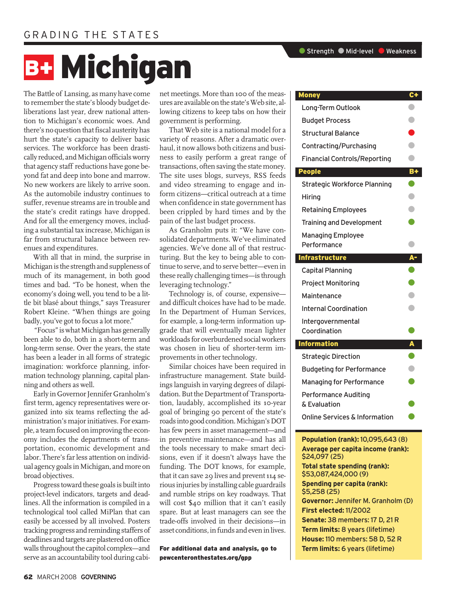#### GRADING THE STATES

# **B+** Michigan

The Battle of Lansing, as many have come to remember the state's bloody budget deliberations last year, drew national attention to Michigan's economic woes. And there's no question that fiscal austerity has hurt the state's capacity to deliver basic services. The workforce has been drastically reduced, and Michigan officials worry that agency staff reductions have gone beyond fat and deep into bone and marrow. No new workers are likely to arrive soon. As the automobile industry continues to suffer, revenue streams are in trouble and the state's credit ratings have dropped. And for all the emergency moves, including a substantial tax increase, Michigan is far from structural balance between revenues and expenditures.

With all that in mind, the surprise in Michigan is the strength and suppleness of much of its management, in both good times and bad. "To be honest, when the economy's doing well, you tend to be a little bit blasé about things," says Treasurer Robert Kleine. "When things are going badly, you've got to focus a lot more."

"Focus" is what Michigan has generally been able to do, both in a short-term and long-term sense. Over the years, the state has been a leader in all forms of strategic imagination: workforce planning, information technology planning, capital planning and others as well.

Early in Governor Jennifer Granholm's first term, agency representatives were organized into six teams reflecting the administration's major initiatives. For example, a team focused on improving the economy includes the departments of transportation, economic development and labor. There's far less attention on individual agency goals in Michigan, and more on broad objectives.

Progress toward these goals is built into project-level indicators, targets and deadlines. All the information is compiled in a technological tool called MiPlan that can easily be accessed by all involved. Posters tracking progress and reminding staffers of deadlines and targets are plastered on office walls throughout the capitol complex—and serve as an accountability tool during cabinet meetings. More than 100 of the measures are available on the state's Web site, allowing citizens to keep tabs on how their government is performing.

That Web site is a national model for a variety of reasons. After a dramatic overhaul, it now allows both citizens and business to easily perform a great range of transactions, often saving the state money. The site uses blogs, surveys, RSS feeds and video streaming to engage and inform citizens—critical outreach at a time when confidence in state government has been crippled by hard times and by the pain of the last budget process.

As Granholm puts it: "We have consolidated departments. We've eliminated agencies. We've done all of that restructuring. But the key to being able to continue to serve, and to serve better—even in these really challenging times—is through leveraging technology."

Technology is, of course, expensive and difficult choices have had to be made. In the Department of Human Services, for example, a long-term information upgrade that will eventually mean lighter workloads for overburdened social workers was chosen in lieu of shorter-term improvements in other technology.

Similar choices have been required in infrastructure management. State buildings languish in varying degrees of dilapidation. But the Department of Transportation, laudably, accomplished its 10-year goal of bringing 90 percent of the state's roads into good condition. Michigan's DOT has few peers in asset management—and in preventive maintenance—and has all the tools necessary to make smart decisions, even if it doesn't always have the funding. The DOT knows, for example, that it can save 29 lives and prevent 114 serious injuries by installing cable guardrails and rumble strips on key roadways. That will cost \$40 million that it can't easily spare. But at least managers can see the trade-offs involved in their decisions—in asset conditions, in funds and even in lives.

**For additional data and analysis, go to pewcenteronthestates.org/gpp**

| <b>Money</b>                            | $\overline{\mathbf{c}}$ + |
|-----------------------------------------|---------------------------|
| Long-Term Outlook                       | $\bullet$                 |
| <b>Budget Process</b>                   | 0                         |
| <b>Structural Balance</b>               | O                         |
| Contracting/Purchasing                  | Ó                         |
| <b>Financial Controls/Reporting</b>     | O                         |
| <b>People</b>                           | $B+$                      |
| <b>Strategic Workforce Planning</b>     | O                         |
| Hiring                                  | $\bullet$                 |
| <b>Retaining Employees</b>              | $\bullet$                 |
| <b>Training and Development</b>         | C                         |
| <b>Managing Employee</b><br>Performance | i                         |
|                                         | A                         |
| <b>Infrastructure</b>                   | $\bullet$                 |
| <b>Capital Planning</b>                 |                           |
| <b>Project Monitoring</b>               | Ò                         |
| Maintenance                             | Ô                         |
| <b>Internal Coordination</b>            | a                         |
| Intergovernmental                       |                           |
| Coordination                            | C                         |
| <b>Information</b>                      | A                         |
| <b>Strategic Direction</b>              | $\bullet$                 |
| <b>Budgeting for Performance</b>        | $\bullet$                 |
| <b>Managing for Performance</b>         | Ê                         |
| <b>Performance Auditing</b>             |                           |
| & Evaluation                            |                           |
|                                         |                           |

● Strength ● Mid-level ● Weakness

**Population (rank):** 10,095,643 (8) **Average per capita income (rank):** \$24,097 (25) **Total state spending (rank):** \$53,087,424,000 (9) **Spending per capita (rank):**  \$5,258 (25)

**Governor:** Jennifer M. Granholm (D) **First elected:** 11/2002 **Senate:** 38 members: 17 D, 21 R **Term limits:** 8 years (lifetime) **House:** 110 members: 58 D, 52 R **Term limits:** 6 years (lifetime)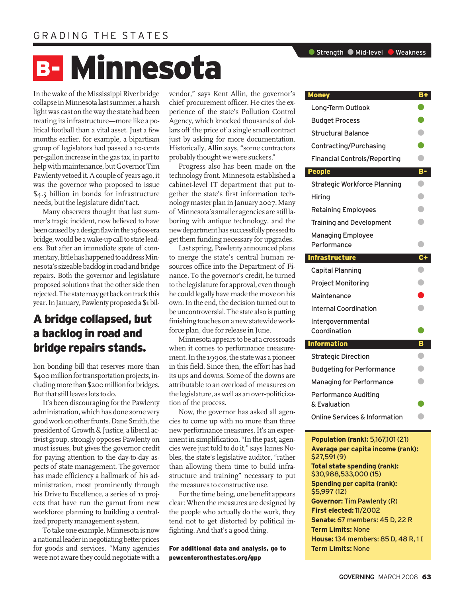### **Minnesota B-**

In the wake of the Mississippi River bridge collapse in Minnesota last summer, a harsh light was cast on the way the state had been treating its infrastructure—more like a political football than a vital asset. Just a few months earlier, for example, a bipartisan group of legislators had passed a 10-cents per-gallon increase in the gas tax, in part to help with maintenance, but Governor Tim Pawlenty vetoed it. A couple of years ago, it was the governor who proposed to issue \$4.5 billion in bonds for infrastructure needs, but the legislature didn't act.

Many observers thought that last summer's tragic incident, now believed to have been caused by a design flaw in the 1960s-era bridge, would be a wake-up call to state leaders. But after an immediate spate of commentary, little has happened to address Minnesota's sizeable backlog in road and bridge repairs. Both the governor and legislature proposed solutions that the other side then rejected. The state may get back on track this year. In January, Pawlenty proposed a \$1 bil-

#### **A bridge collapsed, but a backlog in road and bridge repairs stands.**

lion bonding bill that reserves more than \$400 million for transportation projects, including more than \$200 million for bridges. But that still leaves lots to do.

It's been discouraging for the Pawlenty administration, which has done some very good work on other fronts. Dane Smith, the president of Growth & Justice, a liberal activist group, strongly opposes Pawlenty on most issues, but gives the governor credit for paying attention to the day-to-day aspects of state management. The governor has made efficiency a hallmark of his administration, most prominently through his Drive to Excellence, a series of 11 projects that have run the gamut from new workforce planning to building a centralized property management system.

To take one example, Minnesota is now a national leader in negotiating better prices for goods and services. "Many agencies were not aware they could negotiate with a

vendor," says Kent Allin, the governor's chief procurement officer. He cites the experience of the state's Pollution Control Agency, which knocked thousands of dollars off the price of a single small contract just by asking for more documentation. Historically, Allin says, "some contractors probably thought we were suckers."

Progress also has been made on the technology front. Minnesota established a cabinet-level IT department that put together the state's first information technology master plan in January 2007. Many of Minnesota's smaller agencies are still laboring with antique technology, and the new department has successfully pressed to get them funding necessary for upgrades.

Last spring, Pawlenty announced plans to merge the state's central human resources office into the Department of Finance. To the governor's credit, he turned to the legislature for approval, even though he could legally have made the move on his own. In the end, the decision turned out to be uncontroversial. The state also is putting finishing touches on a new statewide workforce plan, due for release in June.

Minnesota appears to be at a crossroads when it comes to performance measurement. In the 1990s, the state was a pioneer in this field. Since then, the effort has had its ups and downs. Some of the downs are attributable to an overload of measures on the legislature, as well as an over-politicization of the process.

Now, the governor has asked all agencies to come up with no more than three new performance measures. It's an experiment in simplification. "In the past, agencies were just told to do it," says James Nobles, the state's legislative auditor, "rather than allowing them time to build infrastructure and training" necessary to put the measures to constructive use.

For the time being, one benefit appears clear: When the measures are designed by the people who actually do the work, they tend not to get distorted by political infighting. And that's a good thing.

**For additional data and analysis, go to pewcenteronthestates.org/gpp**

● Strength ● Mid-level ● Weakness

| <b>Money</b>                                | $B +$          |
|---------------------------------------------|----------------|
| Long-Term Outlook                           | $\blacksquare$ |
| <b>Budget Process</b>                       | Q              |
| <b>Structural Balance</b>                   | $\bullet$      |
| Contracting/Purchasing                      | $\bullet$      |
| <b>Financial Controls/Reporting</b>         | ●              |
| <b>People</b>                               | в-             |
| <b>Strategic Workforce Planning</b>         | $\bullet$      |
| Hiring                                      | 0              |
| <b>Retaining Employees</b>                  | 0              |
| <b>Training and Development</b>             | A              |
| <b>Managing Employee</b>                    |                |
| Performance                                 | u              |
| <b>Infrastructure</b>                       | C+             |
| <b>Capital Planning</b>                     |                |
| <b>Project Monitoring</b>                   |                |
| Maintenance                                 | Ò              |
| <b>Internal Coordination</b>                | Ô              |
| Intergovernmental                           |                |
| Coordination                                | O              |
| <b>Information</b>                          | B              |
| <b>Strategic Direction</b>                  | $\bullet$      |
| <b>Budgeting for Performance</b>            | $\bullet$      |
| <b>Managing for Performance</b>             | $\bullet$      |
| <b>Performance Auditing</b><br>& Evaluation |                |
| <b>Online Services &amp; Information</b>    |                |
|                                             |                |

**Population (rank):** 5,167,101 (21) **Average per capita income (rank):** \$27,591 (9) **Total state spending (rank):** \$30,988,533,000 (15) **Spending per capita (rank):**  \$5,997 (12) **Governor:** Tim Pawlenty (R) **First elected:** 11/2002 **Senate:** 67 members: 45 D, 22 R **Term Limits:** None **House:** 134 members: 85 D, 48 R, 1 I **Term Limits:** None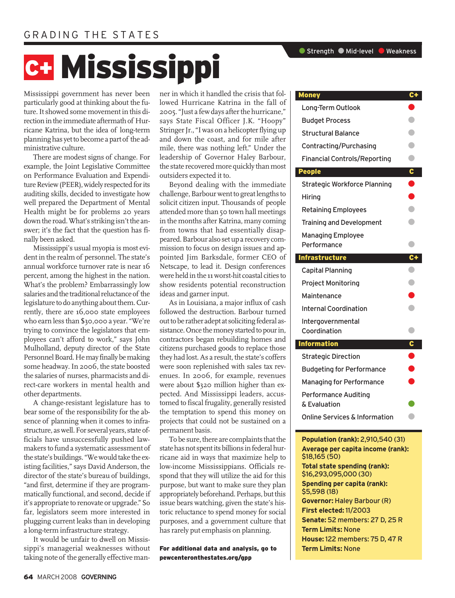# **Mississippi C+**

Mississippi government has never been particularly good at thinking about the future. It showed some movement in this direction in the immediate aftermath of Hurricane Katrina, but the idea of long-term planning has yet to become a part of the administrative culture.

There are modest signs of change. For example, the Joint Legislative Committee on Performance Evaluation and Expenditure Review (PEER), widely respected for its auditing skills, decided to investigate how well prepared the Department of Mental Health might be for problems 20 years down the road. What's striking isn't the answer; it's the fact that the question has finally been asked.

Mississippi's usual myopia is most evident in the realm of personnel. The state's annual workforce turnover rate is near 16 percent, among the highest in the nation. What's the problem? Embarrassingly low salaries and the traditional reluctance of the legislature to do anything about them. Currently, there are 16,000 state employees who earn less than \$30,000 a year. "We're trying to convince the legislators that employees can't afford to work," says John Mulholland, deputy director of the State Personnel Board. He may finally be making some headway. In 2006, the state boosted the salaries of nurses, pharmacists and direct-care workers in mental health and other departments.

A change-resistant legislature has to bear some of the responsibility for the absence of planning when it comes to infrastructure, as well. For several years, state officials have unsuccessfully pushed lawmakers to fund a systematic assessment of the state's buildings. "We would take the existing facilities," says David Anderson, the director of the state's bureau of buildings, "and first, determine if they are programmatically functional, and second, decide if it's appropriate to renovate or upgrade." So far, legislators seem more interested in plugging current leaks than in developing a long-term infrastructure strategy.

It would be unfair to dwell on Mississippi's managerial weaknesses without taking note of the generally effective manner in which it handled the crisis that followed Hurricane Katrina in the fall of 2005. "Just a few days after the hurricane," says State Fiscal Officer J.K. "Hoopy" Stringer Jr., "I was on a helicopter flying up and down the coast, and for mile after mile, there was nothing left." Under the leadership of Governor Haley Barbour, the state recovered more quickly than most outsiders expected it to.

Beyond dealing with the immediate challenge, Barbour went to great lengths to solicit citizen input. Thousands of people attended more than 50 town hall meetings in the months after Katrina, many coming from towns that had essentially disappeared. Barbour also set up a recovery commission to focus on design issues and appointed Jim Barksdale, former CEO of Netscape, to lead it. Design conferences were held in the 11 worst-hit coastal cities to show residents potential reconstruction ideas and garner input.

As in Louisiana, a major influx of cash followed the destruction. Barbour turned out to be rather adept at soliciting federal assistance. Once the money started to pour in, contractors began rebuilding homes and citizens purchased goods to replace those they had lost. As a result, the state's coffers were soon replenished with sales tax revenues. In 2006, for example, revenues were about \$320 million higher than expected. And Mississippi leaders, accustomed to fiscal frugality, generally resisted the temptation to spend this money on projects that could not be sustained on a permanent basis.

To be sure, there are complaints that the state has not spent its billions in federal hurricane aid in ways that maximize help to low-income Mississippians. Officials respond that they will utilize the aid for this purpose, but want to make sure they plan appropriately beforehand. Perhaps, but this issue bears watching, given the state's historic reluctance to spend money for social purposes, and a government culture that has rarely put emphasis on planning.

**For additional data and analysis, go to pewcenteronthestates.org/gpp**

| <b>Money</b>                                             | $\overline{\mathbf{c}}$ + |
|----------------------------------------------------------|---------------------------|
| Long-Term Outlook                                        | О                         |
| <b>Budget Process</b>                                    | ۸                         |
| <b>Structural Balance</b>                                | O                         |
| Contracting/Purchasing                                   | Ô                         |
| <b>Financial Controls/Reporting</b>                      | 0                         |
| <b>People</b>                                            | C                         |
| <b>Strategic Workforce Planning</b>                      |                           |
| Hiring                                                   | $\bullet$                 |
| <b>Retaining Employees</b>                               |                           |
| <b>Training and Development</b>                          | A                         |
| <b>Managing Employee</b>                                 |                           |
| Performance                                              | u                         |
| <b>Infrastructure</b>                                    | $\mathbf{c}$              |
|                                                          |                           |
| <b>Capital Planning</b>                                  | $\bullet$                 |
| <b>Project Monitoring</b>                                |                           |
| Maintenance                                              | $\bullet$                 |
| Internal Coordination                                    | n                         |
| Intergovernmental                                        |                           |
| Coordination                                             | 0                         |
| <b>Information</b>                                       |                           |
| <b>Strategic Direction</b>                               |                           |
| <b>Budgeting for Performance</b>                         |                           |
| <b>Managing for Performance</b>                          | COO                       |
| <b>Performance Auditing</b>                              |                           |
| & Evaluation<br><b>Online Services &amp; Information</b> |                           |

**Population (rank):** 2,910,540 (31) **Average per capita income (rank):** \$18,165 (50) **Total state spending (rank):** \$16,293,095,000 (30) **Spending per capita (rank):** \$5,598 (18) **Governor:** Haley Barbour (R) **First elected:** 11/2003 **Senate:** 52 members: 27 D, 25 R **Term Limits:** None **House:** 122 members: 75 D, 47 R **Term Limits:** None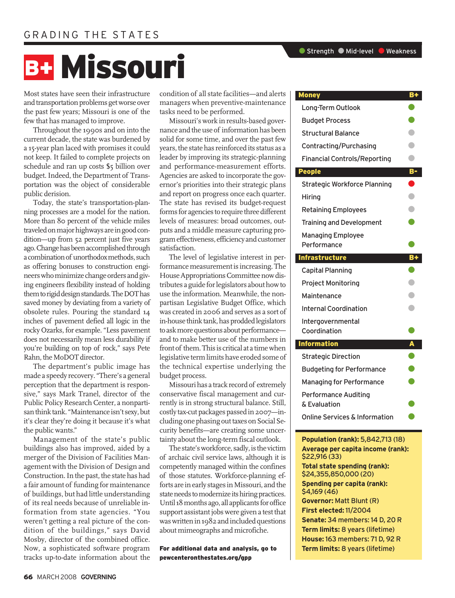# **B+** Missouri

Most states have seen their infrastructure and transportation problems get worse over the past few years; Missouri is one of the few that has managed to improve.

Throughout the 1990s and on into the current decade, the state was burdened by a 15-year plan laced with promises it could not keep. It failed to complete projects on schedule and ran up costs \$5 billion over budget. Indeed, the Department of Transportation was the object of considerable public derision.

Today, the state's transportation-planning processes are a model for the nation. More than 80 percent of the vehicle miles traveled on major highways are in good condition—up from 52 percent just five years ago. Change has been accomplished through a combination of unorthodox methods, such as offering bonuses to construction engineers who minimize change orders and giving engineers flexibility instead of holding them to rigid design standards. The DOT has saved money by deviating from a variety of obsolete rules. Pouring the standard 14 inches of pavement defied all logic in the rocky Ozarks, for example. "Less pavement does not necessarily mean less durability if you're building on top of rock," says Pete Rahn, the MoDOT director.

The department's public image has made a speedy recovery. "There's a general perception that the department is responsive," says Mark Tranel, director of the Public Policy Research Center, a nonpartisan think tank. "Maintenance isn't sexy, but it's clear they're doing it because it's what the public wants."

Management of the state's public buildings also has improved, aided by a merger of the Division of Facilities Management with the Division of Design and Construction. In the past, the state has had a fair amount of funding for maintenance of buildings, but had little understanding of its real needs because of unreliable information from state agencies. "You weren't getting a real picture of the condition of the buildings," says David Mosby, director of the combined office. Now, a sophisticated software program tracks up-to-date information about the

condition of all state facilities—and alerts managers when preventive-maintenance tasks need to be performed.

Missouri's work in results-based governance and the use of information has been solid for some time, and over the past few years, the state has reinforced its status as a leader by improving its strategic-planning and performance-measurement efforts. Agencies are asked to incorporate the governor's priorities into their strategic plans and report on progress once each quarter. The state has revised its budget-request forms for agencies to require three different levels of measures: broad outcomes, outputs and a middle measure capturing program effectiveness, efficiency and customer satisfaction.

The level of legislative interest in performance measurement is increasing. The House Appropriations Committee now distributes a guide for legislators about how to use the information. Meanwhile, the nonpartisan Legislative Budget Office, which was created in 2006 and serves as a sort of in-house think tank, has prodded legislators to ask more questions about performance and to make better use of the numbers in front of them. This is critical at a time when legislative term limits have eroded some of the technical expertise underlying the budget process.

Missouri has a track record of extremely conservative fiscal management and currently is in strong structural balance. Still, costly tax-cut packages passed in 2007—including one phasing out taxes on Social Security benefits—are creating some uncertainty about the long-term fiscal outlook.

The state's workforce, sadly, is the victim of archaic civil service laws, although it is competently managed within the confines of those statutes. Workforce-planning efforts are in early stages in Missouri, and the state needs to modernize its hiring practices. Until 18 months ago, all applicants for office support assistant jobs were given a test that was written in 1982 and included questions about mimeographs and microfiche.

**For additional data and analysis, go to pewcenteronthestates.org/gpp**

| <b>Money</b>                                             | B+        |
|----------------------------------------------------------|-----------|
| Long-Term Outlook                                        |           |
| <b>Budget Process</b>                                    | O         |
| <b>Structural Balance</b>                                | $\bullet$ |
| Contracting/Purchasing                                   | $\bullet$ |
| <b>Financial Controls/Reporting</b>                      | $\bullet$ |
| <b>People</b>                                            | B-        |
| <b>Strategic Workforce Planning</b>                      | $\bullet$ |
| Hiring                                                   | $\bullet$ |
| <b>Retaining Employees</b>                               | Ŏ         |
| <b>Training and Development</b>                          | n         |
| <b>Managing Employee</b>                                 |           |
| Performance                                              | u.        |
|                                                          | B٩        |
| Infrastructure                                           |           |
| <b>Capital Planning</b>                                  | O         |
| <b>Project Monitoring</b>                                | Ó         |
| Maintenance                                              | O         |
| <b>Internal Coordination</b>                             | Ô         |
| Intergovernmental                                        |           |
| Coordination                                             | ۹         |
| <b>Information</b>                                       | A         |
| <b>Strategic Direction</b>                               |           |
| <b>Budgeting for Performance</b>                         | i<br>I    |
| <b>Managing for Performance</b>                          | î         |
| <b>Performance Auditing</b>                              |           |
| & Evaluation<br><b>Online Services &amp; Information</b> |           |

**Population (rank):** 5,842,713 (18) **Average per capita income (rank):** \$22,916 (33) **Total state spending (rank):** \$24,355,850,000 (20)

**Spending per capita (rank):**  \$4,169 (46) **Governor:** Matt Blunt (R) **First elected:** 11/2004 **Senate:** 34 members: 14 D, 20 R **Term limits:** 8 years (lifetime) **House:** 163 members: 71 D, 92 R **Term limits:** 8 years (lifetime)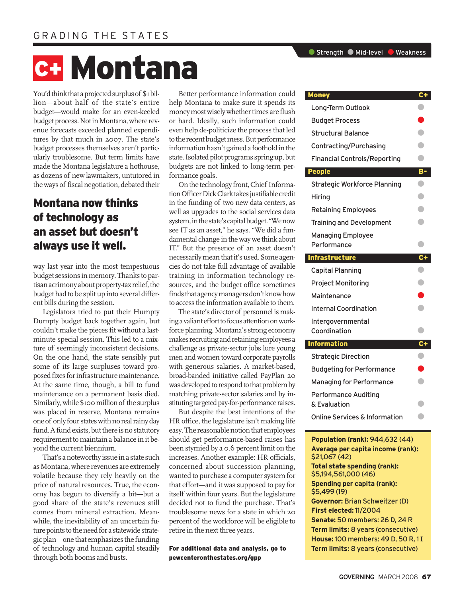#### GRADING THE STATES

### **C+** Montana

You'd think that a projected surplus of \$1 billion—about half of the state's entire budget—would make for an even-keeled budget process. Not in Montana, where revenue forecasts exceeded planned expenditures by that much in 2007. The state's budget processes themselves aren't particularly troublesome. But term limits have made the Montana legislature a hothouse, as dozens of new lawmakers, untutored in the ways of fiscal negotiation, debated their

#### **Montana now thinks of technology as an asset but doesn't always use it well.**

way last year into the most tempestuous budget sessions in memory. Thanks to partisan acrimony about property-tax relief, the budget had to be split up into several different bills during the session.

Legislators tried to put their Humpty Dumpty budget back together again, but couldn't make the pieces fit without a lastminute special session. This led to a mixture of seemingly inconsistent decisions. On the one hand, the state sensibly put some of its large surpluses toward proposed fixes for infrastructure maintenance. At the same time, though, a bill to fund maintenance on a permanent basis died. Similarly, while \$100 million of the surplus was placed in reserve, Montana remains one of only four states with no real rainy day fund. A fund exists, but there is no statutory requirement to maintain a balance in it beyond the current biennium.

That's a noteworthy issue in a state such as Montana, where revenues are extremely volatile because they rely heavily on the price of natural resources. True, the economy has begun to diversify a bit—but a good share of the state's revenues still comes from mineral extraction. Meanwhile, the inevitability of an uncertain future points to the need for a statewide strategic plan—one that emphasizes the funding of technology and human capital steadily through both booms and busts.

Better performance information could help Montana to make sure it spends its money most wisely whether times are flush or hard. Ideally, such information could even help de-politicize the process that led to the recent budget mess. But performance information hasn't gained a foothold in the state. Isolated pilot programs spring up, but budgets are not linked to long-term performance goals.

On the technology front, Chief Information Officer Dick Clark takes justifiable credit in the funding of two new data centers, as well as upgrades to the social services data system, in the state's capital budget. "We now see IT as an asset," he says. "We did a fundamental change in the way we think about IT." But the presence of an asset doesn't necessarily mean that it's used. Some agencies do not take full advantage of available training in information technology resources, and the budget office sometimes finds that agency managers don't know how to access the information available to them.

The state's director of personnel is making a valiant effort to focus attention on workforce planning. Montana's strong economy makes recruiting and retaining employees a challenge as private-sector jobs lure young men and women toward corporate payrolls with generous salaries. A market-based, broad-banded initiative called PayPlan 20 was developed to respond to that problem by matching private-sector salaries and by instituting targeted pay-for-performance raises.

But despite the best intentions of the HR office, the legislature isn't making life easy. The reasonable notion that employees should get performance-based raises has been stymied by a 0.6 percent limit on the increases. Another example: HR officials, concerned about succession planning, wanted to purchase a computer system for that effort—and it was supposed to pay for itself within four years. But the legislature decided not to fund the purchase. That's troublesome news for a state in which 20 percent of the workforce will be eligible to retire in the next three years.

**For additional data and analysis, go to pewcenteronthestates.org/gpp**

| <b>Money</b>                                | C+        |
|---------------------------------------------|-----------|
| Long-Term Outlook                           |           |
| <b>Budget Process</b>                       | Ó         |
| <b>Structural Balance</b>                   | Ó         |
| Contracting/Purchasing                      | Ê         |
| <b>Financial Controls/Reporting</b>         | O         |
| <b>People</b>                               | B         |
| <b>Strategic Workforce Planning</b>         | O         |
| Hiring                                      | $\bullet$ |
| <b>Retaining Employees</b>                  | O         |
| <b>Training and Development</b>             | o         |
| <b>Managing Employee</b>                    |           |
| Performance                                 |           |
| <b>Infrastructure</b>                       | C         |
| <b>Capital Planning</b>                     |           |
| <b>Project Monitoring</b>                   | $\bullet$ |
| Maintenance                                 |           |
| <b>Internal Coordination</b>                |           |
| Intergovernmental                           |           |
| Coordination                                |           |
| <b>Information</b>                          | C+        |
|                                             |           |
| <b>Strategic Direction</b>                  |           |
| <b>Budgeting for Performance</b>            | $\bullet$ |
| <b>Managing for Performance</b>             | Ê         |
| <b>Performance Auditing</b><br>& Evaluation |           |

**Population (rank):** 944,632 (44) **Average per capita income (rank):** \$21,067 (42) **Total state spending (rank):** \$5,194,561,000 (46) **Spending per capita (rank):**  \$5,499 (19) **Governor:** Brian Schweitzer (D) **First elected:** 11/2004 **Senate:** 50 members: 26 D, 24 R **Term limits:** 8 years (consecutive) **House:** 100 members: 49 D, 50 R, 1 I **Term limits:** 8 years (consecutive)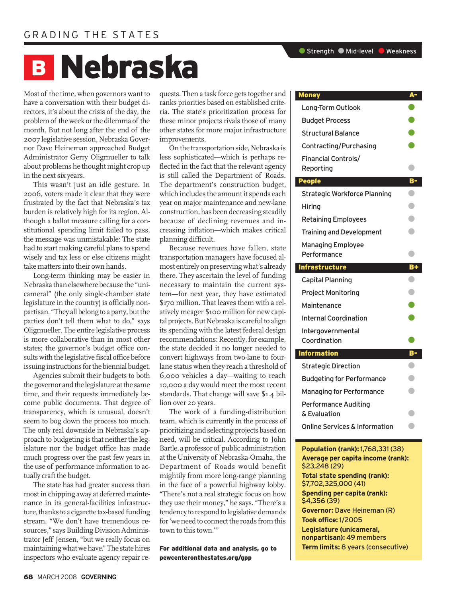# **Nebraska B**

Most of the time, when governors want to have a conversation with their budget directors, it's about the crisis of the day, the problem of the week or the dilemma of the month. But not long after the end of the 2007 legislative session, Nebraska Governor Dave Heineman approached Budget Administrator Gerry Oligmueller to talk about problems he thought might crop up in the next six years.

This wasn't just an idle gesture. In 2006, voters made it clear that they were frustrated by the fact that Nebraska's tax burden is relatively high for its region. Although a ballot measure calling for a constitutional spending limit failed to pass, the message was unmistakable: The state had to start making careful plans to spend wisely and tax less or else citizens might take matters into their own hands.

Long-term thinking may be easier in Nebraska than elsewhere because the "unicameral" (the only single-chamber state legislature in the country) is officially nonpartisan. "They all belong to a party, but the parties don't tell them what to do," says Oligmueller. The entire legislative process is more collaborative than in most other states; the governor's budget office consults with the legislative fiscal office before issuing instructions for the biennial budget.

Agencies submit their budgets to both the governor and the legislature at the same time, and their requests immediately become public documents. That degree of transparency, which is unusual, doesn't seem to bog down the process too much. The only real downside in Nebraska's approach to budgeting is that neither the legislature nor the budget office has made much progress over the past few years in the use of performance information to actually craft the budget.

The state has had greater success than most in chipping away at deferred maintenance in its general-facilities infrastructure, thanks to a cigarette tax-based funding stream. "We don't have tremendous resources," says Building Division Administrator Jeff Jensen, "but we really focus on maintaining what we have." The state hires inspectors who evaluate agency repair requests. Then a task force gets together and ranks priorities based on established criteria. The state's prioritization process for these minor projects rivals those of many other states for more major infrastructure improvements.

On the transportation side, Nebraska is less sophisticated—which is perhaps reflected in the fact that the relevant agency is still called the Department of Roads. The department's construction budget, which includes the amount it spends each year on major maintenance and new-lane construction, has been decreasing steadily because of declining revenues and increasing inflation—which makes critical planning difficult.

Because revenues have fallen, state transportation managers have focused almost entirely on preserving what's already there. They ascertain the level of funding necessary to maintain the current system—for next year, they have estimated \$170 million. That leaves them with a relatively meager \$100 million for new capital projects. But Nebraska is careful to align its spending with the latest federal design recommendations: Recently, for example, the state decided it no longer needed to convert highways from two-lane to fourlane status when they reach a threshold of 6,000 vehicles a day—waiting to reach 10,000 a day would meet the most recent standards. That change will save \$1.4 billion over 20 years.

The work of a funding-distribution team, which is currently in the process of prioritizing and selecting projects based on need, will be critical. According to John Bartle, a professor of public administration at the University of Nebraska-Omaha, the Department of Roads would benefit mightily from more long-range planning in the face of a powerful highway lobby. "There's not a real strategic focus on how they use their money," he says. "There's a tendency to respond to legislative demands for 'we need to connect the roads from this town to this town.'"

**For additional data and analysis, go to pewcenteronthestates.org/gpp**

| <b>Money</b>                        | $A-$      |
|-------------------------------------|-----------|
| Long-Term Outlook                   | 0         |
| <b>Budget Process</b>               | $\bullet$ |
| <b>Structural Balance</b>           | $\bullet$ |
| Contracting/Purchasing              | Ê         |
| <b>Financial Controls/</b>          |           |
| Reporting                           | ۰         |
| <b>People</b>                       | B         |
| <b>Strategic Workforce Planning</b> | Ô         |
| Hiring                              | $\bullet$ |
| <b>Retaining Employees</b>          | ۸         |
| <b>Training and Development</b>     | a         |
| <b>Managing Employee</b>            |           |
| Performance                         | n         |
|                                     |           |
| <b>Infrastructure</b>               | B+        |
| <b>Capital Planning</b>             | $\bullet$ |
| <b>Project Monitoring</b>           | $\bullet$ |
| Maintenance                         | $\bullet$ |
| <b>Internal Coordination</b>        | O         |
| Intergovernmental                   |           |
| Coordination                        | rii<br>L  |
| <b>Information</b>                  | B         |
| <b>Strategic Direction</b>          | $\bullet$ |
| <b>Budgeting for Performance</b>    | $\bullet$ |
| <b>Managing for Performance</b>     | ۸         |
| <b>Performance Auditing</b>         |           |
| & Evaluation                        |           |

**Population (rank):** 1,768,331 (38) **Average per capita income (rank):** \$23,248 (29) **Total state spending (rank):** \$7,702,325,000 (41) **Spending per capita (rank):**  \$4,356 (39) **Governor:** Dave Heineman (R) **Took office:** 1/2005 **Legislature (unicameral, nonpartisan):** 49 members **Term limits:** 8 years (consecutive)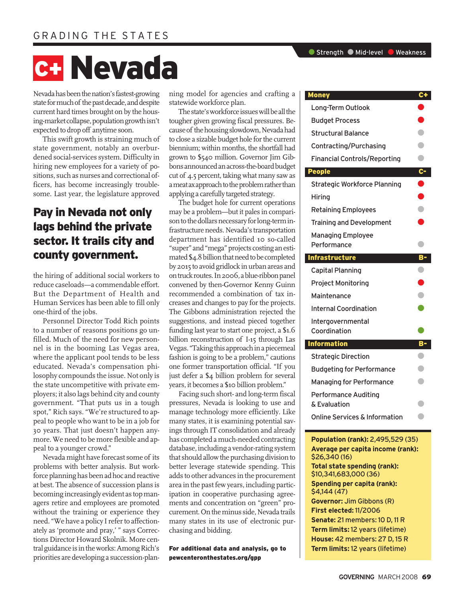### **Nevada C+**

Nevada has been the nation's fastest-growing state for much of the past decade, and despite current hard times brought on by the housing-market collapse, population growth isn't expected to drop off anytime soon.

This swift growth is straining much of state government, notably an overburdened social-services system. Difficulty in hiring new employees for a variety of positions, such as nurses and correctional officers, has become increasingly troublesome. Last year, the legislature approved

#### **Pay in Nevada not only lags behind the private sector. It trails city and county government.**

the hiring of additional social workers to reduce caseloads—a commendable effort. But the Department of Health and Human Services has been able to fill only one-third of the jobs.

Personnel Director Todd Rich points to a number of reasons positions go unfilled. Much of the need for new personnel is in the booming Las Vegas area, where the applicant pool tends to be less educated. Nevada's compensation philosophy compounds the issue. Not only is the state uncompetitive with private employers; it also lags behind city and county government. "That puts us in a tough spot," Rich says. "We're structured to appeal to people who want to be in a job for 30 years. That just doesn't happen anymore. We need to be more flexible and appeal to a younger crowd."

Nevada might have forecast some of its problems with better analysis. But workforce planning has been ad hoc and reactive at best. The absence of succession plans is becoming increasingly evident as top managers retire and employees are promoted without the training or experience they need. "We have a policy I refer to affectionately as 'promote and pray,' " says Corrections Director Howard Skolnik. More central guidance is in the works: Among Rich's priorities are developing a succession-planning model for agencies and crafting a statewide workforce plan.

The state's workforce issues will be all the tougher given growing fiscal pressures. Because of the housing slowdown, Nevada had to close a sizable budget hole for the current biennium; within months, the shortfall had grown to \$540 million. Governor Jim Gibbons announced an across-the-board budget cut of 4.5 percent, taking what many saw as a meat ax approach to the problem rather than applying a carefully targeted strategy.

The budget hole for current operations may be a problem—but it pales in comparison to the dollars necessary for long-term infrastructure needs. Nevada's transportation department has identified 10 so-called "super" and "mega" projects costing an estimated \$4.8 billion that need to be completed by 2015 to avoid gridlock in urban areas and on truck routes. In 2006, a blue-ribbon panel convened by then-Governor Kenny Guinn recommended a combination of tax increases and changes to pay for the projects. The Gibbons administration rejected the suggestions, and instead pieced together funding last year to start one project, a \$1.6 billion reconstruction of I-15 through Las Vegas. "Taking this approach in a piecemeal fashion is going to be a problem," cautions one former transportation official. "If you just defer a \$4 billion problem for several years, it becomes a \$10 billion problem."

Facing such short- and long-term fiscal pressures, Nevada is looking to use and manage technology more efficiently. Like many states, it is examining potential savings through IT consolidation and already has completed a much-needed contracting database, including a vendor-rating system that should allow the purchasing division to better leverage statewide spending. This adds to other advances in the procurement area in the past few years, including participation in cooperative purchasing agreements and concentration on "green" procurement. On the minus side, Nevada trails many states in its use of electronic purchasing and bidding.

**For additional data and analysis, go to pewcenteronthestates.org/gpp**

| <b>Money</b>                                | $\overline{c}$ + |
|---------------------------------------------|------------------|
| Long-Term Outlook                           |                  |
| <b>Budget Process</b>                       |                  |
| <b>Structural Balance</b>                   |                  |
| Contracting/Purchasing                      |                  |
| <b>Financial Controls/Reporting</b>         | O                |
| <b>People</b>                               | $\mathbf{c}$     |
| <b>Strategic Workforce Planning</b>         |                  |
| Hiring                                      |                  |
| <b>Retaining Employees</b>                  |                  |
| <b>Training and Development</b>             |                  |
| <b>Managing Employee</b>                    |                  |
| Performance                                 |                  |
| <b>Infrastructure</b>                       | в-               |
|                                             |                  |
| <b>Capital Planning</b>                     |                  |
| <b>Project Monitoring</b>                   |                  |
| Maintenance                                 |                  |
| <b>Internal Coordination</b>                |                  |
| Intergovernmental                           |                  |
| Coordination                                |                  |
| <b>Information</b>                          | <b>B-</b>        |
| <b>Strategic Direction</b>                  | 0                |
| <b>Budgeting for Performance</b>            |                  |
| <b>Managing for Performance</b>             | O                |
| <b>Performance Auditing</b><br>& Evaluation |                  |

#### **Population (rank):** 2,495,529 (35) **Average per capita income (rank):** \$26,340 (16) **Total state spending (rank):** \$10,341,683,000 (36) **Spending per capita (rank):**  \$4,144 (47) **Governor:** Jim Gibbons (R) **First elected:** 11/2006 **Senate:** 21 members: 10 D, 11 R **Term limits:** 12 years (lifetime) **House:** 42 members: 27 D, 15 R **Term limits:** 12 years (lifetime)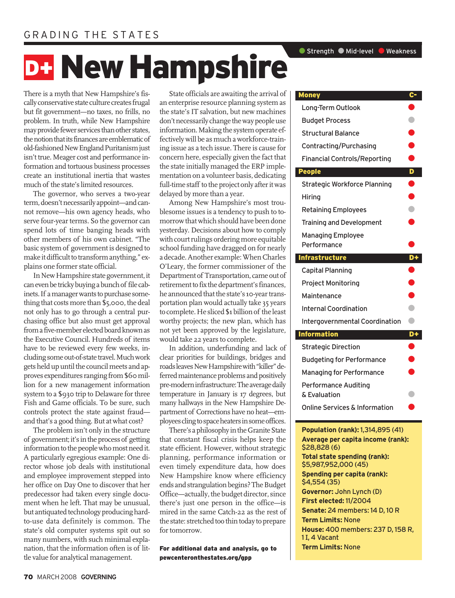# **D+** New Hampshire

There is a myth that New Hampshire's fiscally conservative state culture creates frugal but fit government—no taxes, no frills, no problem. In truth, while New Hampshire may provide fewer services than other states, the notion that its finances are emblematic of old-fashioned New England Puritanism just isn't true. Meager cost and performance information and tortuous business processes create an institutional inertia that wastes much of the state's limited resources.

The governor, who serves a two-year term, doesn't necessarily appoint—and cannot remove—his own agency heads, who serve four-year terms. So the governor can spend lots of time banging heads with other members of his own cabinet. "The basic system of government is designed to make it difficult to transform anything," explains one former state official.

In New Hampshire state government, it can even be tricky buying a bunch of file cabinets. If a manager wants to purchase something that costs more than \$5,000, the deal not only has to go through a central purchasing office but also must get approval from a five-member elected board known as the Executive Council. Hundreds of items have to be reviewed every few weeks, including some out-of-state travel. Much work gets held up until the council meets and approves expenditures ranging from \$60 million for a new management information system to a \$930 trip to Delaware for three Fish and Game officials. To be sure, such controls protect the state against fraud and that's a good thing. But at what cost?

The problem isn't only in the structure of government; it's in the process of getting information to the people who most need it. A particularly egregious example: One director whose job deals with institutional and employee improvement stepped into her office on Day One to discover that her predecessor had taken every single document when he left. That may be unusual, but antiquated technology producing hardto-use data definitely is common. The state's old computer systems spit out so many numbers, with such minimal explanation, that the information often is of little value for analytical management.

State officials are awaiting the arrival of an enterprise resource planning system as the state's IT salvation, but new machines don't necessarily change the way people use information. Making the system operate effectively will be as much a workforce-training issue as a tech issue. There is cause for concern here, especially given the fact that the state initially managed the ERP implementation on a volunteer basis, dedicating full-time staff to the project only after it was delayed by more than a year.

Among New Hampshire's most troublesome issues is a tendency to push to tomorrow that which should have been done yesterday. Decisions about how to comply with court rulings ordering more equitable school funding have dragged on for nearly a decade. Another example: When Charles O'Leary, the former commissioner of the Department of Transportation, came out of retirement to fix the department's finances, he announced that the state's 10-year transportation plan would actually take 35 years to complete. He sliced \$1 billion of the least worthy projects; the new plan, which has not yet been approved by the legislature, would take 22 years to complete.

In addition, underfunding and lack of clear priorities for buildings, bridges and roads leaves New Hampshire with "killer" deferred maintenance problems and positively pre-modern infrastructure: The average daily temperature in January is 17 degrees, but many hallways in the New Hampshire Department of Corrections have no heat—employees cling to space heaters in some offices.

There's a philosophy in the Granite State that constant fiscal crisis helps keep the state efficient. However, without strategic planning, performance information or even timely expenditure data, how does New Hampshire know where efficiency ends and strangulation begins? The Budget Office—actually, the budget director, since there's just one person in the office—is mired in the same Catch-22 as the rest of the state: stretched too thin today to prepare for tomorrow.

**For additional data and analysis, go to pewcenteronthestates.org/gpp**

| <b>Money</b>                                             | $\mathbf{c}$ - |
|----------------------------------------------------------|----------------|
| Long-Term Outlook                                        |                |
| <b>Budget Process</b>                                    |                |
| <b>Structural Balance</b>                                |                |
| Contracting/Purchasing                                   |                |
| <b>Financial Controls/Reporting</b>                      |                |
| <b>People</b>                                            | D              |
| <b>Strategic Workforce Planning</b>                      | $\bullet$      |
| Hiring                                                   | Ó              |
| <b>Retaining Employees</b>                               |                |
| <b>Training and Development</b>                          |                |
| <b>Managing Employee</b>                                 |                |
| Performance                                              |                |
|                                                          |                |
| <b>Infrastructure</b>                                    | D4             |
| <b>Capital Planning</b>                                  |                |
| <b>Project Monitoring</b>                                |                |
| Maintenance                                              |                |
| <b>Internal Coordination</b>                             |                |
| <b>Intergovernmental Coordination</b>                    |                |
| <b>Information</b>                                       |                |
| <b>Strategic Direction</b>                               | D+             |
| <b>Budgeting for Performance</b>                         | e<br>C         |
| <b>Managing for Performance</b>                          |                |
| <b>Performance Auditing</b>                              |                |
| & Evaluation<br><b>Online Services &amp; Information</b> |                |

**Population (rank):** 1,314,895 (41) **Average per capita income (rank):** \$28,828 (6) **Total state spending (rank):** \$5,987,952,000 (45) **Spending per capita (rank):**  \$4,554 (35) **Governor:** John Lynch (D) **First elected:** 11/2004 **Senate:** 24 members: 14 D, 10 R **Term Limits:** None **House:** 400 members: 237 D, 158 R, 1I. 4 Vacant **Term Limits:** None

● Strength ● Mid-level ● Weakness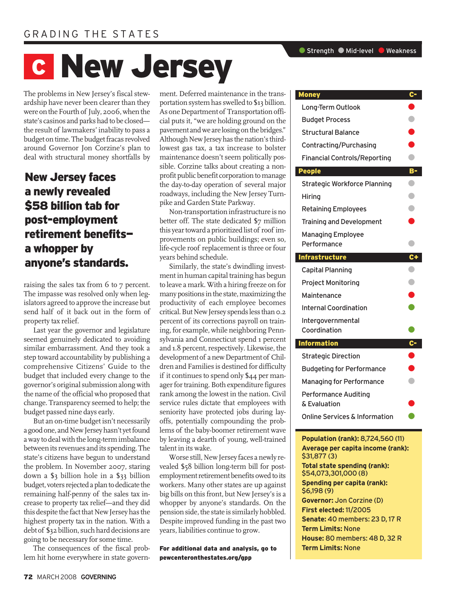# **New Jersey C**

The problems in New Jersey's fiscal stewardship have never been clearer than they were on the Fourth of July, 2006, when the state's casinos and parks had to be closed the result of lawmakers' inability to pass a budget on time. The budget fracas revolved around Governor Jon Corzine's plan to deal with structural money shortfalls by

### **New Jersey faces a newly revealed \$58 billion tab for post-employment retirement benefits a whopper by anyone's standards.**

raising the sales tax from 6 to 7 percent. The impasse was resolved only when legislators agreed to approve the increase but send half of it back out in the form of property tax relief.

Last year the governor and legislature seemed genuinely dedicated to avoiding similar embarrassment. And they took a step toward accountability by publishing a comprehensive Citizens' Guide to the budget that included every change to the governor's original submission along with the name of the official who proposed that change. Transparency seemed to help; the budget passed nine days early.

But an on-time budget isn't necessarily a good one, and New Jersey hasn't yet found a way to deal with the long-term imbalance between its revenues and its spending. The state's citizens have begun to understand the problem. In November 2007, staring down a \$3 billion hole in a \$33 billion budget, voters rejected a plan to dedicate the remaining half-penny of the sales tax increase to property tax relief—and they did this despite the fact that New Jersey has the highest property tax in the nation. With a debt of \$32 billion, such hard decisions are going to be necessary for some time.

The consequences of the fiscal problem hit home everywhere in state government. Deferred maintenance in the transportation system has swelled to \$13 billion. As one Department of Transportation official puts it, "we are holding ground on the pavement and we are losing on the bridges." Although New Jersey has the nation's thirdlowest gas tax, a tax increase to bolster maintenance doesn't seem politically possible. Corzine talks about creating a nonprofit public benefit corporation to manage the day-to-day operation of several major roadways, including the New Jersey Turnpike and Garden State Parkway.

Non-transportation infrastructure is no better off. The state dedicated \$7 million this year toward a prioritized list of roof improvements on public buildings; even so, life-cycle roof replacement is three or four years behind schedule.

Similarly, the state's dwindling investment in human capital training has begun to leave a mark. With a hiring freeze on for many positions in the state, maximizing the productivity of each employee becomes critical. But New Jersey spends less than 0.2 percent of its corrections payroll on training, for example, while neighboring Pennsylvania and Connecticut spend 1 percent and 1.8 percent, respectively. Likewise, the development of a new Department of Children and Families is destined for difficulty if it continues to spend only \$44 per manager for training. Both expenditure figures rank among the lowest in the nation. Civil service rules dictate that employees with seniority have protected jobs during layoffs, potentially compounding the problems of the baby-boomer retirement wave by leaving a dearth of young, well-trained talent in its wake.

Worse still, New Jersey faces a newly revealed \$58 billion long-term bill for postemployment retirement benefits owed to its workers. Many other states are up against big bills on this front, but New Jersey's is a whopper by anyone's standards. On the pension side, the state is similarly hobbled. Despite improved funding in the past two years, liabilities continue to grow.

**For additional data and analysis, go to pewcenteronthestates.org/gpp**

#### ● Strength ● Mid-level ● Weakness

| <b>Money</b>                        | c-                |
|-------------------------------------|-------------------|
| Long-Term Outlook                   |                   |
| <b>Budget Process</b>               |                   |
| Structural Balance                  | $\bullet$         |
| Contracting/Purchasing              |                   |
| <b>Financial Controls/Reporting</b> |                   |
| <b>People</b>                       | в٠                |
| <b>Strategic Workforce Planning</b> | o                 |
| Hiring                              | O                 |
| <b>Retaining Employees</b>          | 0                 |
| <b>Training and Development</b>     |                   |
| <b>Managing Employee</b>            |                   |
| Performance                         |                   |
|                                     |                   |
| <b>Infrastructure</b>               | C                 |
| <b>Capital Planning</b>             |                   |
| <b>Project Monitoring</b>           |                   |
| Maintenance                         | Ó                 |
| <b>Internal Coordination</b>        |                   |
| Intergovernmental                   |                   |
| Coordination                        |                   |
| <b>Information</b>                  |                   |
| <b>Strategic Direction</b>          |                   |
| <b>Budgeting for Performance</b>    | $rac{c}{\bullet}$ |
| <b>Managing for Performance</b>     | e                 |
| <b>Performance Auditing</b>         |                   |
| & Evaluation                        |                   |

**Population (rank):** 8,724,560 (11) **Average per capita income (rank):** \$31,877 (3) **Total state spending (rank):** \$54,073,301,000 (8) **Spending per capita (rank):**  \$6,198 (9) **Governor:** Jon Corzine (D) **First elected:** 11/2005 **Senate:** 40 members: 23 D, 17 R **Term Limits:** None **House:** 80 members: 48 D, 32 R **Term Limits:** None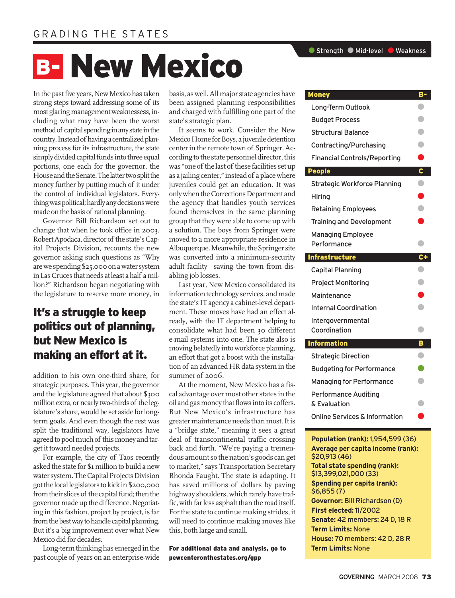### **B- New Mexico**

In the past five years, New Mexico has taken strong steps toward addressing some of its most glaring management weaknessess, including what may have been the worst method of capital spending in any state in the country. Instead of having a centralized planning process for its infrastructure, the state simply divided capital funds into three equal portions, one each for the governor, the House and the Senate. The latter two split the money further by putting much of it under the control of individual legislators. Everything was political; hardly any decisions were made on the basis of rational planning.

Governor Bill Richardson set out to change that when he took office in 2003. Robert Apodaca, director of the state's Capital Projects Division, recounts the new governor asking such questions as "Why are we spending \$25,000 on a water system in Las Cruces that needs at least a half a million?" Richardson began negotiating with the legislature to reserve more money, in

### **It's a struggle to keep politics out of planning, but New Mexico is making an effort at it.**

addition to his own one-third share, for strategic purposes. This year, the governor and the legislature agreed that about \$300 million extra, or nearly two-thirds of the legislature's share, would be set aside for longterm goals. And even though the rest was split the traditional way, legislators have agreed to pool much of this money and target it toward needed projects.

For example, the city of Taos recently asked the state for \$1 million to build a new water system. The Capital Projects Division got the local legislators to kick in \$200,000 from their slices of the capital fund; then the governor made up the difference. Negotiating in this fashion, project by project, is far from the best way to handle capital planning. But it's a big improvement over what New Mexico did for decades.

Long-term thinking has emerged in the past couple of years on an enterprise-wide

basis, as well. All major state agencies have been assigned planning responsibilities and charged with fulfilling one part of the state's strategic plan.

It seems to work. Consider the New Mexico Home for Boys, a juvenile detention center in the remote town of Springer. According to the state personnel director, this was "one of the last of these facilities set up as a jailing center," instead of a place where juveniles could get an education. It was only when the Corrections Department and the agency that handles youth services found themselves in the same planning group that they were able to come up with a solution. The boys from Springer were moved to a more appropriate residence in Albuquerque. Meanwhile, the Springer site was converted into a minimum-security adult facility—saving the town from disabling job losses.

Last year, New Mexico consolidated its information technology services, and made the state's IT agency a cabinet-level department. These moves have had an effect already, with the IT department helping to consolidate what had been 30 different e-mail systems into one. The state also is moving belatedly into workforce planning, an effort that got a boost with the installation of an advanced HR data system in the summer of 2006.

At the moment, New Mexico has a fiscal advantage over most other states in the oil and gas money that flows into its coffers. But New Mexico's infrastructure has greater maintenance needs than most. It is a "bridge state," meaning it sees a great deal of transcontinental traffic crossing back and forth. "We're paying a tremendous amount so the nation's goods can get to market," says Transportation Secretary Rhonda Faught. The state is adapting. It has saved millions of dollars by paving highway shoulders, which rarely have traffic, with far less asphalt than the road itself. For the state to continue making strides, it will need to continue making moves like this, both large and small.

**For additional data and analysis, go to pewcenteronthestates.org/gpp**

Budget Process **CONSTRUCTER** Structural Balance Contracting/Purchasing ● Financial Controls/Reporting ● **People C** Strategic Workforce Planning ● **Hiring** Retaining Employees ● Training and Development Managing Employee  $Performance$ **Infrastructure C+** Capital Planning ● Project Monitoring ● **Maintenance** Internal Coordination Intergovernmental  $Coordination$   $\qquad \qquad \bullet$ **Information B** Strategic Direction ● Budgeting for Performance Managing for Performance ● Performance Auditing  $\&$  Evaluation  $\qquad \qquad \bullet$ Online Services & Information ●

**Money B-**Long-Term Outlook ●

● Strength ● Mid-level ● Weakness

**Population (rank):** 1,954,599 (36) **Average per capita income (rank):** \$20,913 (46) **Total state spending (rank):** \$13,399,021,000 (33) **Spending per capita (rank):**  \$6,855 (7) **Governor:** Bill Richardson (D) **First elected:** 11/2002 **Senate:** 42 members: 24 D, 18 R **Term Limits:** None **House:** 70 members: 42 D, 28 R **Term Limits:** None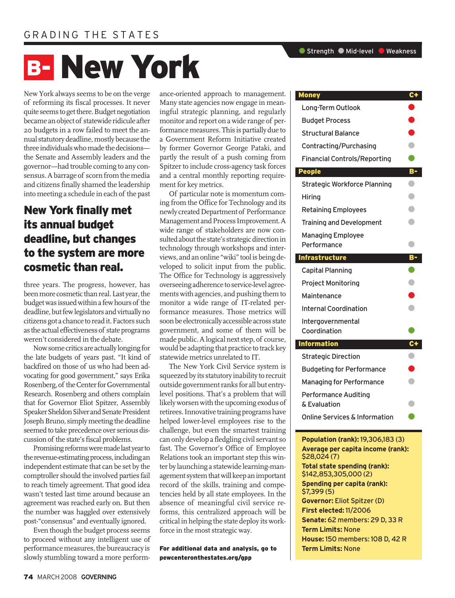# **B-** New York

New York always seems to be on the verge of reforming its fiscal processes. It never quite seems to get there. Budget negotiation became an object of statewide ridicule after 20 budgets in a row failed to meet the annual statutory deadline, mostly because the three individuals who made the decisions the Senate and Assembly leaders and the governor—had trouble coming to any consensus. A barrage of scorn from the media and citizens finally shamed the leadership into meeting a schedule in each of the past

### **New York finally met its annual budget deadline, but changes to the system are more cosmetic than real.**

three years. The progress, however, has been more cosmetic than real. Last year, the budget was issued within a few hours of the deadline, but few legislators and virtually no citizens got a chance to read it. Factors such as the actual effectiveness of state programs weren't considered in the debate.

Now some critics are actually longing for the late budgets of years past. "It kind of backfired on those of us who had been advocating for good government," says Erika Rosenberg, of the Center for Governmental Research. Rosenberg and others complain that for Governor Eliot Spitzer, Assembly Speaker Sheldon Silver and Senate President Joseph Bruno, simply meeting the deadline seemed to take precedence over serious discussion of the state's fiscal problems.

Promising reforms were made last year to the revenue-estimating process, including an independent estimate that can be set by the comptroller should the involved parties fail to reach timely agreement. That good idea wasn't tested last time around because an agreement was reached early on. But then the number was haggled over extensively post-"consensus" and eventually ignored.

Even though the budget process seems to proceed without any intelligent use of performance measures, the bureaucracy is slowly stumbling toward a more performance-oriented approach to management. Many state agencies now engage in meaningful strategic planning, and regularly monitor and report on a wide range of performance measures. This is partially due to a Government Reform Initiative created by former Governor George Pataki, and partly the result of a push coming from Spitzer to include cross-agency task forces and a central monthly reporting requirement for key metrics.

Of particular note is momentum coming from the Office for Technology and its newly created Department of Performance Management and Process Improvement. A wide range of stakeholders are now consulted about the state's strategic direction in technology through workshops and interviews, and an online "wiki" tool is being developed to solicit input from the public. The Office for Technology is aggressively overseeing adherence to service-level agreements with agencies, and pushing them to monitor a wide range of IT-related performance measures. Those metrics will soon be electronically accessible across state government, and some of them will be made public. A logical next step, of course, would be adapting that practice to track key statewide metrics unrelated to IT.

The New York Civil Service system is squeezed by its statutory inability to recruit outside government ranks for all but entrylevel positions. That's a problem that will likely worsen with the upcoming exodus of retirees. Innovative training programs have helped lower-level employees rise to the challenge, but even the smartest training can only develop a fledgling civil servant so fast. The Governor's Office of Employee Relations took an important step this winter by launching a statewide learning-management system that will keep an important record of the skills, training and competencies held by all state employees. In the absence of meaningful civil service reforms, this centralized approach will be critical in helping the state deploy its workforce in the most strategic way.

**For additional data and analysis, go to pewcenteronthestates.org/gpp**

#### ● Strength ● Mid-level ● Weakness

| <b>Money</b>                                      |           |
|---------------------------------------------------|-----------|
| Long-Term Outlook                                 |           |
| <b>Budget Process</b>                             |           |
| <b>Structural Balance</b>                         |           |
| Contracting/Purchasing                            | $\bullet$ |
| <b>Financial Controls/Reporting</b>               | n         |
| <b>People</b>                                     | в-        |
| <b>Strategic Workforce Planning</b>               | o         |
| Hiring                                            | o         |
| <b>Retaining Employees</b>                        | m         |
| <b>Training and Development</b>                   | O         |
| <b>Managing Employee</b>                          |           |
| Performance                                       | o         |
| <b>Infrastructure</b>                             | в٠        |
| Capital Planning                                  | O         |
| <b>Project Monitoring</b>                         |           |
| Maintenance                                       | Ċ         |
| Internal Coordination                             | Ê         |
| Intergovernmental                                 |           |
| Coordination                                      | n         |
| <b>Information</b>                                | c         |
| <b>Strategic Direction</b>                        |           |
| <b>Budgeting for Performance</b>                  |           |
| <b>Managing for Performance</b>                   | Ê         |
| <b>Performance Auditing</b>                       |           |
| & Evaluation                                      |           |
| <b>Online Services &amp; Information</b>          | r i       |
| Population (rank): 19,306,183 (3)                 |           |
| Average per capita income (rank):<br>\$28,024 (7) |           |
| <b>Total state spending (rank):</b>               |           |

\$142,853,305,000 (2) **Spending per capita (rank):**  \$7,399 (5) **Governor:** Eliot Spitzer (D) **First elected:** 11/2006 **Senate:** 62 members: 29 D, 33 R **Term Limits:** None **House:** 150 members: 108 D, 42 R **Term Limits:** None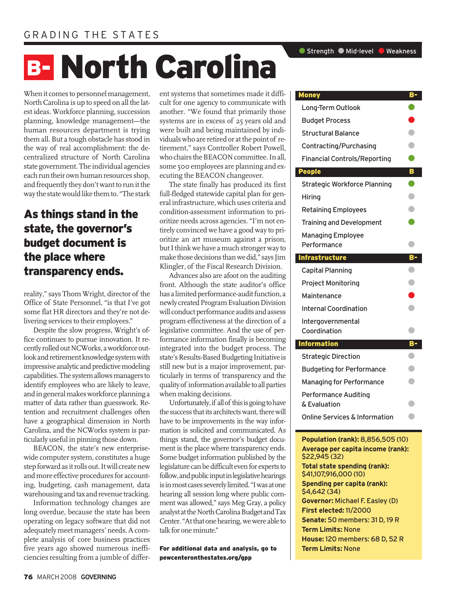# **North Carolina B-**

When it comes to personnel management, North Carolina is up to speed on all the latest ideas. Workforce planning, succession planning, knowledge management—the human resources department is trying them all. But a tough obstacle has stood in the way of real accomplishment: the decentralized structure of North Carolina state government. The individual agencies each run their own human resources shop, and frequently they don't want to run it the way the state would like them to. "The stark

#### **As things stand in the state, the governor's budget document is the place where transparency ends.**

reality," says Thom Wright, director of the Office of State Personnel, "is that I've got some flat HR directors and they're not delivering services to their employees."

Despite the slow progress, Wright's office continues to pursue innovation. It recently rolled out NCWorks, a workforce outlook and retirement knowledge system with impressive analytic and predictive modeling capabilities. The system allows managers to identify employees who are likely to leave, and in general makes workforce planning a matter of data rather than guesswork. Retention and recruitment challenges often have a geographical dimension in North Carolina, and the NCWorks system is particularly useful in pinning those down.

BEACON, the state's new enterprisewide computer system, constitutes a huge step forward as it rolls out. It will create new and more effective procedures for accounting, budgeting, cash management, data warehousing and tax and revenue tracking.

Information technology changes are long overdue, because the state has been operating on legacy software that did not adequately meet managers' needs. A complete analysis of core business practices five years ago showed numerous inefficiencies resulting from a jumble of different systems that sometimes made it difficult for one agency to communicate with another. "We found that primarily those systems are in excess of 25 years old and were built and being maintained by individuals who are retired or at the point of retirement," says Controller Robert Powell, who chairs the BEACON committee. In all, some 500 employees are planning and executing the BEACON changeover.

The state finally has produced its first full-fledged statewide capital plan for general infrastructure, which uses criteria and condition-assessment information to prioritize needs across agencies. "I'm not entirely convinced we have a good way to prioritize an art museum against a prison, but I think we have a much stronger way to make those decisions than we did," says Jim Klingler, of the Fiscal Research Division.

Advances also are afoot on the auditing front. Although the state auditor's office has a limited performance-audit function, a newly created Program Evaluation Division will conduct performance audits and assess program effectiveness at the direction of a legislative committee. And the use of performance information finally is becoming integrated into the budget process. The state's Results-Based Budgeting Initiative is still new but is a major improvement, particularly in terms of transparency and the quality of information available to all parties when making decisions.

Unfortunately, if all of this is going to have the success that its architects want, there will have to be improvements in the way information is solicited and communicated. As things stand, the governor's budget document is the place where transparency ends. Some budget information published by the legislature can be difficult even for experts to follow, and public input in legislative hearings is in most cases severely limited. "I was at one hearing all session long where public comment was allowed," says Meg Gray, a policy analyst at the North Carolina Budget and Tax Center. "At that one hearing, we were able to talk for one minute."

**For additional data and analysis, go to pewcenteronthestates.org/gpp**

Money **B-**Long-Term Outlook ● **Budget Process** Structural Balance Contracting/Purchasing **Contracting** Financial Controls/Reporting **● People** B Strategic Workforce Planning ●  $Hirina$ Retaining Employees ● Training and Development Managing Employee  $Performance$ **Infrastructure B-**Capital Planning ● Project Monitoring ● Maintenance ● Internal Coordination Intergovernmental  $Coordination$   $\qquad \qquad \bullet$ **Information B-**Strategic Direction ● Budgeting for Performance ● Managing for Performance **●** Performance Auditing  $\&$  Evaluation  $\qquad \qquad \bullet$ Online Services & Information  $\bullet$ 

● Strength ● Mid-level ● Weakness

**Population (rank):** 8,856,505 (10) **Average per capita income (rank):** \$22,945 (32) **Total state spending (rank):** \$41,107,916,000 (10) **Spending per capita (rank):**  \$4,642 (34) **Governor:** Michael F. Easley (D) **First elected:** 11/2000 **Senate:** 50 members: 31 D, 19 R **Term Limits:** None **House:** 120 members: 68 D, 52 R **Term Limits:** None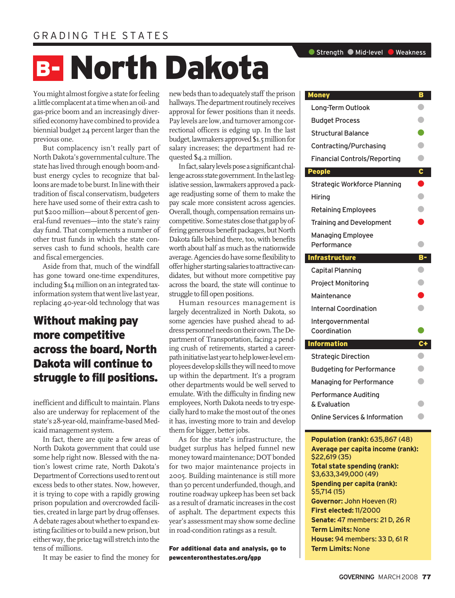### **North Dakota B-**

You might almost forgive a state for feeling a little complacent at a time when an oil- and gas-price boom and an increasingly diversified economy have combined to provide a biennial budget 24 percent larger than the previous one.

But complacency isn't really part of North Dakota's governmental culture. The state has lived through enough boom-andbust energy cycles to recognize that balloons are made to be burst. In line with their tradition of fiscal conservatism, budgeters here have used some of their extra cash to put \$200 million—about 8 percent of general-fund revenues—into the state's rainy day fund. That complements a number of other trust funds in which the state conserves cash to fund schools, health care and fiscal emergencies.

Aside from that, much of the windfall has gone toward one-time expenditures, including \$14 million on an integrated taxinformation system that went live last year, replacing 40-year-old technology that was

#### **Without making pay more competitive across the board, North Dakota will continue to struggle to fill positions.**

inefficient and difficult to maintain. Plans also are underway for replacement of the state's 28-year-old, mainframe-based Medicaid management system.

In fact, there are quite a few areas of North Dakota government that could use some help right now. Blessed with the nation's lowest crime rate, North Dakota's Department of Corrections used to rent out excess beds to other states. Now, however, it is trying to cope with a rapidly growing prison population and overcrowded facilities, created in large part by drug offenses. A debate rages about whether to expand existing facilities or to build a new prison, but either way, the price tag will stretch into the tens of millions.

It may be easier to find the money for

new beds than to adequately staff the prison hallways. The department routinely receives approval for fewer positions than it needs. Pay levels are low, and turnover among correctional officers is edging up. In the last budget, lawmakers approved \$1.5 million for salary increases; the department had requested \$4.2 million.

In fact, salary levels pose a significant challenge across state government. In the last legislative session, lawmakers approved a package readjusting some of them to make the pay scale more consistent across agencies. Overall, though, compensation remains uncompetitive. Some states close that gap by offering generous benefit packages, but North Dakota falls behind there, too, with benefits worth about half as much as the nationwide average. Agencies do have some flexibility to offer higher starting salaries to attractive candidates, but without more competitive pay across the board, the state will continue to struggle to fill open positions.

Human resources management is largely decentralized in North Dakota, so some agencies have pushed ahead to address personnel needs on their own. The Department of Transportation, facing a pending crush of retirements, started a careerpath initiative last year to help lower-level employees develop skills they will need to move up within the department. It's a program other departments would be well served to emulate. With the difficulty in finding new employees, North Dakota needs to try especially hard to make the most out of the ones it has, investing more to train and develop them for bigger, better jobs.

As for the state's infrastructure, the budget surplus has helped funnel new money toward maintenance; DOT bonded for two major maintenance projects in 2005. Building maintenance is still more than 50 percent underfunded, though, and routine roadway upkeep has been set back as a result of dramatic increases in the cost of asphalt. The department expects this year's assessment may show some decline in road-condition ratings as a result.

**For additional data and analysis, go to pewcenteronthestates.org/gpp**

● Strength ● Mid-level ● Weakness

| <b>Money</b>                             | B           |
|------------------------------------------|-------------|
| Long-Term Outlook                        | n           |
| <b>Budget Process</b>                    | O           |
| Structural Balance                       | O           |
| Contracting/Purchasing                   | Ê           |
| <b>Financial Controls/Reporting</b>      | O           |
| <b>People</b>                            | $\mathbf c$ |
| <b>Strategic Workforce Planning</b>      | ò           |
| Hiring                                   | $\bullet$   |
| <b>Retaining Employees</b>               | $\bullet$   |
| <b>Training and Development</b>          |             |
| <b>Managing Employee</b>                 |             |
| Performance                              |             |
| <b>Infrastructure</b>                    | в٠          |
| <b>Capital Planning</b>                  | ۰           |
| <b>Project Monitoring</b>                | $\bullet$   |
| Maintenance                              |             |
| <b>Internal Coordination</b>             | n           |
| Intergovernmental                        |             |
| Coordination                             |             |
| <b>Information</b>                       | C+          |
| <b>Strategic Direction</b>               | 0           |
|                                          |             |
| <b>Budgeting for Performance</b>         | n           |
| <b>Managing for Performance</b>          | n           |
| <b>Performance Auditing</b>              |             |
| & Evaluation                             |             |
| <b>Online Services &amp; Information</b> |             |

**Population (rank):** 635,867 (48) **Average per capita income (rank):** \$22,619 (35) **Total state spending (rank):** \$3,633,349,000 (49) **Spending per capita (rank):**  \$5,714 (15) **Governor:** John Hoeven (R) **First elected:** 11/2000 **Senate:** 47 members: 21 D, 26 R **Term Limits:** None **House:** 94 members: 33 D, 61 R **Term Limits:** None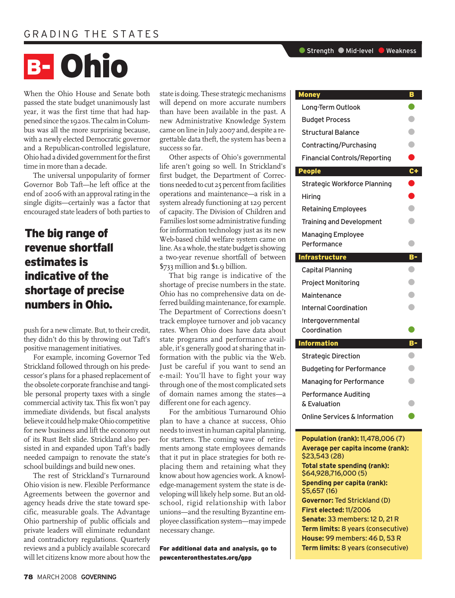#### ● Strength ● Mid-level ● Weakness

# **Ohio B-**

When the Ohio House and Senate both passed the state budget unanimously last year, it was the first time that had happened since the 1920s. The calm in Columbus was all the more surprising because, with a newly elected Democratic governor and a Republican-controlled legislature, Ohio had a divided government for the first time in more than a decade.

The universal unpopularity of former Governor Bob Taft—he left office at the end of 2006 with an approval rating in the single digits—certainly was a factor that encouraged state leaders of both parties to

#### **The big range of revenue shortfall estimates is indicative of the shortage of precise numbers in Ohio.**

push for a new climate. But, to their credit, they didn't do this by throwing out Taft's positive management initiatives.

For example, incoming Governor Ted Strickland followed through on his predecessor's plans for a phased replacement of the obsolete corporate franchise and tangible personal property taxes with a single commercial activity tax. This fix won't pay immediate dividends, but fiscal analysts believe it could help make Ohio competitive for new business and lift the economy out of its Rust Belt slide. Strickland also persisted in and expanded upon Taft's badly needed campaign to renovate the state's school buildings and build new ones.

The rest of Strickland's Turnaround Ohio vision is new. Flexible Performance Agreements between the governor and agency heads drive the state toward specific, measurable goals. The Advantage Ohio partnership of public officials and private leaders will eliminate redundant and contradictory regulations. Quarterly reviews and a publicly available scorecard will let citizens know more about how the

state is doing. These strategic mechanisms will depend on more accurate numbers than have been available in the past. A new Administrative Knowledge System came on line in July 2007 and, despite a regrettable data theft, the system has been a success so far.

Other aspects of Ohio's governmental life aren't going so well. In Strickland's first budget, the Department of Corrections needed to cut 25 percent from facilities operations and maintenance—a risk in a system already functioning at 129 percent of capacity. The Division of Children and Families lost some administrative funding for information technology just as its new Web-based child welfare system came on line. As a whole, the state budget is showing a two-year revenue shortfall of between \$733 million and \$1.9 billion.

That big range is indicative of the shortage of precise numbers in the state. Ohio has no comprehensive data on deferred building maintenance, for example. The Department of Corrections doesn't track employee turnover and job vacancy rates. When Ohio does have data about state programs and performance available, it's generally good at sharing that information with the public via the Web. Just be careful if you want to send an e-mail: You'll have to fight your way through one of the most complicated sets of domain names among the states—a different one for each agency.

For the ambitious Turnaround Ohio plan to have a chance at success, Ohio needs to invest in human capital planning, for starters. The coming wave of retirements among state employees demands that it put in place strategies for both replacing them and retaining what they know about how agencies work. A knowledge-management system the state is developing will likely help some. But an oldschool, rigid relationship with labor unions—and the resulting Byzantine employee classification system—may impede necessary change.

**For additional data and analysis, go to pewcenteronthestates.org/gpp**

| <b>Money</b>                                | B             |
|---------------------------------------------|---------------|
| Long-Term Outlook                           | C             |
| <b>Budget Process</b>                       | O             |
| Structural Balance                          | O             |
| Contracting/Purchasing                      | $\bullet$     |
| <b>Financial Controls/Reporting</b>         | Ō             |
| <b>People</b>                               | C+            |
| <b>Strategic Workforce Planning</b>         |               |
| Hiring                                      | <b>.</b><br>• |
| <b>Retaining Employees</b>                  |               |
| <b>Training and Development</b>             | A             |
| <b>Managing Employee</b><br>Performance     | u             |
| <b>Infrastructure</b>                       | в-            |
|                                             |               |
| <b>Capital Planning</b>                     | 0             |
| <b>Project Monitoring</b>                   | O             |
| Maintenance                                 | Ê             |
| <b>Internal Coordination</b>                | a             |
| Intergovernmental                           |               |
| Coordination                                |               |
| <b>Information</b>                          | в-            |
| <b>Strategic Direction</b>                  | $\bullet$     |
| <b>Budgeting for Performance</b>            | O             |
| <b>Managing for Performance</b>             | $\bullet$     |
| <b>Performance Auditing</b><br>& Evaluation |               |

**Population (rank):** 11,478,006 (7) **Average per capita income (rank):** \$23,543 (28) **Total state spending (rank):** \$64,928,716,000 (5) **Spending per capita (rank):** \$5,657 (16) **Governor:** Ted Strickland (D) **First elected:** 11/2006 **Senate:** 33 members: 12 D, 21 R **Term limits:** 8 years (consecutive) **House:** 99 members: 46 D, 53 R **Term limits:** 8 years (consecutive)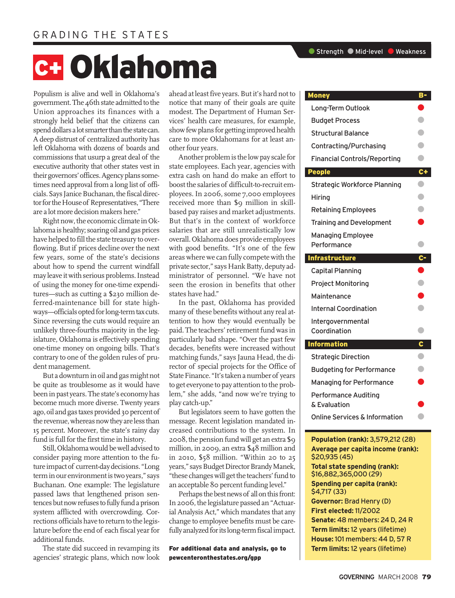### **Oklahoma C+**

Populism is alive and well in Oklahoma's government. The 46th state admitted to the Union approaches its finances with a strongly held belief that the citizens can spend dollars a lot smarter than the state can. A deep distrust of centralized authority has left Oklahoma with dozens of boards and commissions that usurp a great deal of the executive authority that other states vest in their governors' offices. Agency plans sometimes need approval from a long list of officials. Says Janice Buchanan, the fiscal director for the House of Representatives, "There are a lot more decision makers here."

Right now, the economic climate in Oklahoma is healthy; soaring oil and gas prices have helped to fill the state treasury to overflowing. But if prices decline over the next few years, some of the state's decisions about how to spend the current windfall may leave it with serious problems. Instead of using the money for one-time expenditures—such as cutting a \$230 million deferred-maintenance bill for state highways—officials opted for long-term tax cuts. Since reversing the cuts would require an unlikely three-fourths majority in the legislature, Oklahoma is effectively spending one-time money on ongoing bills. That's contrary to one of the golden rules of prudent management.

But a downturn in oil and gas might not be quite as troublesome as it would have been in past years. The state's economy has become much more diverse. Twenty years ago, oil and gas taxes provided 30 percent of the revenue, whereas now they are less than 15 percent. Moreover, the state's rainy day fund is full for the first time in history.

Still, Oklahoma would be well advised to consider paying more attention to the future impact of current-day decisions. "Long term in our environment is two years," says Buchanan. One example: The legislature passed laws that lengthened prison sentences but now refuses to fully fund a prison system afflicted with overcrowding. Corrections officials have to return to the legislature before the end of each fiscal year for additional funds.

The state did succeed in revamping its agencies' strategic plans, which now look

ahead at least five years. But it's hard not to notice that many of their goals are quite modest. The Department of Human Services' health care measures, for example, show few plans for getting improved health care to more Oklahomans for at least another four years.

Another problem is the low pay scale for state employees. Each year, agencies with extra cash on hand do make an effort to boost the salaries of difficult-to-recruit employees. In 2006, some 7,000 employees received more than \$9 million in skillbased pay raises and market adjustments. But that's in the context of workforce salaries that are still unrealistically low overall. Oklahoma does provide employees with good benefits. "It's one of the few areas where we can fully compete with the private sector," says Hank Batty, deputy administrator of personnel. "We have not seen the erosion in benefits that other states have had."

In the past, Oklahoma has provided many of these benefits without any real attention to how they would eventually be paid. The teachers' retirement fund was in particularly bad shape. "Over the past few decades, benefits were increased without matching funds," says Jauna Head, the director of special projects for the Office of State Finance. "It's taken a number of years to get everyone to pay attention to the problem," she adds, "and now we're trying to play catch-up."

But legislators seem to have gotten the message. Recent legislation mandated increased contributions to the system. In 2008, the pension fund will get an extra \$9 million, in 2009, an extra \$48 million and in 2010, \$58 million. "Within 20 to 25 years," says Budget Director Brandy Manek, "these changes will get the teachers' fund to an acceptable 80 percent funding level."

Perhaps the best news of all on this front: In 2006, the legislature passed an "Actuarial Analysis Act," which mandates that any change to employee benefits must be carefully analyzed for its long-term fiscal impact.

**For additional data and analysis, go to pewcenteronthestates.org/gpp**

| <b>Money</b>                                | в-          |
|---------------------------------------------|-------------|
| Long-Term Outlook                           |             |
| <b>Budget Process</b>                       |             |
| Structural Balance                          | 0           |
| Contracting/Purchasing                      | O           |
| <b>Financial Controls/Reporting</b>         | O           |
| <b>People</b>                               | C+          |
| <b>Strategic Workforce Planning</b>         | O           |
| Hiring                                      | $\bullet$   |
| <b>Retaining Employees</b>                  |             |
| <b>Training and Development</b>             |             |
| <b>Managing Employee</b>                    |             |
| Performance                                 | f           |
|                                             |             |
| <b>Infrastructure</b>                       |             |
| <b>Capital Planning</b>                     |             |
| <b>Project Monitoring</b>                   |             |
| Maintenance                                 | co o        |
| <b>Internal Coordination</b>                |             |
| Intergovernmental                           |             |
| Coordination                                |             |
| <b>Information</b>                          | $\mathbf c$ |
| <b>Strategic Direction</b>                  |             |
| <b>Budgeting for Performance</b>            |             |
| <b>Managing for Performance</b>             |             |
| <b>Performance Auditing</b><br>& Evaluation |             |

**Population (rank):** 3,579,212 (28) **Average per capita income (rank):** \$20,935 (45) **Total state spending (rank):** \$16,882,365,000 (29) **Spending per capita (rank):**  \$4,717 (33) **Governor:** Brad Henry (D) **First elected:** 11/2002 **Senate:** 48 members: 24 D, 24 R **Term limits:** 12 years (lifetime) **House:** 101 members: 44 D, 57 R **Term limits:** 12 years (lifetime)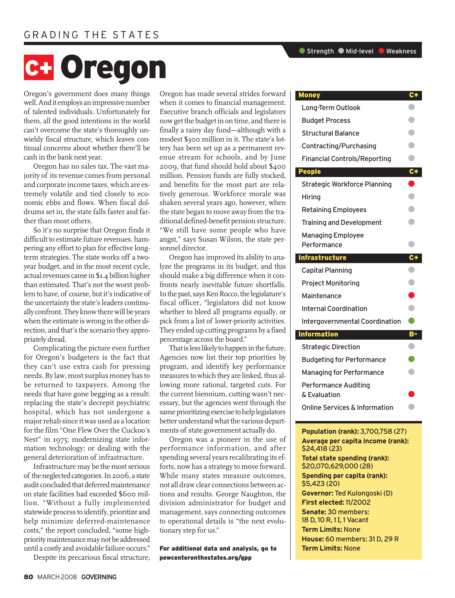

Oregon's government does many things well. And it employs an impressive number of talented individuals. Unfortunately for them, all the good intentions in the world can't overcome the state's thoroughly unwieldy fiscal structure, which leaves continual concerns about whether there'll be cash in the bank next year.

Oregon has no sales tax. The vast majority of its revenue comes from personal and corporate income taxes, which are extremely volatile and tied closely to economic ebbs and flows. When fiscal doldrums set in, the state falls faster and farther than most others.

So it's no surprise that Oregon finds it difficult to estimate future revenues, hampering any effort to plan for effective longterm strategies. The state works off a twoyear budget, and in the most recent cycle, actual revenues came in \$1.4 billion higher than estimated. That's not the worst problem to have, of course, but it's indicative of the uncertainty the state's leaders continually confront. They know there will be years when the estimate is wrong in the other direction, and that's the scenario they appropriately dread.

Complicating the picture even further for Oregon's budgeters is the fact that they can't use extra cash for pressing needs. By law, most surplus money has to be returned to taxpayers. Among the needs that have gone begging as a result: replacing the state's decrepit psychiatric hospital, which has not undergone a major rehab since it was used as a location for the film "One Flew Over the Cuckoo's Nest" in 1975; modernizing state information technology; or dealing with the general deterioration of infrastructure.

Infrastructure may be the most serious of the neglected categories. In 2006, a state audit concluded that deferred maintenance on state facilities had exceeded \$600 million. "Without a fully implemented statewide process to identify, prioritize and help minimize deferred-maintenance costs," the report concluded, "some highpriority maintenance may not be addressed until a costly and avoidable failure occurs."

Despite its precarious fiscal structure,

Oregon has made several strides forward when it comes to financial management. Executive branch officials and legislators now get the budget in on time, and there is finally a rainy day fund—although with a modest \$300 million in it. The state's lottery has been set up as a permanent revenue stream for schools, and by June 2009, that fund should hold about \$400 million. Pension funds are fully stocked, and benefits for the most part are relatively generous. Workforce morale was shaken several years ago, however, when the state began to move away from the traditional defined-benefit pension structure. "We still have some people who have angst," says Susan Wilson, the state personnel director.

Oregon has improved its ability to analyze the programs in its budget, and this should make a big difference when it confronts nearly inevitable future shortfalls. In the past, says Ken Rocco, the legislature's fiscal officer, "legislators did not know whether to bleed all programs equally, or pick from a list of lower-priority activities. They ended up cutting programs by a fixed percentage across the board."

That is less likely to happen in the future. Agencies now list their top priorities by program, and identify key performance measures to which they are linked, thus allowing more rational, targeted cuts. For the current biennium, cutting wasn't necessary, but the agencies went through the same prioritizing exercise to help legislators better understand what the various departments of state government actually do.

Oregon was a pioneer in the use of performance information, and after spending several years recalibrating its efforts, now has a strategy to move forward. While many states measure outcomes, not all draw clear connections between actions and results. George Naughton, the division administrator for budget and management, says connecting outcomes to operational details is "the next evolutionary step for us."

**For additional data and analysis, go to pewcenteronthestates.org/gpp**

● Strength ● Mid-level ● Weakness

| <b>Money</b>                             | C+        |
|------------------------------------------|-----------|
| Long-Term Outlook                        |           |
| <b>Budget Process</b>                    | D         |
| <b>Structural Balance</b>                | n         |
| Contracting/Purchasing                   | O         |
| <b>Financial Controls/Reporting</b>      | O         |
| <b>People</b>                            | $c+$      |
| <b>Strategic Workforce Planning</b>      | $\bullet$ |
| Hiring                                   | $\bullet$ |
| <b>Retaining Employees</b>               | O         |
| <b>Training and Development</b>          | n         |
| <b>Managing Employee</b>                 |           |
| Performance                              |           |
| <b>Infrastructure</b>                    |           |
|                                          | C۱        |
| <b>Capital Planning</b>                  | O         |
| <b>Project Monitoring</b>                | $\bullet$ |
| Maintenance                              | Ċ         |
| <b>Internal Coordination</b>             | $\bullet$ |
| <b>Intergovernmental Coordination</b>    | $\bullet$ |
| <b>Information</b>                       | в-        |
| <b>Strategic Direction</b>               | $\bullet$ |
| <b>Budgeting for Performance</b>         | 0         |
| <b>Managing for Performance</b>          | Ô         |
| <b>Performance Auditing</b>              |           |
| & Evaluation                             |           |
| <b>Online Services &amp; Information</b> |           |

**Population (rank):** 3,700,758 (27) **Average per capita income (rank):** \$24,418 (23) **Total state spending (rank):** \$20,070,629,000 (28) **Spending per capita (rank):**  \$5,423 (20) **Governor:** Ted Kulongoski (D) **First elected:** 11/2002 **Senate:** 30 members: 18 D, 10 R, 1 I, 1 Vacant **Term Limits:** None **House:** 60 members: 31 D, 29 R **Term Limits:** None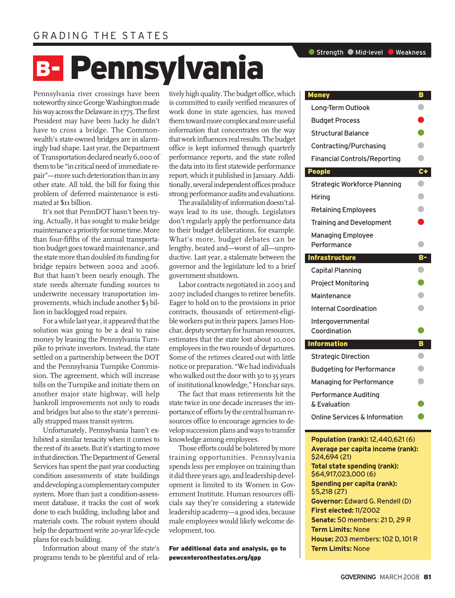# **Pennsylvania B-**

Pennsylvania river crossings have been noteworthy since George Washington made his way across the Delaware in 1775. The first President may have been lucky he didn't have to cross a bridge. The Commonwealth's state-owned bridges are in alarmingly bad shape. Last year, the Department of Transportation declared nearly 6,000 of them to be "in critical need of immediate repair"—more such deterioration than in any other state. All told, the bill for fixing this problem of deferred maintenance is estimated at \$11 billion.

It's not that PennDOT hasn't been trying. Actually, it has sought to make bridge maintenance a priority for some time. More than four-fifths of the annual transportation budget goes toward maintenance, and the state more than doubled its funding for bridge repairs between 2002 and 2006. But that hasn't been nearly enough. The state needs alternate funding sources to underwrite necessary transportation improvements, which include another \$3 billion in backlogged road repairs.

For a while last year, it appeared that the solution was going to be a deal to raise money by leasing the Pennsylvania Turnpike to private investors. Instead, the state settled on a partnership between the DOT and the Pennsylvania Turnpike Commission. The agreement, which will increase tolls on the Turnpike and initiate them on another major state highway, will help bankroll improvements not only to roads and bridges but also to the state's perennially strapped mass transit system.

Unfortunately, Pennsylvania hasn't exhibited a similar tenacity when it comes to the rest of its assets. But it's starting to move in that direction. The Department of General Services has spent the past year conducting condition assessments of state buildings and developing a complementary computer system. More than just a condition-assessment database, it tracks the cost of work done to each building, including labor and materials costs. The robust system should help the department write 20-year life-cycle plans for each building.

Information about many of the state's programs tends to be plentiful and of relatively high quality. The budget office, which is committed to easily verified measures of work done in state agencies, has moved them toward more complex and more useful information that concentrates on the way that work influences real results. The budget office is kept informed through quarterly performance reports, and the state rolled the data into its first statewide performance report, which it published in January. Additionally, several independent offices produce strong performance audits and evaluations.

The availability of information doesn't always lead to its use, though. Legislators don't regularly apply the performance data to their budget deliberations, for example. What's more, budget debates can be lengthy, heated and—worst of all—unproductive. Last year, a stalemate between the governor and the legislature led to a brief government shutdown.

Labor contracts negotiated in 2003 and 2007 included changes to retiree benefits. Eager to hold on to the provisions in prior contracts, thousands of retirement-eligible workers put in their papers. James Honchar, deputy secretary for human resources, estimates that the state lost about 10,000 employees in the two rounds of departures. Some of the retirees cleared out with little notice or preparation. "We had individuals who walked out the door with 30 to 35 years of institutional knowledge," Honchar says.

The fact that mass retirements hit the state twice in one decade increases the importance of efforts by the central human resources office to encourage agencies to develop succession plans and ways to transfer knowledge among employees.

Those efforts could be bolstered by more training opportunities. Pennsylvania spends less per employee on training than it did three years ago, and leadership development is limited to its Women in Government Institute. Human resources officials say they're considering a statewide leadership academy—a good idea, because male employees would likely welcome development, too.

**For additional data and analysis, go to pewcenteronthestates.org/gpp**

| <b>Money</b>                             | в          |
|------------------------------------------|------------|
| Long-Term Outlook                        |            |
| <b>Budget Process</b>                    | l<br>I     |
| <b>Structural Balance</b>                |            |
| Contracting/Purchasing                   | Û          |
| <b>Financial Controls/Reporting</b>      |            |
| <b>People</b>                            | C+         |
| <b>Strategic Workforce Planning</b>      | 0          |
| Hiring                                   | Ó          |
| <b>Retaining Employees</b>               | $\bigcirc$ |
| <b>Training and Development</b>          | ŕ          |
| <b>Managing Employee</b>                 |            |
| Performance                              |            |
| <b>Infrastructure</b>                    | B          |
| <b>Capital Planning</b>                  | $\bullet$  |
| <b>Project Monitoring</b>                | O          |
| Maintenance                              | Ê          |
| <b>Internal Coordination</b>             | O          |
| Intergovernmental                        |            |
| Coordination                             | O          |
| <b>Information</b>                       | в          |
| <b>Strategic Direction</b>               | O          |
| <b>Budgeting for Performance</b>         | 0          |
| <b>Managing for Performance</b>          | Ê          |
| <b>Performance Auditing</b>              |            |
| & Evaluation                             |            |
| <b>Online Services &amp; Information</b> |            |
| Population (rank): 12,440,621(6)         |            |
|                                          |            |

● Strength ● Mid-level ● Weakness

**Average per capita income (rank):** \$24,694 (21) **Total state spending (rank):** \$64,917,023,000 (6) **Spending per capita (rank):**  \$5,218 (27) **Governor:** Edward G. Rendell (D) **First elected:** 11/2002 **Senate:** 50 members: 21 D, 29 R **Term Limits:** None **House:** 203 members: 102 D, 101 R **Term Limits:** None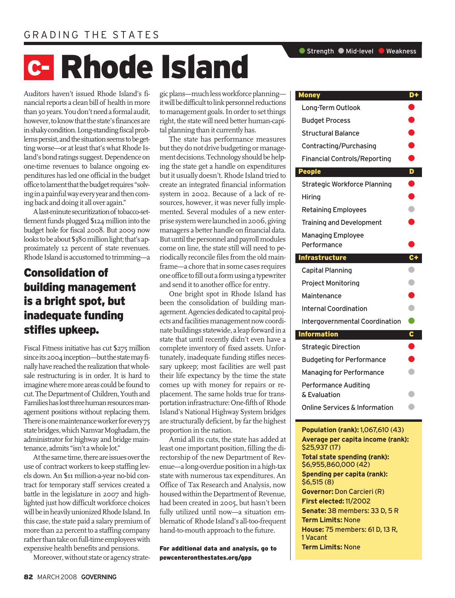# **Rhode Island C-**

Auditors haven't issued Rhode Island's financial reports a clean bill of health in more than 30 years. You don't need a formal audit, however, to know that the state's finances are in shaky condition. Long-standing fiscal problems persist, and the situation seems to be getting worse—or at least that's what Rhode Island's bond ratings suggest. Dependence on one-time revenues to balance ongoing expenditures has led one official in the budget office to lament that the budget requires "solving in a painful way every year and then coming back and doing it all over again."

A last-minute securitization of tobacco-settlement funds plugged \$124 million into the budget hole for fiscal 2008. But 2009 now looks to be about \$380 million light; that's approximately 12 percent of state revenues. Rhode Island is accustomed to trimming—a

### **Consolidation of building management is a bright spot, but inadequate funding stifles upkeep.**

Fiscal Fitness initiative has cut \$275 million since its 2004 inception—but the state may finally have reached the realization that wholesale restructuring is in order. It is hard to imagine where more areas could be found to cut. The Department of Children, Youth and Families has lost three human resources management positions without replacing them. There is one maintenance worker for every 75 state bridges, which Namvar Moghadam, the administrator for highway and bridge maintenance, admits "isn't a whole lot."

At the same time, there are issues over the use of contract workers to keep staffing levels down. An \$11 million-a-year no-bid contract for temporary staff services created a battle in the legislature in 2007 and highlighted just how difficult workforce choices will be in heavily unionized Rhode Island. In this case, the state paid a salary premium of more than 22 percent to a staffing company rather than take on full-time employees with expensive health benefits and pensions.

Moreover, without state or agency strate-

gic plans—much less workforce planning it will be difficult to link personnel reductions to management goals. In order to set things right, the state will need better human-capital planning than it currently has.

The state has performance measures but they do not drive budgeting or management decisions. Technology should be helping the state get a handle on expenditures but it usually doesn't. Rhode Island tried to create an integrated financial information system in 2002. Because of a lack of resources, however, it was never fully implemented. Several modules of a new enterprise system were launched in 2006, giving managers a better handle on financial data. But until the personnel and payroll modules come on line, the state still will need to periodically reconcile files from the old mainframe—a chore that in some cases requires one office to fill out a form using a typewriter and send it to another office for entry.

One bright spot in Rhode Island has been the consolidation of building management. Agencies dedicated to capital projects and facilities management now coordinate buildings statewide, a leap forward in a state that until recently didn't even have a complete inventory of fixed assets. Unfortunately, inadequate funding stifles necessary upkeep; most facilities are well past their life expectancy by the time the state comes up with money for repairs or replacement. The same holds true for transportation infrastructure: One-fifth of Rhode Island's National Highway System bridges are structurally deficient, by far the highest proportion in the nation.

Amid all its cuts, the state has added at least one important position, filling the directorship of the new Department of Revenue—a long-overdue position in a high-tax state with numerous tax expenditures. An Office of Tax Research and Analysis, now housed within the Department of Revenue, had been created in 2005, but hasn't been fully utilized until now—a situation emblematic of Rhode Island's all-too-frequent hand-to-mouth approach to the future.

**For additional data and analysis, go to pewcenteronthestates.org/gpp**

● Strength ● Mid-level ● Weakness

| <b>Money</b>                             | D+             |
|------------------------------------------|----------------|
| Long-Term Outlook                        |                |
| <b>Budget Process</b>                    |                |
| <b>Structural Balance</b>                |                |
| Contracting/Purchasing                   |                |
| <b>Financial Controls/Reporting</b>      |                |
| <b>People</b>                            | D              |
| <b>Strategic Workforce Planning</b>      | $\bullet$      |
| Hiring                                   | $\bullet$      |
| <b>Retaining Employees</b>               |                |
| <b>Training and Development</b>          | ċ              |
| <b>Managing Employee</b>                 |                |
| Performance                              |                |
| <b>Infrastructure</b>                    |                |
|                                          |                |
| <b>Capital Planning</b>                  |                |
| <b>Project Monitoring</b>                | $\bullet$      |
| Maintenance                              |                |
| Internal Coordination                    | $\bullet$      |
| <b>Intergovernmental Coordination</b>    | $\bullet$      |
| <b>Information</b>                       | $\mathbf{c}$   |
| <b>Strategic Direction</b>               |                |
| <b>Budgeting for Performance</b>         | $\bullet$      |
| <b>Managing for Performance</b>          | $\blacksquare$ |
| <b>Performance Auditing</b>              |                |
| & Evaluation                             |                |
| <b>Online Services &amp; Information</b> |                |

**Population (rank):** 1,067,610 (43) **Average per capita income (rank):** \$25,937 (17) **Total state spending (rank):** \$6,955,860,000 (42) **Spending per capita (rank):** \$6,515 (8) **Governor:** Don Carcieri (R) **First elected:** 11/2002 **Senate:** 38 members: 33 D, 5 R **Term Limits:** None **House:** 75 members: 61 D, 13 R, 1 Vacant **Term Limits:** None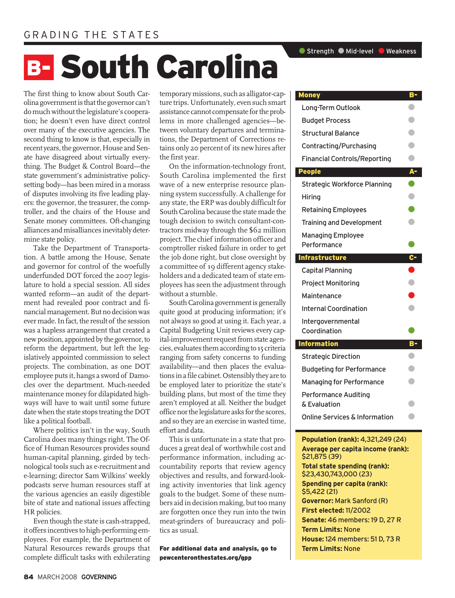# **South Carolina B-**

The first thing to know about South Carolina government is that the governor can't do much without the legislature's cooperation; he doesn't even have direct control over many of the executive agencies. The second thing to know is that, especially in recent years, the governor, House and Senate have disagreed about virtually everything. The Budget & Control Board—the state government's administrative policysetting body—has been mired in a morass of disputes involving its five leading players: the governor, the treasurer, the comptroller, and the chairs of the House and Senate money committees. Oft-changing alliances and misalliances inevitably determine state policy.

Take the Department of Transportation. A battle among the House, Senate and governor for control of the woefully underfunded DOT forced the 2007 legislature to hold a special session. All sides wanted reform—an audit of the department had revealed poor contract and financial management. But no decision was ever made. In fact, the result of the session was a hapless arrangement that created a new position, appointed by the governor, to reform the department, but left the legislatively appointed commission to select projects. The combination, as one DOT employee puts it, hangs a sword of Damocles over the department. Much-needed maintenance money for dilapidated highways will have to wait until some future date when the state stops treating the DOT like a political football.

Where politics isn't in the way, South Carolina does many things right. The Office of Human Resources provides sound human-capital planning, girded by technological tools such as e-recruitment and e-learning; director Sam Wilkins' weekly podcasts serve human resources staff at the various agencies an easily digestible bite of state and national issues affecting HR policies.

Even though the state is cash-strapped, it offers incentives to high-performing employees. For example, the Department of Natural Resources rewards groups that complete difficult tasks with exhilerating temporary missions, such as alligator-capture trips. Unfortunately, even such smart assistance cannot compensate for the problems in more challenged agencies—between voluntary departures and terminations, the Department of Corrections retains only 20 percent of its new hires after the first year.

On the information-technology front, South Carolina implemented the first wave of a new enterprise resource planning system successfully. A challenge for any state, the ERP was doubly difficult for South Carolina because the state made the tough decision to switch consultant-contractors midway through the \$62 million project. The chief information officer and comptroller risked failure in order to get the job done right, but close oversight by a committee of 19 different agency stakeholders and a dedicated team of state employees has seen the adjustment through without a stumble.

South Carolina government is generally quite good at producing information; it's not always so good at using it. Each year, a Capital Budgeting Unit reviews every capital-improvement request from state agencies, evaluates them according to 15 criteria ranging from safety concerns to funding availability—and then places the evaluations in a file cabinet. Ostensibly they are to be employed later to prioritize the state's building plans, but most of the time they aren't employed at all. Neither the budget office nor the legislature asks for the scores, and so they are an exercise in wasted time, effort and data.

This is unfortunate in a state that produces a great deal of worthwhile cost and performance information, including accountability reports that review agency objectives and results, and forward-looking activity inventories that link agency goals to the budget. Some of these numbers aid in decision making, but too many are forgotten once they run into the twin meat-grinders of bureaucracy and politics as usual.

**For additional data and analysis, go to pewcenteronthestates.org/gpp**

Retaining Employees Training and Development Managing Employee **Performance Infrastructure C-**Capital Planning Project Monitoring **Maintenance** Internal Coordination Intergovernmental **Coordination** 

**Money B-**Long-Term Outlook ● Budget Process **CONSTRUCTER** Structural Balance ● Contracting/Purchasing **Contracting** Financial Controls/Reporting **Control** People **A-**Strategic Workforce Planning ●  $Hirina$ 

● Strength ● Mid-level ● Weakness

| <b>Information</b>                          |  |
|---------------------------------------------|--|
| <b>Strategic Direction</b>                  |  |
| <b>Budgeting for Performance</b>            |  |
| <b>Managing for Performance</b>             |  |
| <b>Performance Auditing</b><br>& Evaluation |  |
| <b>Online Services &amp; Information</b>    |  |

**Population (rank):** 4,321,249 (24) **Average per capita income (rank):** \$21,875 (39) **Total state spending (rank):** \$23,430,743,000 (23) **Spending per capita (rank):**  \$5,422 (21) **Governor:** Mark Sanford (R) **First elected:** 11/2002 **Senate:** 46 members: 19 D, 27 R **Term Limits:** None **House:** 124 members: 51 D, 73 R **Term Limits:** None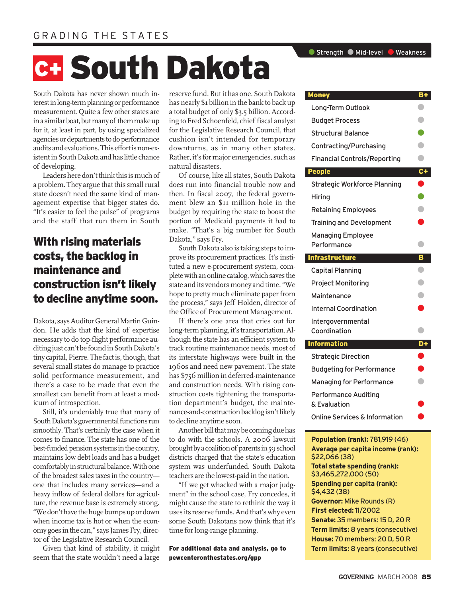### **South Dakota C+**

South Dakota has never shown much interest in long-term planning or performance measurement. Quite a few other states are in a similar boat, but many of them make up for it, at least in part, by using specialized agencies or departments to do performance audits and evaluations. This effort is non-existent in South Dakota and has little chance of developing.

Leaders here don't think this is much of a problem. They argue that this small rural state doesn't need the same kind of management expertise that bigger states do. "It's easier to feel the pulse" of programs and the staff that run them in South

### **With rising materials costs, the backlog in maintenance and construction isn't likely to decline anytime soon.**

Dakota, says Auditor General Martin Guindon. He adds that the kind of expertise necessary to do top-flight performance auditing just can't be found in South Dakota's tiny capital, Pierre. The fact is, though, that several small states do manage to practice solid performance measurement, and there's a case to be made that even the smallest can benefit from at least a modicum of introspection.

Still, it's undeniably true that many of South Dakota's governmental functions run smoothly. That's certainly the case when it comes to finance. The state has one of the best-funded pension systems in the country, maintains low debt loads and has a budget comfortably in structural balance. With one of the broadest sales taxes in the country one that includes many services—and a heavy inflow of federal dollars for agriculture, the revenue base is extremely strong. "We don't have the huge bumps up or down when income tax is hot or when the economy goes in the can," says James Fry, director of the Legislative Research Council.

Given that kind of stability, it might seem that the state wouldn't need a large

reserve fund. But it has one. South Dakota has nearly \$1 billion in the bank to back up a total budget of only \$3.5 billion. According to Fred Schoenfeld, chief fiscal analyst for the Legislative Research Council, that cushion isn't intended for temporary downturns, as in many other states. Rather, it's for major emergencies, such as natural disasters.

Of course, like all states, South Dakota does run into financial trouble now and then. In fiscal 2007, the federal government blew an \$11 million hole in the budget by requiring the state to boost the portion of Medicaid payments it had to make. "That's a big number for South Dakota," says Fry.

South Dakota also is taking steps to improve its procurement practices. It's instituted a new e-procurement system, complete with an online catalog, which saves the state and its vendors money and time. "We hope to pretty much eliminate paper from the process," says Jeff Holden, director of the Office of Procurement Management.

If there's one area that cries out for long-term planning, it's transportation. Although the state has an efficient system to track routine maintenance needs, most of its interstate highways were built in the 1960s and need new pavement. The state has \$756 million in deferred-maintenance and construction needs. With rising construction costs tightening the transportation department's budget, the maintenance-and-construction backlog isn't likely to decline anytime soon.

Another bill that may be coming due has to do with the schools. A 2006 lawsuit brought by a coalition of parents in 59 school districts charged that the state's education system was underfunded. South Dakota teachers are the lowest-paid in the nation.

"If we get whacked with a major judgment" in the school case, Fry concedes, it might cause the state to rethink the way it uses its reserve funds. And that's why even some South Dakotans now think that it's time for long-range planning.

**For additional data and analysis, go to pewcenteronthestates.org/gpp**

● Strength ● Mid-level ● Weakness

| <b>Money</b>                                             | B+           |
|----------------------------------------------------------|--------------|
| Long-Term Outlook                                        | 0            |
| <b>Budget Process</b>                                    | Ô            |
| Structural Balance                                       | O            |
| Contracting/Purchasing                                   | n            |
| <b>Financial Controls/Reporting</b>                      | ۰            |
| <b>People</b>                                            | $\mathbf{c}$ |
| <b>Strategic Workforce Planning</b>                      | Ċ            |
| Hiring                                                   | $\bullet$    |
| <b>Retaining Employees</b>                               | Ŏ            |
| <b>Training and Development</b>                          | f            |
| <b>Managing Employee</b>                                 |              |
| Performance                                              | г            |
| <b>Infrastructure</b>                                    | B            |
|                                                          |              |
| <b>Capital Planning</b>                                  | O            |
| <b>Project Monitoring</b>                                | O            |
| Maintenance                                              |              |
| <b>Internal Coordination</b>                             | ń            |
| Intergovernmental                                        |              |
| Coordination                                             |              |
| <b>Information</b>                                       |              |
| <b>Strategic Direction</b>                               |              |
| <b>Budgeting for Performance</b>                         | $\bullet$    |
| <b>Managing for Performance</b>                          |              |
| <b>Performance Auditing</b>                              |              |
| & Evaluation<br><b>Online Services &amp; Information</b> |              |

**Population (rank):** 781,919 (46) **Average per capita income (rank):** \$22,066 (38) **Total state spending (rank):** \$3,465,272,000 (50) **Spending per capita (rank):** \$4,432 (38) **Governor:** Mike Rounds (R) **First elected:** 11/2002 **Senate:** 35 members: 15 D, 20 R **Term limits:** 8 years (consecutive) **House:** 70 members: 20 D, 50 R **Term limits:** 8 years (consecutive)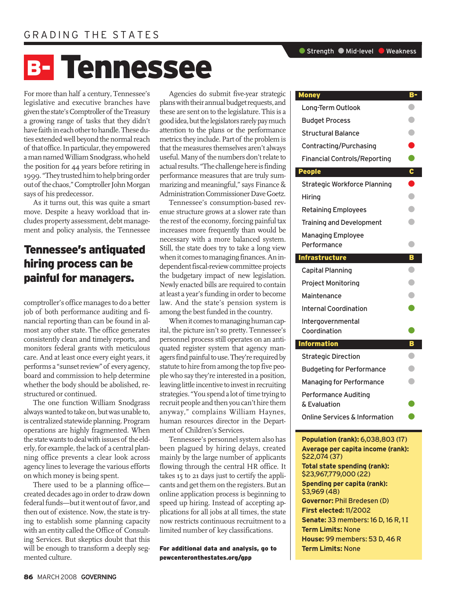### **Tennessee B-**

For more than half a century, Tennessee's legislative and executive branches have given the state's Comptroller of the Treasury a growing range of tasks that they didn't have faith in each other to handle. These duties extended well beyond the normal reach of that office. In particular, they empowered a man named William Snodgrass, who held the position for 44 years before retiring in 1999. "They trusted him to help bring order out of the chaos," Comptroller John Morgan says of his predecessor.

As it turns out, this was quite a smart move. Despite a heavy workload that includes property assessment, debt management and policy analysis, the Tennessee

#### **Tennessee's antiquated hiring process can be painful for managers.**

comptroller's office manages to do a better job of both performance auditing and financial reporting than can be found in almost any other state. The office generates consistently clean and timely reports, and monitors federal grants with meticulous care. And at least once every eight years, it performs a "sunset review" of every agency, board and commission to help determine whether the body should be abolished, restructured or continued.

The one function William Snodgrass always wanted to take on, but was unable to, is centralized statewide planning. Program operations are highly fragmented. When the state wants to deal with issues of the elderly, for example, the lack of a central planning office prevents a clear look across agency lines to leverage the various efforts on which money is being spent.

There used to be a planning office created decades ago in order to draw down federal funds—but it went out of favor, and then out of existence. Now, the state is trying to establish some planning capacity with an entity called the Office of Consulting Services. But skeptics doubt that this will be enough to transform a deeply segmented culture.

Agencies do submit five-year strategic plans with their annual budget requests, and these are sent on to the legislature. This is a good idea, but the legislators rarely pay much attention to the plans or the performance metrics they include. Part of the problem is that the measures themselves aren't always useful. Many of the numbers don't relate to actual results. "The challenge here is finding performance measures that are truly summarizing and meaningful," says Finance & Administration Commissioner Dave Goetz.

Tennessee's consumption-based revenue structure grows at a slower rate than the rest of the economy, forcing painful tax increases more frequently than would be necessary with a more balanced system. Still, the state does try to take a long view when it comes to managing finances. An independent fiscal-review committee projects the budgetary impact of new legislation. Newly enacted bills are required to contain at least a year's funding in order to become law. And the state's pension system is among the best funded in the country.

When it comes to managing human capital, the picture isn't so pretty. Tennessee's personnel process still operates on an antiquated register system that agency managers find painful to use. They're required by statute to hire from among the top five people who say they're interested in a position, leaving little incentive to invest in recruiting strategies. "You spend a lot of time trying to recruit people and then you can't hire them anyway," complains William Haynes, human resources director in the Department of Children's Services.

Tennessee's personnel system also has been plagued by hiring delays, created mainly by the large number of applicants flowing through the central HR office. It takes 15 to 21 days just to certify the applicants and get them on the registers. But an online application process is beginning to speed up hiring. Instead of accepting applications for all jobs at all times, the state now restricts continuous recruitment to a limited number of key classifications.

**For additional data and analysis, go to pewcenteronthestates.org/gpp**

| <b>Money</b>                                             | в-                      |
|----------------------------------------------------------|-------------------------|
| Long-Term Outlook                                        | 0                       |
| <b>Budget Process</b>                                    | O                       |
| <b>Structural Balance</b>                                |                         |
| Contracting/Purchasing                                   | $\bullet$               |
| <b>Financial Controls/Reporting</b>                      |                         |
| <b>People</b>                                            | $\overline{\mathbf{c}}$ |
| <b>Strategic Workforce Planning</b>                      | O                       |
| Hiring                                                   | $\bullet$               |
| <b>Retaining Employees</b>                               | O                       |
| <b>Training and Development</b>                          | Ċ                       |
| <b>Managing Employee</b>                                 |                         |
| Performance                                              | a                       |
| <b>Infrastructure</b>                                    | B                       |
|                                                          |                         |
| <b>Capital Planning</b>                                  | $\bullet$               |
| <b>Project Monitoring</b>                                | $\bullet$               |
| Maintenance                                              | $\bullet$               |
| <b>Internal Coordination</b>                             | C                       |
| Intergovernmental                                        |                         |
| Coordination                                             | C                       |
| <b>Information</b>                                       | B                       |
| <b>Strategic Direction</b>                               | $\bullet$               |
| <b>Budgeting for Performance</b>                         | O                       |
| <b>Managing for Performance</b>                          | ń                       |
| <b>Performance Auditing</b>                              |                         |
| & Evaluation<br><b>Online Services &amp; Information</b> |                         |

**Population (rank):** 6,038,803 (17) **Average per capita income (rank):** \$22,074 (37) **Total state spending (rank):** \$23,967,779,000 (22) **Spending per capita (rank):**  \$3,969 (48) **Governor:** Phil Bredesen (D) **First elected:** 11/2002 **Senate:** 33 members: 16 D, 16 R, 1 I **Term Limits:** None **House:** 99 members: 53 D, 46 R **Term Limits:** None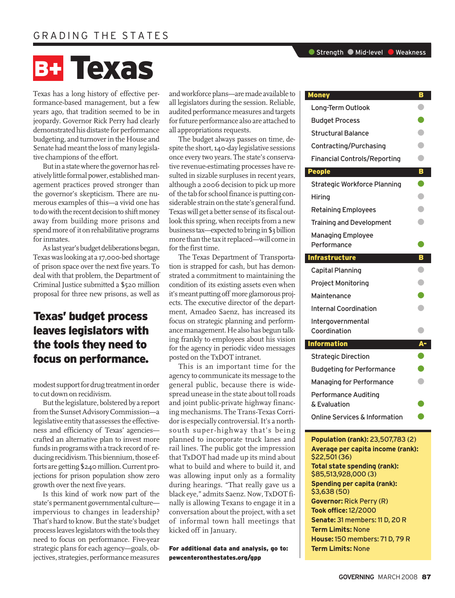### **Texas B+**

Texas has a long history of effective performance-based management, but a few years ago, that tradition seemed to be in jeopardy. Governor Rick Perry had clearly demonstrated his distaste for performance budgeting, and turnover in the House and Senate had meant the loss of many legislative champions of the effort.

But in a state where the governor has relatively little formal power, established management practices proved stronger than the governor's skepticism. There are numerous examples of this—a vivid one has to do with the recent decision to shift money away from building more prisons and spend more of it on rehabilitative programs for inmates.

As last year's budget deliberations began, Texas was looking at a 17,000-bed shortage of prison space over the next five years. To deal with that problem, the Department of Criminal Justice submitted a \$520 million proposal for three new prisons, as well as

#### **Texas' budget process leaves legislators with the tools they need to focus on performance.**

modest support for drug treatment in order to cut down on recidivism.

But the legislature, bolstered by a report from the Sunset Advisory Commission—a legislative entity that assesses the effectiveness and efficiency of Texas' agencies crafted an alternative plan to invest more funds in programs with a track record of reducing recidivism. This biennium, those efforts are getting \$240 million. Current projections for prison population show zero growth over the next five years.

Is this kind of work now part of the state's permanent governmental culture impervious to changes in leadership? That's hard to know. But the state's budget process leaves legislators with the tools they need to focus on performance. Five-year strategic plans for each agency—goals, objectives, strategies, performance measures

and workforce plans—are made available to all legislators during the session. Reliable, audited performance measures and targets for future performance also are attached to all appropriations requests.

The budget always passes on time, despite the short, 140-day legislative sessions once every two years. The state's conservative revenue-estimating processes have resulted in sizable surpluses in recent years, although a 2006 decision to pick up more of the tab for school finance is putting considerable strain on the state's general fund. Texas will get a better sense of its fiscal outlook this spring, when receipts from a new business tax—expected to bring in \$3 billion more than the tax it replaced—will come in for the first time.

The Texas Department of Transportation is strapped for cash, but has demonstrated a commitment to maintaining the condition of its existing assets even when it's meant putting off more glamorous projects. The executive director of the department, Amadeo Saenz, has increased its focus on strategic planning and performance management. He also has begun talking frankly to employees about his vision for the agency in periodic video messages posted on the TxDOT intranet.

This is an important time for the agency to communicate its message to the general public, because there is widespread unease in the state about toll roads and joint public-private highway financing mechanisms. The Trans-Texas Corridor is especially controversial. It's a northsouth super-highway that's being planned to incorporate truck lanes and rail lines. The public got the impression that TxDOT had made up its mind about what to build and where to build it, and was allowing input only as a formality during hearings. "That really gave us a black eye," admits Saenz. Now, TxDOT finally is allowing Texans to engage it in a conversation about the project, with a set of informal town hall meetings that kicked off in January.

**For additional data and analysis, go to: pewcenteronthestates.org/gpp**

| <b>Money</b>                                | B         |
|---------------------------------------------|-----------|
| Long-Term Outlook                           | O         |
| <b>Budget Process</b>                       | Ò         |
| Structural Balance                          | $\bullet$ |
| Contracting/Purchasing                      | $\bullet$ |
| <b>Financial Controls/Reporting</b>         | $\bullet$ |
| <b>People</b>                               | B         |
| <b>Strategic Workforce Planning</b>         | $\bullet$ |
| Hiring                                      | $\bullet$ |
| <b>Retaining Employees</b>                  | $\bullet$ |
| <b>Training and Development</b>             | Ċ         |
| <b>Managing Employee</b><br>Performance     | O         |
|                                             | B         |
| <b>Infrastructure</b>                       |           |
| <b>Capital Planning</b>                     | $\bullet$ |
| <b>Project Monitoring</b>                   | $\bullet$ |
| Maintenance                                 | $\bullet$ |
| Internal Coordination                       | $\bullet$ |
| Intergovernmental                           |           |
| Coordination                                |           |
| <b>Information</b>                          | A-        |
| <b>Strategic Direction</b>                  |           |
| <b>Budgeting for Performance</b>            | $\bullet$ |
| <b>Managing for Performance</b>             | ń         |
| <b>Performance Auditing</b><br>& Evaluation |           |

#### **Population (rank):** 23,507,783 (2) **Average per capita income (rank):** \$22,501 (36) **Total state spending (rank):** \$85,513,928,000 (3) **Spending per capita (rank):** \$3,638 (50) **Governor:** Rick Perry (R) **Took office:** 12/2000 **Senate:** 31 members: 11 D, 20 R **Term Limits:** None **House:** 150 members: 71 D, 79 R **Term Limits:** None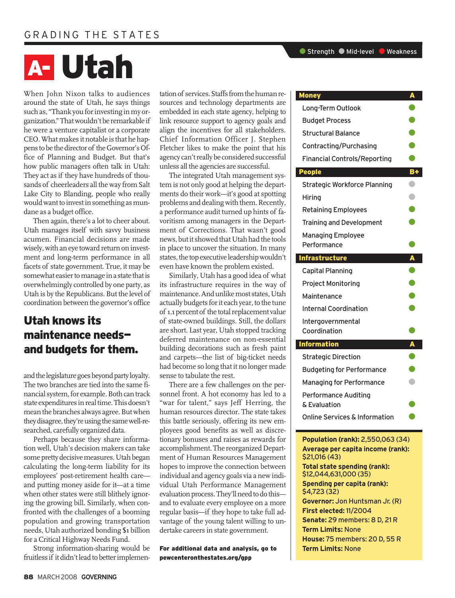# **Utah A-**

When John Nixon talks to audiences around the state of Utah, he says things such as, "Thank you for investing in my organization." That wouldn't be remarkable if he were a venture capitalist or a corporate CEO. What makes it notable is that he happens to be the director of the Governor's Office of Planning and Budget. But that's how public managers often talk in Utah: They act as if they have hundreds of thousands of cheerleaders all the way from Salt Lake City to Blanding, people who really would want to invest in something as mundane as a budget office.

Then again, there's a lot to cheer about. Utah manages itself with savvy business acumen. Financial decisions are made wisely, with an eye toward return on investment and long-term performance in all facets of state government. True, it may be somewhat easier to manage in a state that is overwhelmingly controlled by one party, as Utah is by the Republicans. But the level of coordination between the governor's office

### **Utah knows its maintenance needs and budgets for them.**

and the legislature goes beyond party loyalty. The two branches are tied into the same financial system, for example. Both can track state expenditures in real time. This doesn't mean the branches always agree. But when they disagree, they're using the same well-researched, carefully organized data.

Perhaps because they share information well, Utah's decision makers can take some pretty decisive measures. Utah began calculating the long-term liability for its employees' post-retirement health care and putting money aside for it—at a time when other states were still blithely ignoring the growing bill. Similarly, when confronted with the challenges of a booming population and growing transportation needs, Utah authorized bonding \$1 billion for a Critical Highway Needs Fund.

Strong information-sharing would be fruitless if it didn't lead to better implementation of services. Staffs from the human resources and technology departments are embedded in each state agency, helping to link resource support to agency goals and align the incentives for all stakeholders. Chief Information Officer J. Stephen Fletcher likes to make the point that his agency can't really be considered successful unless all the agencies are successful.

The integrated Utah management system is not only good at helping the departments do their work—it's good at spotting problems and dealing with them. Recently, a performance audit turned up hints of favoritism among managers in the Department of Corrections. That wasn't good news, but it showed that Utah had the tools in place to uncover the situation. In many states, the top executive leadership wouldn't even have known the problem existed.

Similarly, Utah has a good idea of what its infrastructure requires in the way of maintenance. And unlike most states, Utah actually budgets for it each year, to the tune of 1.1 percent of the total replacement value of state-owned buildings. Still, the dollars are short. Last year, Utah stopped tracking deferred maintenance on non-essential building decorations such as fresh paint and carpets—the list of big-ticket needs had become so long that it no longer made sense to tabulate the rest.

There are a few challenges on the personnel front. A hot economy has led to a "war for talent," says Jeff Herring, the human resources director. The state takes this battle seriously, offering its new employees good benefits as well as discretionary bonuses and raises as rewards for accomplishment. The reorganized Department of Human Resources Management hopes to improve the connection between individual and agency goals via a new individual Utah Performance Management evaluation process. They'll need to do this and to evaluate every employee on a more regular basis—if they hope to take full advantage of the young talent willing to undertake careers in state government.

**For additional data and analysis, go to pewcenteronthestates.org/gpp**

| <b>Money</b>                                | A         |
|---------------------------------------------|-----------|
| Long-Term Outlook                           | $\bullet$ |
| <b>Budget Process</b>                       | O         |
| <b>Structural Balance</b>                   | $\bullet$ |
| Contracting/Purchasing                      | $\bullet$ |
| <b>Financial Controls/Reporting</b>         | O         |
| <b>People</b>                               | $B+$      |
| <b>Strategic Workforce Planning</b>         | 0         |
| Hiring                                      | $\bullet$ |
| <b>Retaining Employees</b>                  | $\bullet$ |
| <b>Training and Development</b>             | C         |
| <b>Managing Employee</b><br>Performance     | O         |
| <b>Infrastructure</b>                       | A         |
| <b>Capital Planning</b>                     | $\bullet$ |
| <b>Project Monitoring</b>                   | $\bullet$ |
| Maintenance                                 | $\bullet$ |
|                                             |           |
| <b>Internal Coordination</b>                | O         |
| Intergovernmental                           |           |
| Coordination                                | O         |
| <b>Information</b>                          | A         |
| <b>Strategic Direction</b>                  | $\bullet$ |
| <b>Budgeting for Performance</b>            | Ŏ         |
| <b>Managing for Performance</b>             | Ô         |
| <b>Performance Auditing</b><br>& Evaluation |           |

**Population (rank):** 2,550,063 (34) **Average per capita income (rank):** \$21,016 (43) **Total state spending (rank):** \$12,044,631,000 (35) **Spending per capita (rank):**  \$4,723 (32) **Governor:** Jon Huntsman Jr. (R) **First elected:** 11/2004 **Senate:** 29 members: 8 D, 21 R **Term Limits:** None **House:** 75 members: 20 D, 55 R **Term Limits:** None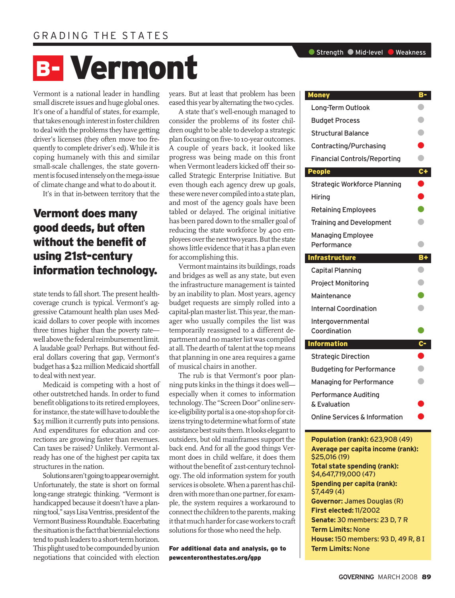### **Vermont B-**

Vermont is a national leader in handling small discrete issues and huge global ones. It's one of a handful of states, for example, that takes enough interest in foster children to deal with the problems they have getting driver's licenses (they often move too frequently to complete driver's ed). While it is coping humanely with this and similar small-scale challenges, the state government is focused intensely on the mega-issue of climate change and what to do about it.

It's in that in-between territory that the

#### **Vermont does many good deeds, but often without the benefit of using 21st-century information technology.**

state tends to fall short. The present healthcoverage crunch is typical. Vermont's aggressive Catamount health plan uses Medicaid dollars to cover people with incomes three times higher than the poverty rate well above the federal reimbursement limit. A laudable goal? Perhaps. But without federal dollars covering that gap, Vermont's budget has a \$22 million Medicaid shortfall to deal with next year.

Medicaid is competing with a host of other outstretched hands. In order to fund benefit obligations to its retired employees, for instance, the state will have to double the \$25 million it currently puts into pensions. And expenditures for education and corrections are growing faster than revenues. Can taxes be raised? Unlikely. Vermont already has one of the highest per capita tax structures in the nation.

Solutions aren't going to appear overnight. Unfortunately, the state is short on formal long-range strategic thinking. "Vermont is handicapped because it doesn't have a planning tool," says Lisa Ventriss, president of the Vermont Business Roundtable. Exacerbating the situation is the fact that biennial elections tend to push leaders to a short-term horizon. This plight used to be compounded by union negotiations that coincided with election

years. But at least that problem has been eased this year by alternating the two cycles.

A state that's well-enough managed to consider the problems of its foster children ought to be able to develop a strategic plan focusing on five- to 10-year outcomes. A couple of years back, it looked like progress was being made on this front when Vermont leaders kicked off their socalled Strategic Enterprise Initiative. But even though each agency drew up goals, these were never compiled into a state plan, and most of the agency goals have been tabled or delayed. The original initiative has been pared down to the smaller goal of reducing the state workforce by 400 employees over the next two years. But the state shows little evidence that it has a plan even for accomplishing this.

Vermont maintains its buildings, roads and bridges as well as any state, but even the infrastructure management is tainted by an inability to plan. Most years, agency budget requests are simply rolled into a capital-plan master list. This year, the manager who usually compiles the list was temporarily reassigned to a different department and no master list was compiled at all. The dearth of talent at the top means that planning in one area requires a game of musical chairs in another.

The rub is that Vermont's poor planning puts kinks in the things it does well especially when it comes to information technology. The "Screen Door" online service-eligibility portal is a one-stop shop for citizens trying to determine what form of state assistance best suits them. It looks elegant to outsiders, but old mainframes support the back end. And for all the good things Vermont does in child welfare, it does them without the benefit of 21st-century technology. The old information system for youth services is obsolete. When a parent has children with more than one partner, for example, the system requires a workaround to connect the children to the parents, making it that much harder for case workers to craft solutions for those who need the help.

**For additional data and analysis, go to pewcenteronthestates.org/gpp**

| <b>Money</b>                                     | B-                      |
|--------------------------------------------------|-------------------------|
| Long-Term Outlook                                | O                       |
| <b>Budget Process</b>                            | £                       |
| Structural Balance                               | O                       |
| Contracting/Purchasing                           | O                       |
| <b>Financial Controls/Reporting</b>              | Û                       |
| <b>People</b>                                    | $\overline{\mathbf{c}}$ |
| <b>Strategic Workforce Planning</b>              |                         |
| Hiring                                           |                         |
| <b>Retaining Employees</b>                       |                         |
| <b>Training and Development</b>                  |                         |
| <b>Managing Employee</b><br>Performance          |                         |
|                                                  | в                       |
|                                                  |                         |
| <b>Infrastructure</b><br><b>Capital Planning</b> |                         |
| <b>Project Monitoring</b>                        |                         |
| Maintenance                                      |                         |
| <b>Internal Coordination</b>                     | n                       |
| Intergovernmental                                |                         |
| Coordination                                     |                         |
| <b>Information</b>                               |                         |
| <b>Strategic Direction</b>                       |                         |
| <b>Budgeting for Performance</b>                 | <b>B</b><br>•           |
| <b>Managing for Performance</b>                  | O                       |
| <b>Performance Auditing</b><br>& Evaluation      |                         |

**Population (rank):** 623,908 (49) **Average per capita income (rank):** \$25,016 (19) **Total state spending (rank):** \$4,647,719,000 (47) **Spending per capita (rank):**  \$7,449 (4) **Governor:** James Douglas (R) **First elected:** 11/2002 **Senate:** 30 members: 23 D, 7 R **Term Limits:** None **House:** 150 members: 93 D, 49 R, 8 I **Term Limits:** None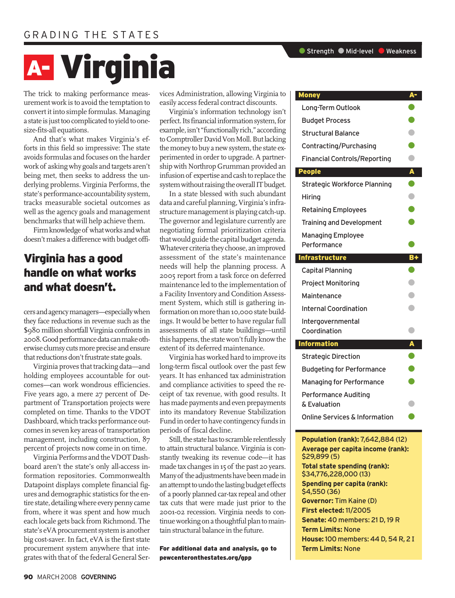# **Virginia A-**

The trick to making performance measurement work is to avoid the temptation to convert it into simple formulas. Managing a state is just too complicated to yield to onesize-fits-all equations.

And that's what makes Virginia's efforts in this field so impressive: The state avoids formulas and focuses on the harder work of asking why goals and targets aren't being met, then seeks to address the underlying problems. Virginia Performs, the state's performance-accountability system, tracks measurable societal outcomes as well as the agency goals and management benchmarks that will help achieve them.

Firm knowledge of what works and what doesn't makes a difference with budget offi-

#### **Virginia has a good handle on what works and what doesn't.**

cers and agency managers—especially when they face reductions in revenue such as the \$980 million shortfall Virginia confronts in 2008. Good performance data can make otherwise clumsy cuts more precise and ensure that reductions don't frustrate state goals.

Virginia proves that tracking data—and holding employees accountable for outcomes—can work wondrous efficiencies. Five years ago, a mere 27 percent of Department of Transportation projects were completed on time. Thanks to the VDOT Dashboard, which tracks performance outcomes in seven key areas of transportation management, including construction, 87 percent of projects now come in on time.

Virginia Performs and the VDOT Dashboard aren't the state's only all-access information repositories. Commonwealth Datapoint displays complete financial figures and demographic statistics for the entire state, detailing where every penny came from, where it was spent and how much each locale gets back from Richmond. The state's eVA procurement system is another big cost-saver. In fact, eVA is the first state procurement system anywhere that integrates with that of the federal General Services Administration, allowing Virginia to | easily access federal contract discounts.

Virginia's information technology isn't perfect. Its financial information system, for example, isn't "functionally rich," according to Comptroller David Von Moll. But lacking the money to buy a new system, the state experimented in order to upgrade. A partnership with Northrop Grumman provided an infusion of expertise and cash to replace the system without raising the overall IT budget.

In a state blessed with such abundant data and careful planning, Virginia's infrastructure management is playing catch-up. The governor and legislature currently are negotiating formal prioritization criteria that would guide the capital budget agenda. Whatever criteria they choose, an improved assessment of the state's maintenance needs will help the planning process. A 2005 report from a task force on deferred maintenance led to the implementation of a Facility Inventory and Condition Assessment System, which still is gathering information on more than 10,000 state buildings. It would be better to have regular full assessments of all state buildings—until this happens, the state won't fully know the extent of its deferred maintenance.

Virginia has worked hard to improve its long-term fiscal outlook over the past few years. It has enhanced tax administration and compliance activities to speed the receipt of tax revenue, with good results. It has made payments and even prepayments into its mandatory Revenue Stabilization Fund in order to have contingency funds in periods of fiscal decline.

Still, the state has to scramble relentlessly to attain structural balance. Virginia is constantly tweaking its revenue code—it has made tax changes in 15 of the past 20 years. Many of the adjustments have been made in an attempt to undo the lasting budget effects of a poorly planned car-tax repeal and other tax cuts that were made just prior to the 2001-02 recession. Virginia needs to continue working on a thoughtful plan to maintain structural balance in the future.

**For additional data and analysis, go to pewcenteronthestates.org/gpp**

#### ● Strength ● Mid-level ● Weakness

| <b>Money</b>                                | A-        |
|---------------------------------------------|-----------|
| Long-Term Outlook                           | 0         |
| <b>Budget Process</b>                       | C         |
| Structural Balance                          | $\bullet$ |
| Contracting/Purchasing                      | $\bullet$ |
| <b>Financial Controls/Reporting</b>         | $\bullet$ |
| <b>People</b>                               | A         |
| <b>Strategic Workforce Planning</b>         | O         |
| Hiring                                      | $\bullet$ |
| <b>Retaining Employees</b>                  | $\bullet$ |
| <b>Training and Development</b>             | n         |
| <b>Managing Employee</b><br>Performance     | O         |
| <b>Infrastructure</b>                       | B+        |
|                                             |           |
| <b>Capital Planning</b>                     | O         |
| <b>Project Monitoring</b>                   | O         |
| Maintenance                                 | Ê         |
| <b>Internal Coordination</b>                | a         |
| Intergovernmental                           |           |
| Coordination                                | 0         |
| <b>Information</b>                          | A         |
| <b>Strategic Direction</b>                  | $\bullet$ |
| <b>Budgeting for Performance</b>            | $\bullet$ |
| <b>Managing for Performance</b>             | O         |
| <b>Performance Auditing</b><br>& Evaluation |           |

**Population (rank):** 7,642,884 (12) **Average per capita income (rank):** \$29,899 (5) **Total state spending (rank):** \$34,776,228,000 (13) **Spending per capita (rank):**  \$4,550 (36) **Governor:** Tim Kaine (D) **First elected:** 11/2005 **Senate:** 40 members: 21 D, 19 R **Term Limits:** None **House:** 100 members: 44 D, 54 R, 2 I **Term Limits:** None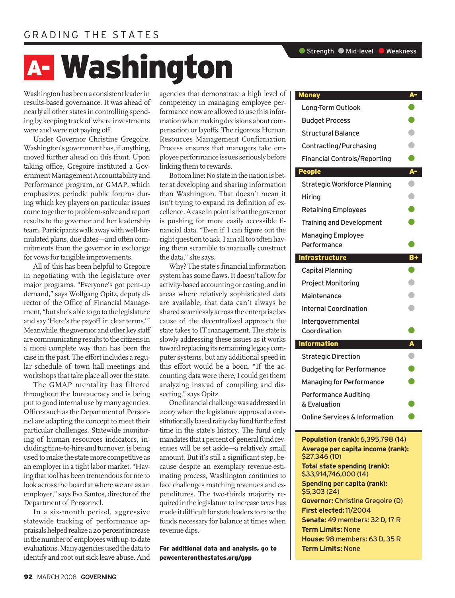# **Washington A-**

Washington has been a consistent leader in results-based governance. It was ahead of nearly all other states in controlling spending by keeping track of where investments were and were not paying off.

Under Governor Christine Gregoire, Washington's government has, if anything, moved further ahead on this front. Upon taking office, Gregoire instituted a Government Management Accountability and Performance program, or GMAP, which emphasizes periodic public forums during which key players on particular issues come together to problem-solve and report results to the governor and her leadership team. Participants walk away with well-formulated plans, due dates—and often commitments from the governor in exchange for vows for tangible improvements.

All of this has been helpful to Gregoire in negotiating with the legislature over major programs. "Everyone's got pent-up demand," says Wolfgang Opitz, deputy director of the Office of Financial Management, "but she's able to go to the legislature and say 'Here's the payoff in clear terms.'" Meanwhile, the governor and other key staff are communicating results to the citizens in a more complete way than has been the case in the past. The effort includes a regular schedule of town hall meetings and workshops that take place all over the state.

The GMAP mentality has filtered throughout the bureaucracy and is being put to good internal use by many agencies. Offices such as the Department of Personnel are adapting the concept to meet their particular challenges. Statewide monitoring of human resources indicators, including time-to-hire and turnover, is being used to make the state more competitive as an employer in a tight labor market. "Having that tool has been tremendous for me to look across the board at where we are as an employer," says Eva Santos, director of the Department of Personnel.

In a six-month period, aggressive statewide tracking of performance appraisals helped realize a 20 percent increase in the number of employees with up-to-date evaluations. Many agencies used the data to identify and root out sick-leave abuse. And agencies that demonstrate a high level of competency in managing employee performance now are allowed to use this information when making decisions about compensation or layoffs. The rigorous Human Resources Management Confirmation Process ensures that managers take employee performance issues seriously before linking them to rewards.

Bottom line: No state in the nation is better at developing and sharing information than Washington. That doesn't mean it isn't trying to expand its definition of excellence. A case in point is that the governor is pushing for more easily accessible financial data. "Even if I can figure out the right question to ask, I am all too often having them scramble to manually construct the data," she says.

Why? The state's financial information system has some flaws. It doesn't allow for activity-based accounting or costing, and in areas where relatively sophisticated data are available, that data can't always be shared seamlessly across the enterprise because of the decentralized approach the state takes to IT management. The state is slowly addressing these issues as it works toward replacing its remaining legacy computer systems, but any additional speed in this effort would be a boon. "If the accounting data were there, I could get them analyzing instead of compiling and dissecting," says Opitz.

One financial challenge was addressed in 2007 when the legislature approved a constitutionally based rainy day fund for the first time in the state's history. The fund only mandates that 1 percent of general fund revenues will be set aside—a relatively small amount. But it's still a significant step, because despite an exemplary revenue-estimating process, Washington continues to face challenges matching revenues and expenditures. The two-thirds majority required in the legislature to increase taxes has made it difficult for state leaders to raise the funds necessary for balance at times when revenue dips.

**For additional data and analysis, go to pewcenteronthestates.org/gpp**

**Money A-**Long-Term Outlook ● **Budget Process** Structural Balance Contracting/Purchasing **Contracting** Financial Controls/Reporting **Control** People **A-**Strategic Workforce Planning ●  $Hirina$ Retaining Employees Training and Development Managing Employee **Performance Infrastructure B+** Capital Planning ● Project Monitoring ● Maintenance ● Internal Coordination ● Intergovernmental **Coordination Information** Strategic Direction ● Budgeting for Performance Managing for Performance Performance Auditing  $&$  Evaluation Online Services & Information ●

**Population (rank):** 6,395,798 (14) **Average per capita income (rank):** \$27,346 (10) **Total state spending (rank):** \$33,914,746,000 (14) **Spending per capita (rank):**  \$5,303 (24) **Governor:** Christine Gregoire (D) **First elected:** 11/2004 **Senate:** 49 members: 32 D, 17 R **Term Limits:** None **House:** 98 members: 63 D, 35 R **Term Limits:** None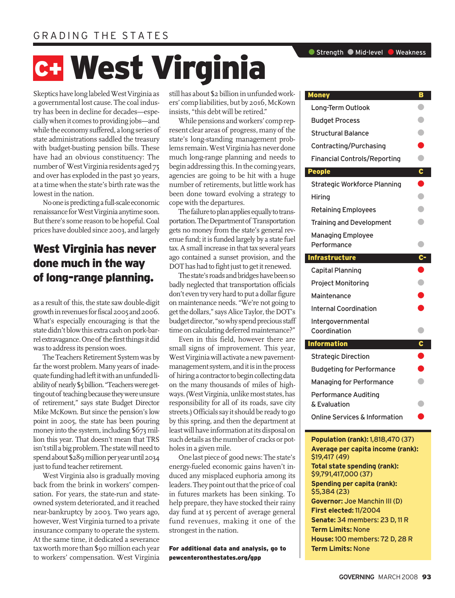# **West Virginia C+**

Skeptics have long labeled West Virginia as a governmental lost cause. The coal industry has been in decline for decades—especially when it comes to providing jobs—and while the economy suffered, a long series of state administrations saddled the treasury with budget-busting pension bills. These have had an obvious constituency: The number of West Virginia residents aged 75 and over has exploded in the past 30 years, at a time when the state's birth rate was the lowest in the nation.

No one is predicting a full-scale economic renaissance for West Virginia anytime soon. But there's some reason to be hopeful. Coal prices have doubled since 2003, and largely

### **West Virginia has never done much in the way of long-range planning.**

as a result of this, the state saw double-digit growth in revenues for fiscal 2005 and 2006. What's especially encouraging is that the state didn't blow this extra cash on pork-barrel extravagance. One of the first things it did was to address its pension woes.

The Teachers Retirement System was by far the worst problem. Many years of inadequate funding had left it with an unfunded liability of nearly \$5 billion. "Teachers were getting out of teaching because they were unsure of retirement," says state Budget Director Mike McKown. But since the pension's low point in 2005, the state has been pouring money into the system, including \$673 million this year. That doesn't mean that TRS isn't still a big problem. The state will need to spend about \$289 million per year until 2034 just to fund teacher retirement.

West Virginia also is gradually moving back from the brink in workers' compensation. For years, the state-run and stateowned system deteriorated, and it reached near-bankruptcy by 2003. Two years ago, however, West Virginia turned to a private insurance company to operate the system. At the same time, it dedicated a severance tax worth more than \$90 million each year to workers' compensation. West Virginia

still has about \$2 billion in unfunded workers' comp liabilities, but by 2016, McKown insists, "this debt will be retired."

While pensions and workers' comp represent clear areas of progress, many of the state's long-standing management problems remain. West Virginia has never done much long-range planning and needs to begin addressing this. In the coming years, agencies are going to be hit with a huge number of retirements, but little work has been done toward evolving a strategy to cope with the departures.

The failure to plan applies equally to transportation. The Department of Transportation gets no money from the state's general revenue fund; it is funded largely by a state fuel tax. A small increase in that tax several years ago contained a sunset provision, and the DOT has had to fight just to get it renewed.

The state's roads and bridges have been so badly neglected that transportation officials don't even try very hard to put a dollar figure on maintenance needs. "We're not going to get the dollars," says Alice Taylor, the DOT's budget director, "so why spend precious staff time on calculating deferred maintenance?"

Even in this field, however there are small signs of improvement. This year, West Virginia will activate a new pavementmanagement system, and it is in the process of hiring a contractor to begin collecting data on the many thousands of miles of highways. (West Virginia, unlike most states, has responsibility for all of its roads, save city streets.) Officials say it should be ready to go by this spring, and then the department at least will have information at its disposal on such details as the number of cracks or potholes in a given mile.

One last piece of good news: The state's energy-fueled economic gains haven't induced any misplaced euphoria among its leaders. They point out that the price of coal in futures markets has been sinking. To help prepare, they have stocked their rainy day fund at 15 percent of average general fund revenues, making it one of the strongest in the nation.

**For additional data and analysis, go to pewcenteronthestates.org/gpp**

**Money B** Long-Term Outlook ● Budget Process **CONSTRUCTER** Structural Balance Contracting/Purchasing Financial Controls/Reporting ● **People C** Strategic Workforce Planning ● Hiring  $\qquad \qquad \bullet$ Retaining Employees **●** Training and Development Managing Employee  $Performance$ **Infrastructure C-**Capital Planning Project Monitoring Maintenance ● Internal Coordination Intergovernmental **Coordination Information C Strategic Direction** Budgeting for Performance Managing for Performance ● Performance Auditing  $\&$  Evaluation  $\qquad \qquad \bullet$ Online Services & Information ●

● Strength ● Mid-level ● Weakness

**Population (rank):** 1,818,470 (37) **Average per capita income (rank):** \$19,417 (49) **Total state spending (rank):** \$9,791,417,000 (37) **Spending per capita (rank):**  \$5,384 (23) **Governor:** Joe Manchin III (D) **First elected:** 11/2004 **Senate:** 34 members: 23 D, 11 R **Term Limits:** None **House:** 100 members: 72 D, 28 R **Term Limits:** None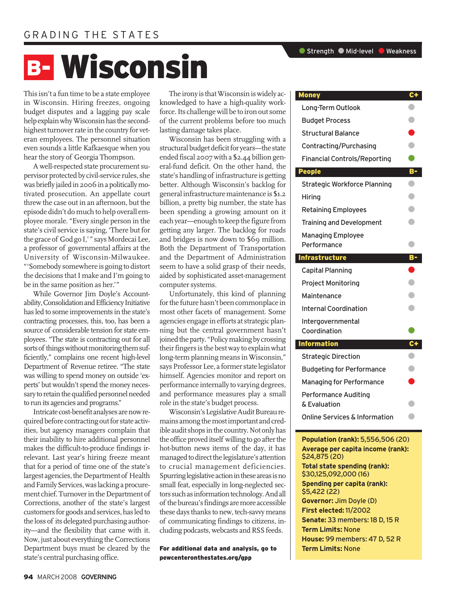# **Wisconsin B-**

This isn't a fun time to be a state employee in Wisconsin. Hiring freezes, ongoing budget disputes and a lagging pay scale help explain why Wisconsin has the secondhighest turnover rate in the country for veteran employees. The personnel situation even sounds a little Kafkaesque when you hear the story of Georgia Thompson.

A well-respected state procurement supervisor protected by civil-service rules, she was briefly jailed in 2006 in a politically motivated prosecution. An appellate court threw the case out in an afternoon, but the episode didn't do much to help overall employee morale. "Every single person in the state's civil service is saying, 'There but for the grace of God go I,' " says Mordecai Lee, a professor of governmental affairs at the University of Wisconsin-Milwaukee. "'Somebody somewhere is going to distort the decisions that I make and I'm going to be in the same position as her.'"

While Governor Jim Doyle's Accountability, Consolidation and Efficiency Initiative has led to some improvements in the state's contracting processes, this, too, has been a source of considerable tension for state employees. "The state is contracting out for all sorts of things without monitoring them sufficiently," complains one recent high-level Department of Revenue retiree. "The state was willing to spend money on outside 'experts' but wouldn't spend the money necessary to retain the qualified personnel needed to run its agencies and programs."

Intricate cost-benefit analyses are now required before contracting out for state activities, but agency managers complain that their inability to hire additional personnel makes the difficult-to-produce findings irrelevant. Last year's hiring freeze meant that for a period of time one of the state's largest agencies, the Department of Health and Family Services, was lacking a procurement chief. Turnover in the Department of Corrections, another of the state's largest customers for goods and services, has led to the loss of its delegated purchasing authority—and the flexibility that came with it. Now, just about everything the Corrections Department buys must be cleared by the state's central purchasing office.

The irony is that Wisconsin is widely acknowledged to have a high-quality workforce. Its challenge will be to iron out some of the current problems before too much lasting damage takes place.

Wisconsin has been struggling with a structural budget deficit for years—the state ended fiscal 2007 with a \$2.44 billion general-fund deficit. On the other hand, the state's handling of infrastructure is getting better. Although Wisconsin's backlog for general infrastructure maintenance is \$1.2 billion, a pretty big number, the state has been spending a growing amount on it each year—enough to keep the figure from getting any larger. The backlog for roads and bridges is now down to \$69 million. Both the Department of Transportation and the Department of Administration seem to have a solid grasp of their needs, aided by sophisticated asset-management computer systems.

Unfortunately, this kind of planning for the future hasn't been commonplace in most other facets of management. Some agencies engage in efforts at strategic planning but the central government hasn't joined the party. "Policy making by crossing their fingers is the best way to explain what long-term planning means in Wisconsin," says Professor Lee, a former state legislator himself. Agencies monitor and report on performance internally to varying degrees, and performance measures play a small role in the state's budget process.

Wisconsin's Legislative Audit Bureau remains among the most important and credible audit shops in the country. Not only has the office proved itself willing to go after the hot-button news items of the day, it has managed to direct the legislature's attention to crucial management deficiencies. Spurring legislative action in these areas is no small feat, especially in long-neglected sectors such as information technology. And all of the bureau's findings are more accessible these days thanks to new, tech-savvy means of communicating findings to citizens, including podcasts, webcasts and RSS feeds.

**For additional data and analysis, go to pewcenteronthestates.org/gpp**

| <b>Money</b>                                | $\overline{\mathbf{c}}$ + |
|---------------------------------------------|---------------------------|
| Long-Term Outlook                           | $\bullet$                 |
| <b>Budget Process</b>                       |                           |
| <b>Structural Balance</b>                   | $\bullet$                 |
| Contracting/Purchasing                      | Ŏ                         |
| <b>Financial Controls/Reporting</b>         | 0                         |
| <b>People</b>                               | B-                        |
| <b>Strategic Workforce Planning</b>         | $\bullet$                 |
| Hiring                                      | O                         |
| <b>Retaining Employees</b>                  | O                         |
| <b>Training and Development</b>             | a                         |
| <b>Managing Employee</b>                    |                           |
| Performance                                 | O                         |
| <b>Infrastructure</b>                       | B                         |
|                                             |                           |
| <b>Capital Planning</b>                     | Ŏ                         |
| <b>Project Monitoring</b>                   | O                         |
| Maintenance                                 | ń                         |
| <b>Internal Coordination</b>                | a                         |
| Intergovernmental                           |                           |
| Coordination                                |                           |
| <b>Information</b>                          | $\mathbf{c}$ +            |
| <b>Strategic Direction</b>                  | $\bullet$                 |
| <b>Budgeting for Performance</b>            |                           |
| <b>Managing for Performance</b>             | ń                         |
| <b>Performance Auditing</b><br>& Evaluation |                           |

**Population (rank):** 5,556,506 (20) **Average per capita income (rank):** \$24,875 (20) **Total state spending (rank):** \$30,125,092,000 (16) **Spending per capita (rank):**  \$5,422 (22) **Governor:** Jim Doyle (D) **First elected:** 11/2002 **Senate:** 33 members: 18 D, 15 R **Term Limits:** None **House:** 99 members: 47 D, 52 R **Term Limits:** None